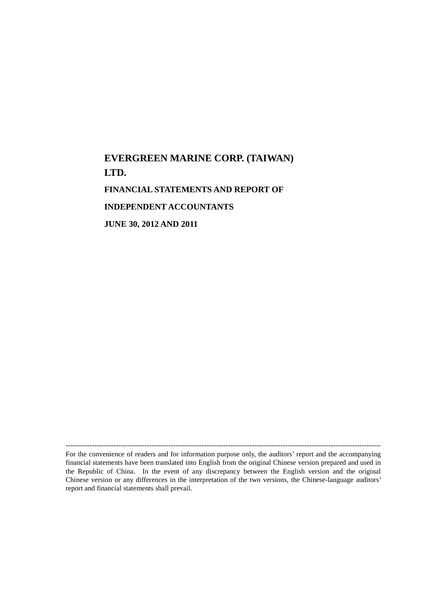# **EVERGREEN MARINE CORP. (TAIWAN) LTD. FINANCIAL STATEMENTS AND REPORT OF INDEPENDENT ACCOUNTANTS JUNE 30, 2012 AND 2011**

------------------------------------------------------------------------------------------------------------------------------------ For the convenience of readers and for information purpose only, the auditors' report and the accompanying financial statements have been translated into English from the original Chinese version prepared and used in the Republic of China. In the event of any discrepancy between the English version and the original Chinese version or any differences in the interpretation of the two versions, the Chinese-language auditors' report and financial statements shall prevail.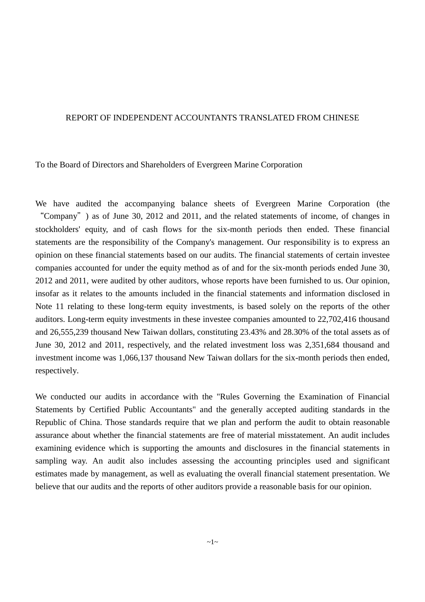#### REPORT OF INDEPENDENT ACCOUNTANTS TRANSLATED FROM CHINESE

To the Board of Directors and Shareholders of Evergreen Marine Corporation

We have audited the accompanying balance sheets of Evergreen Marine Corporation (the "Company") as of June 30, 2012 and 2011, and the related statements of income, of changes in stockholders' equity, and of cash flows for the six-month periods then ended. These financial statements are the responsibility of the Company's management. Our responsibility is to express an opinion on these financial statements based on our audits. The financial statements of certain investee companies accounted for under the equity method as of and for the six-month periods ended June 30, 2012 and 2011, were audited by other auditors, whose reports have been furnished to us. Our opinion, insofar as it relates to the amounts included in the financial statements and information disclosed in Note 11 relating to these long-term equity investments, is based solely on the reports of the other auditors. Long-term equity investments in these investee companies amounted to 22,702,416 thousand and 26,555,239 thousand New Taiwan dollars, constituting 23.43% and 28.30% of the total assets as of June 30, 2012 and 2011, respectively, and the related investment loss was 2,351,684 thousand and investment income was 1,066,137 thousand New Taiwan dollars for the six-month periods then ended, respectively.

We conducted our audits in accordance with the "Rules Governing the Examination of Financial Statements by Certified Public Accountants" and the generally accepted auditing standards in the Republic of China. Those standards require that we plan and perform the audit to obtain reasonable assurance about whether the financial statements are free of material misstatement. An audit includes examining evidence which is supporting the amounts and disclosures in the financial statements in sampling way. An audit also includes assessing the accounting principles used and significant estimates made by management, as well as evaluating the overall financial statement presentation. We believe that our audits and the reports of other auditors provide a reasonable basis for our opinion.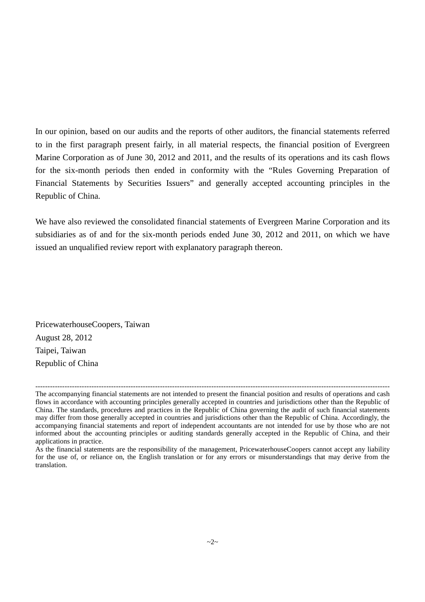In our opinion, based on our audits and the reports of other auditors, the financial statements referred to in the first paragraph present fairly, in all material respects, the financial position of Evergreen Marine Corporation as of June 30, 2012 and 2011, and the results of its operations and its cash flows for the six-month periods then ended in conformity with the "Rules Governing Preparation of Financial Statements by Securities Issuers" and generally accepted accounting principles in the Republic of China.

We have also reviewed the consolidated financial statements of Evergreen Marine Corporation and its subsidiaries as of and for the six-month periods ended June 30, 2012 and 2011, on which we have issued an unqualified review report with explanatory paragraph thereon.

PricewaterhouseCoopers, Taiwan August 28, 2012 Taipei, Taiwan Republic of China

<sup>-------------------------------------------------------------------------------------------------------------------------------------------------</sup>

The accompanying financial statements are not intended to present the financial position and results of operations and cash flows in accordance with accounting principles generally accepted in countries and jurisdictions other than the Republic of China. The standards, procedures and practices in the Republic of China governing the audit of such financial statements may differ from those generally accepted in countries and jurisdictions other than the Republic of China. Accordingly, the accompanying financial statements and report of independent accountants are not intended for use by those who are not informed about the accounting principles or auditing standards generally accepted in the Republic of China, and their applications in practice.

As the financial statements are the responsibility of the management, PricewaterhouseCoopers cannot accept any liability for the use of, or reliance on, the English translation or for any errors or misunderstandings that may derive from the translation.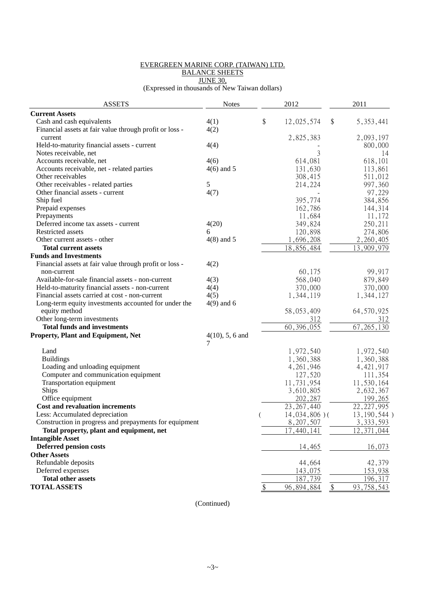#### EVERGREEN MARINE CORP. (TAIWAN) LTD. BALANCE SHEETS

JUNE 30,

(Expressed in thousands of New Taiwan dollars)

| <b>ASSETS</b>                                           | <b>Notes</b>       | 2012                      |                   | 2011                       |
|---------------------------------------------------------|--------------------|---------------------------|-------------------|----------------------------|
| <b>Current Assets</b>                                   |                    |                           |                   |                            |
| Cash and cash equivalents                               | 4(1)               | \$<br>12,025,574          | \$                | 5, 353, 441                |
| Financial assets at fair value through profit or loss - | 4(2)               |                           |                   |                            |
| current                                                 |                    | 2,825,383                 |                   | 2,093,197                  |
| Held-to-maturity financial assets - current             | 4(4)               |                           |                   | 800,000                    |
| Notes receivable, net                                   |                    | 3                         |                   | 14                         |
| Accounts receivable, net                                | 4(6)               | 614,081                   |                   | 618,101                    |
| Accounts receivable, net - related parties              | $4(6)$ and 5       | 131,630                   |                   | 113,861                    |
| Other receivables                                       |                    | 308,415                   |                   | 511,012                    |
| Other receivables - related parties                     | 5                  | 214,224                   |                   | 997,360                    |
| Other financial assets - current                        | 4(7)               |                           |                   | 97,229                     |
| Ship fuel                                               |                    | 395,774                   |                   | 384,856                    |
| Prepaid expenses                                        |                    | 162,786                   |                   | 144,314                    |
| Prepayments                                             |                    | 11,684                    |                   | 11,172                     |
| Deferred income tax assets - current                    | 4(20)              | 349,824                   |                   | 250,211                    |
| Restricted assets                                       | 6                  | 120,898                   |                   | 274,806                    |
| Other current assets - other                            | $4(8)$ and 5       | 1,696,208                 |                   | 2,260,405                  |
| <b>Total current assets</b>                             |                    | 18,856,484                |                   | 13,909,979                 |
| <b>Funds and Investments</b>                            |                    |                           |                   |                            |
| Financial assets at fair value through profit or loss - | 4(2)               |                           |                   |                            |
| non-current                                             |                    | 60,175                    |                   | 99,917                     |
| Available-for-sale financial assets - non-current       | 4(3)               | 568,040                   |                   | 879,849                    |
| Held-to-maturity financial assets - non-current         | 4(4)               | 370,000                   |                   | 370,000                    |
| Financial assets carried at cost - non-current          | 4(5)               | 1,344,119                 |                   | 1,344,127                  |
| Long-term equity investments accounted for under the    | $4(9)$ and 6       |                           |                   |                            |
| equity method                                           |                    | 58,053,409                |                   | 64, 570, 925               |
| Other long-term investments                             |                    | 312                       |                   | 312                        |
| <b>Total funds and investments</b>                      |                    | 60, 396, 055              |                   | 67, 265, 130               |
| Property, Plant and Equipment, Net                      | $4(10)$ , 5, 6 and |                           |                   |                            |
|                                                         |                    |                           |                   |                            |
| Land                                                    |                    | 1,972,540                 |                   | 1,972,540                  |
| <b>Buildings</b>                                        |                    | 1,360,388                 |                   | 1,360,388                  |
| Loading and unloading equipment                         |                    | 4, 261, 946               |                   | 4, 421, 917                |
| Computer and communication equipment                    |                    | 127,520                   |                   | 111,354                    |
| Transportation equipment                                |                    | 11,731,954                |                   | 11,530,164                 |
| <b>Ships</b>                                            |                    | 3,610,805                 |                   | 2,632,367                  |
| Office equipment                                        |                    | 202,287                   |                   | 199,265                    |
| <b>Cost and revaluation increments</b>                  |                    | $\overline{23}, 267, 440$ |                   | $\overline{22}$ , 227, 995 |
| Less: Accumulated depreciation                          |                    | $14,034,806$ )(           |                   | 13, 190, 544)              |
| Construction in progress and prepayments for equipment  |                    | 8,207,507                 |                   | 3, 333, 593                |
| Total property, plant and equipment, net                |                    | 17,440,141                |                   | 12,371,044                 |
| <b>Intangible Asset</b>                                 |                    |                           |                   |                            |
| <b>Deferred pension costs</b>                           |                    | 14,465                    |                   | 16,073                     |
| <b>Other Assets</b>                                     |                    |                           |                   |                            |
| Refundable deposits                                     |                    | 44,664                    |                   | 42,379                     |
| Deferred expenses                                       |                    | 143,075                   |                   | 153,938                    |
| <b>Total other assets</b>                               |                    | 187,739                   |                   | 196,317                    |
| <b>TOTAL ASSETS</b>                                     |                    | \$<br>96,894,884          | $\boldsymbol{\$}$ | 93, 758, 543               |
|                                                         |                    |                           |                   |                            |

(Continued)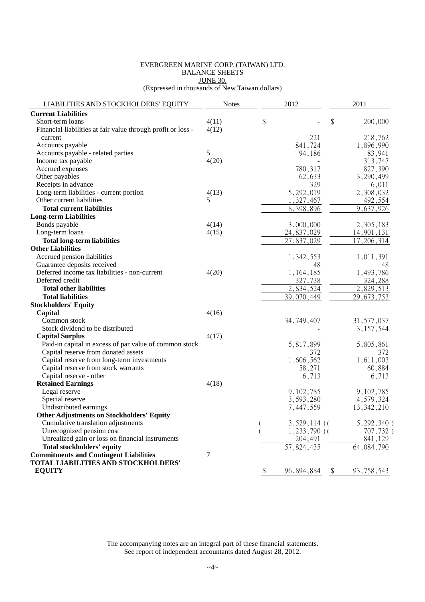#### EVERGREEN MARINE CORP. (TAIWAN) LTD. BALANCE SHEETS JUNE 30,

(Expressed in thousands of New Taiwan dollars)

| LIABILITIES AND STOCKHOLDERS' EQUITY<br><b>Notes</b>                  | 2012                        | 2011                          |
|-----------------------------------------------------------------------|-----------------------------|-------------------------------|
| <b>Current Liabilities</b>                                            |                             |                               |
| Short-term loans<br>4(11)                                             | \$                          | \$<br>200,000                 |
| 4(12)<br>Financial liabilities at fair value through profit or loss - |                             |                               |
| current                                                               | 221                         | 218,762                       |
| Accounts payable                                                      | 841,724                     | 1,896,990                     |
| 5<br>Accounts payable - related parties                               | 94,186                      | 83,941                        |
| 4(20)<br>Income tax payable                                           |                             | 313,747                       |
| Accrued expenses                                                      | 780,317                     | 827,390                       |
| Other payables                                                        | 62,633                      | 3,290,499                     |
| Receipts in advance                                                   | 329                         | 6,011                         |
| Long-term liabilities - current portion<br>4(13)                      | 5,292,019                   | 2,308,032                     |
| 5<br>Other current liabilities                                        | , 327, 467                  | 492,554                       |
| <b>Total current liabilities</b>                                      | 8,398,896                   | 9,637,926                     |
| <b>Long-term Liabilities</b>                                          |                             |                               |
| Bonds payable<br>4(14)                                                | 3,000,000                   | 2,305,183                     |
| Long-term loans<br>4(15)                                              | 24,837,029                  | 14,901,131                    |
| <b>Total long-term liabilities</b>                                    | 27,837,029                  | 17,206,314                    |
| <b>Other Liabilities</b>                                              |                             |                               |
| Accrued pension liabilities                                           | 1,342,553                   | 1,011,391                     |
| Guarantee deposits received                                           | 48                          | 48                            |
| Deferred income tax liabilities - non-current<br>4(20)                | 1,164,185                   | 1,493,786                     |
| Deferred credit                                                       | 327,738                     | 324,288                       |
| <b>Total other liabilities</b>                                        | 2,834,524                   | 2,829,513                     |
| <b>Total liabilities</b>                                              | 39,070,449                  | 29, 673, 753                  |
| <b>Stockholders' Equity</b>                                           |                             |                               |
| 4(16)<br>Capital                                                      |                             |                               |
| Common stock                                                          | 34,749,407                  | 31, 577, 037                  |
| Stock dividend to be distributed                                      |                             | 3, 157, 544                   |
| 4(17)<br><b>Capital Surplus</b>                                       |                             |                               |
| Paid-in capital in excess of par value of common stock                | 5,817,899                   | 5,805,861                     |
| Capital reserve from donated assets                                   | 372                         | 372                           |
| Capital reserve from long-term investments                            | 1,606,562                   | 1,611,003                     |
| Capital reserve from stock warrants                                   | 58,271                      | 60,884                        |
| Capital reserve - other                                               | 6,713                       | 6,713                         |
| <b>Retained Earnings</b><br>4(18)                                     |                             |                               |
| Legal reserve                                                         | 9,102,785                   | 9,102,785                     |
| Special reserve                                                       | 3,593,280                   | 4,579,324                     |
| Undistributed earnings                                                | 7,447,559                   | 13, 342, 210                  |
| <b>Other Adjustments on Stockholders' Equity</b>                      |                             |                               |
| Cumulative translation adjustments                                    | $3,529,114$ )(<br>(         | $5, 292, 340$ )               |
| Unrecognized pension cost                                             | $1,233,790$ )(              | 707,732)                      |
| Unrealized gain or loss on financial instruments                      | 204,491                     | 841,129                       |
| <b>Total stockholders' equity</b>                                     | 57,824,435                  | 64, 084, 790                  |
| <b>Commitments and Contingent Liabilities</b><br>7                    |                             |                               |
| TOTAL LIABILITIES AND STOCKHOLDERS'                                   |                             |                               |
| <b>EQUITY</b>                                                         | $\frac{1}{2}$<br>96,894,884 | 93, 758, 543<br>$\frac{1}{2}$ |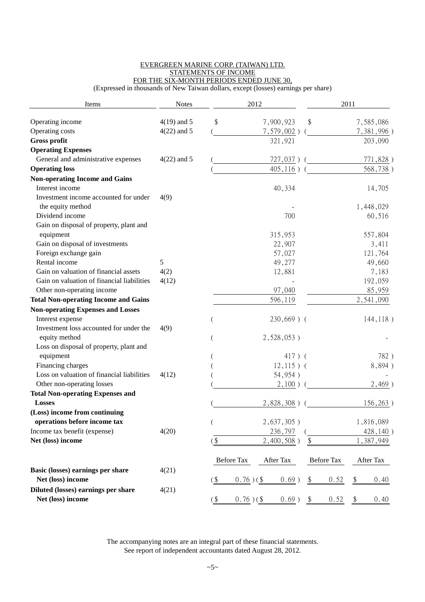#### EVERGREEN MARINE CORP. (TAIWAN) LTD. STATEMENTS OF INCOME FOR THE SIX-MONTH PERIODS ENDED JUNE 30,

(Expressed in thousands of New Taiwan dollars, except (losses) earnings per share)

| Items                                       | <b>Notes</b>  |        | 2012        |               |                            | 2011              |    |            |
|---------------------------------------------|---------------|--------|-------------|---------------|----------------------------|-------------------|----|------------|
| Operating income                            | $4(19)$ and 5 | \$     |             | 7,900,923     | \$                         |                   |    | 7,585,086  |
| Operating costs                             | $4(22)$ and 5 |        |             | $7,579,002$ ) |                            |                   |    | 7,381,996) |
| <b>Gross profit</b>                         |               |        |             | 321,921       |                            |                   |    | 203,090    |
| <b>Operating Expenses</b>                   |               |        |             |               |                            |                   |    |            |
| General and administrative expenses         | $4(22)$ and 5 |        |             | 727,037)      |                            |                   |    | 771,828)   |
| <b>Operating loss</b>                       |               |        |             | $405, 116$ )  |                            |                   |    | 568,738)   |
| <b>Non-operating Income and Gains</b>       |               |        |             |               |                            |                   |    |            |
| Interest income                             |               |        |             | 40,334        |                            |                   |    | 14,705     |
| Investment income accounted for under       | 4(9)          |        |             |               |                            |                   |    |            |
| the equity method                           |               |        |             |               |                            |                   |    | 1,448,029  |
| Dividend income                             |               |        |             | 700           |                            |                   |    | 60,516     |
| Gain on disposal of property, plant and     |               |        |             |               |                            |                   |    |            |
| equipment                                   |               |        |             | 315,953       |                            |                   |    | 557,804    |
| Gain on disposal of investments             |               |        |             | 22,907        |                            |                   |    | 3,411      |
| Foreign exchange gain                       |               |        |             | 57,027        |                            |                   |    | 121,764    |
| Rental income                               | 5             |        |             | 49,277        |                            |                   |    | 49,660     |
| Gain on valuation of financial assets       | 4(2)          |        |             | 12,881        |                            |                   |    | 7,183      |
| Gain on valuation of financial liabilities  | 4(12)         |        |             |               |                            |                   |    | 192,059    |
| Other non-operating income                  |               |        |             | 97,040        |                            |                   |    | 85,959     |
| <b>Total Non-operating Income and Gains</b> |               |        |             | 596,119       |                            |                   |    | 2,541,090  |
| <b>Non-operating Expenses and Losses</b>    |               |        |             |               |                            |                   |    |            |
| Interest expense                            |               |        |             | $230,669$ ) ( |                            |                   |    | 144, 118)  |
| Investment loss accounted for under the     | 4(9)          |        |             |               |                            |                   |    |            |
| equity method                               |               |        |             | $2,528,053$ ) |                            |                   |    |            |
| Loss on disposal of property, plant and     |               |        |             |               |                            |                   |    |            |
| equipment                                   |               |        |             | $417)$ (      |                            |                   |    | 782)       |
| Financing charges                           |               |        |             | $12,115$ ) (  |                            |                   |    | 8,894)     |
| Loss on valuation of financial liabilities  | 4(12)         |        |             | 54,954)       |                            |                   |    |            |
| Other non-operating losses                  |               |        |             | $2,100$ )     |                            |                   |    | 2,469)     |
| <b>Total Non-operating Expenses and</b>     |               |        |             |               |                            |                   |    |            |
| <b>Losses</b>                               |               |        |             | 2,828,308)    |                            |                   |    | 156,263)   |
| (Loss) income from continuing               |               |        |             |               |                            |                   |    |            |
| operations before income tax                |               |        |             | $2,637,305$ ) |                            |                   |    | 1,816,089  |
| Income tax benefit (expense)                | 4(20)         |        |             | 236,797       |                            |                   |    | 428,140)   |
| Net (loss) income                           |               | $($ \$ |             | 2,400,508)    | $\boldsymbol{\mathsf{\$}}$ |                   |    | 1,387,949  |
|                                             |               |        | Before Tax  | After Tax     |                            | <b>Before Tax</b> |    | After Tax  |
| Basic (losses) earnings per share           | 4(21)         |        |             |               |                            |                   |    |            |
| Net (loss) income                           |               | $($ \$ | $0.76$ )(\$ | $0.69$ )      | $\frac{1}{2}$              | 0.52              | \$ | 0.40       |
| Diluted (losses) earnings per share         | 4(21)         |        |             |               |                            |                   |    |            |
| Net (loss) income                           |               | $($ \$ | $0.76$ )(\$ | $0.69$ )      | $\$\$                      | 0.52              | \$ | 0.40       |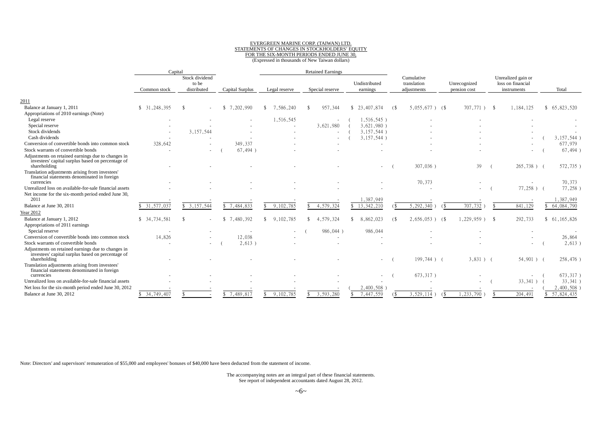#### EVERGREEN MARINE CORP. (TAIWAN) LTD. STATEMENTS OF CHANGES IN STOCKHOLDERS' EQUITY FOR THE SIX-MONTH PERIODS ENDED JUNE 30, (Expressed in thousands of New Taiwan dollars)

|                                                                                                                         | Capital                      |                                        |                            |                 | <b>Retained Earnings</b> |                           |                                          |                              |                                                        |              |
|-------------------------------------------------------------------------------------------------------------------------|------------------------------|----------------------------------------|----------------------------|-----------------|--------------------------|---------------------------|------------------------------------------|------------------------------|--------------------------------------------------------|--------------|
|                                                                                                                         | Common stock                 | Stock dividend<br>to be<br>distributed | Capital Surplus            | Legal reserve   | Special reserve          | Undistributed<br>earnings | Cumulative<br>translation<br>adjustments | Unrecognized<br>pension cost | Unrealized gain or<br>loss on financial<br>instruments | Total        |
|                                                                                                                         |                              |                                        |                            |                 |                          |                           |                                          |                              |                                                        |              |
| 2011                                                                                                                    |                              |                                        |                            |                 |                          |                           |                                          |                              |                                                        |              |
| Balance at January 1, 2011                                                                                              | \$31,248,395                 | -\$                                    | 7,202,990<br><sup>\$</sup> | 7,586,240<br>\$ | 957,344                  | \$23,407,874              | $5,055,677$ ) (\$<br><sup>6</sup>        | $707,771$ )                  | 1,184,125<br>- \$                                      | \$65,823,520 |
| Appropriations of 2010 earnings (Note)                                                                                  |                              |                                        |                            |                 |                          |                           |                                          |                              |                                                        |              |
| Legal reserve                                                                                                           |                              |                                        |                            | 1,516,545       | $\blacksquare$           | $1,516,545$ )             |                                          |                              |                                                        |              |
| Special reserve                                                                                                         |                              |                                        |                            |                 | 3,621,980                | 3.621.980                 |                                          |                              |                                                        |              |
| Stock dividends                                                                                                         |                              | 3,157,544                              |                            |                 | $\overline{\phantom{a}}$ | 3,157,544)                |                                          |                              |                                                        |              |
| Cash dividends                                                                                                          |                              |                                        |                            |                 | $\overline{\phantom{a}}$ | 3,157,544                 |                                          |                              |                                                        | 3,157,544)   |
| Conversion of convertible bonds into common stock                                                                       | 328,642                      |                                        | 349,337                    |                 |                          | $\overline{\phantom{a}}$  |                                          |                              |                                                        | 677,979      |
| Stock warrants of convertible bonds                                                                                     |                              | $\overline{\phantom{a}}$               | 67,494                     |                 |                          |                           |                                          |                              |                                                        | 67,494)      |
| Adjustments on retained earnings due to changes in<br>investees' capital surplus based on percentage of<br>shareholding |                              |                                        |                            |                 |                          |                           | 307,036)                                 | 39                           | $265,738$ ) (                                          | 572,735)     |
| Translation adjustments arising from investees'<br>financial statements denominated in foreign<br>currencies            |                              |                                        |                            |                 |                          |                           | 70,373                                   |                              |                                                        | 70,373       |
| Unrealized loss on available-for-sale financial assets                                                                  |                              |                                        |                            |                 |                          |                           |                                          |                              | $77,258$ )                                             | 77,258)      |
| Net income for the six-month period ended June 30,                                                                      |                              |                                        |                            |                 |                          |                           |                                          |                              |                                                        |              |
| 2011                                                                                                                    |                              |                                        |                            |                 |                          | .387,949                  |                                          |                              | $\overline{\phantom{a}}$                               | .387.949     |
| Balance at June 30, 2011                                                                                                | $\overline{\$}$ 31, 577, 037 | \$3,157,544                            | \$7,484,833                | 9,102,785       | 4,579,324                | \$13,342,210              | 5,292,340                                | 707,732<br>7\$               | 841,129                                                | 64,084,790   |
| Year 2012                                                                                                               |                              |                                        |                            |                 |                          |                           |                                          |                              |                                                        |              |
| Balance at January 1, 2012                                                                                              | \$34,734,581                 |                                        | 7,480,392<br>\$.           | 9,102,785       | .579,324<br>- 4          | 8,862,023                 | $2,656,053$ )                            | $1,229,959$ )<br>68          | 292,733<br>-8                                          | \$61,165,826 |
| Appropriations of 2011 earnings                                                                                         |                              |                                        |                            |                 |                          |                           | 6 S                                      |                              |                                                        |              |
| Special reserve                                                                                                         |                              |                                        |                            |                 | 986,044)                 | 986,044                   |                                          |                              |                                                        |              |
| Conversion of convertible bonds into common stock                                                                       | 14,826                       |                                        | 12,038                     |                 |                          |                           |                                          |                              |                                                        | 26,864       |
| Stock warrants of convertible bonds                                                                                     |                              | $\sim$                                 | 2,613                      |                 | $\overline{\phantom{a}}$ |                           |                                          |                              |                                                        | 2,613)       |
| Adjustments on retained earnings due to changes in                                                                      |                              |                                        |                            |                 |                          |                           |                                          |                              |                                                        |              |
| investees' capital surplus based on percentage of<br>shareholding                                                       |                              |                                        |                            |                 |                          |                           | 199,744) (                               | $3,831$ ) (                  | $54,901$ ) (                                           | 258,476)     |
| Translation adjustments arising from investees'<br>financial statements denominated in foreign<br>currencies            |                              |                                        |                            |                 |                          |                           | 673,317)                                 |                              |                                                        | 673,317)     |
| Unrealized loss on available-for-sale financial assets                                                                  |                              |                                        |                            |                 |                          |                           |                                          |                              | $33,341$ )                                             | 33,341)      |
| Net loss for the six-month period ended June 30, 2012                                                                   |                              |                                        |                            |                 |                          | 2,400,508                 |                                          |                              |                                                        | 2,400,508    |
| Balance at June 30, 2012                                                                                                | \$34,749,407                 |                                        | 7,489,817<br>\$.           | 9,102,785       | 3,593,280                | 7,447,559                 | 3,529,114                                | , 233, 790                   | 204,491                                                | 57,824,435   |
|                                                                                                                         |                              |                                        |                            |                 |                          |                           |                                          |                              |                                                        |              |

Note: Directors' and supervisors' remuneration of \$55,000 and employees' bonuses of \$40,000 have been deducted from the statement of income.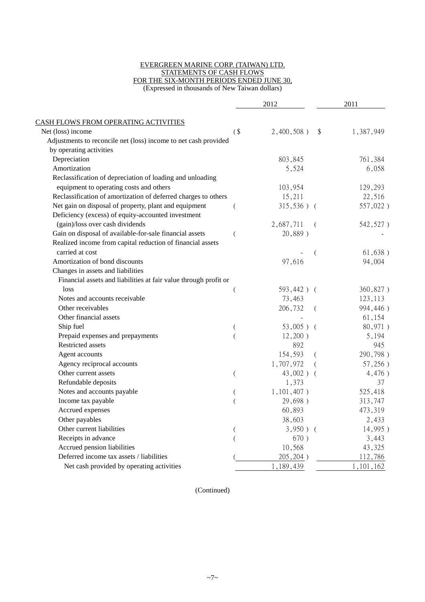#### EVERGREEN MARINE CORP. (TAIWAN) LTD. STATEMENTS OF CASH FLOWS FOR THE SIX-MONTH PERIODS ENDED JUNE 30, (Expressed in thousands of New Taiwan dollars)

|                                                                  |        | 2012          |          | 2011      |  |
|------------------------------------------------------------------|--------|---------------|----------|-----------|--|
| CASH FLOWS FROM OPERATING ACTIVITIES                             |        |               |          |           |  |
| Net (loss) income                                                | $($ \$ | $2,400,508$ ) | \$       | 1,387,949 |  |
| Adjustments to reconcile net (loss) income to net cash provided  |        |               |          |           |  |
| by operating activities                                          |        |               |          |           |  |
| Depreciation                                                     |        | 803,845       |          | 761,384   |  |
| Amortization                                                     |        | 5,524         |          | 6,058     |  |
| Reclassification of depreciation of loading and unloading        |        |               |          |           |  |
| equipment to operating costs and others                          |        | 103,954       |          | 129,293   |  |
| Reclassification of amortization of deferred charges to others   |        | 15,211        |          | 22,516    |  |
| Net gain on disposal of property, plant and equipment            |        | $315,536$ ) ( |          | 557,022)  |  |
| Deficiency (excess) of equity-accounted investment               |        |               |          |           |  |
| (gain)/loss over cash dividends                                  |        | 2,687,711     | $\left($ | 542,527)  |  |
| Gain on disposal of available-for-sale financial assets          | (      | 20,889)       |          |           |  |
| Realized income from capital reduction of financial assets       |        |               |          |           |  |
| carried at cost                                                  |        |               |          | 61,638)   |  |
| Amortization of bond discounts                                   |        | 97,616        |          | 94,004    |  |
| Changes in assets and liabilities                                |        |               |          |           |  |
| Financial assets and liabilities at fair value through profit or |        |               |          |           |  |
| loss                                                             |        | 593,442) (    |          | 360,827)  |  |
| Notes and accounts receivable                                    |        | 73,463        |          | 123,113   |  |
| Other receivables                                                |        | 206,732       | (        | 994,446)  |  |
| Other financial assets                                           |        |               |          | 61,154    |  |
| Ship fuel                                                        |        | $53,005$ ) (  |          | 80,971)   |  |
| Prepaid expenses and prepayments                                 |        | $12,200$ )    |          | 5,194     |  |
| Restricted assets                                                |        | 892           |          | 945       |  |
| Agent accounts                                                   |        | 154,593       | €        | 290,798)  |  |
| Agency reciprocal accounts                                       |        | 1,707,972     | $\left($ | 57,256)   |  |
| Other current assets                                             | (      | 43,002) (     |          | 4,476)    |  |
| Refundable deposits                                              |        | 1,373         |          | 37        |  |
| Notes and accounts payable                                       | (      | $1,101,407$ ) |          | 525,418   |  |
| Income tax payable                                               |        | 29,698)       |          | 313,747   |  |
| Accrued expenses                                                 |        | 60,893        |          | 473,319   |  |
| Other payables                                                   |        | 38,603        |          | 2,433     |  |
| Other current liabilities                                        |        | $3,950$ ) (   |          | 14,995)   |  |
| Receipts in advance                                              |        | 670)          |          | 3,443     |  |
| Accrued pension liabilities                                      |        | 10,568        |          | 43,325    |  |
| Deferred income tax assets / liabilities                         |        | 205, 204)     |          | 112,786   |  |
| Net cash provided by operating activities                        |        | 1,189,439     |          | 1,101,162 |  |

(Continued)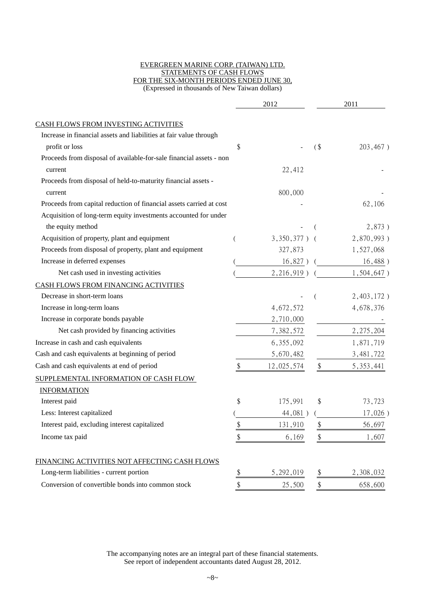#### EVERGREEN MARINE CORP. (TAIWAN) LTD. STATEMENTS OF CASH FLOWS FOR THE SIX-MONTH PERIODS ENDED JUNE 30, (Expressed in thousands of New Taiwan dollars)

|                                                                     |    | 2012            |        | 2011          |
|---------------------------------------------------------------------|----|-----------------|--------|---------------|
| CASH FLOWS FROM INVESTING ACTIVITIES                                |    |                 |        |               |
| Increase in financial assets and liabilities at fair value through  |    |                 |        |               |
| profit or loss                                                      | \$ |                 | $($ \$ | 203,467)      |
| Proceeds from disposal of available-for-sale financial assets - non |    |                 |        |               |
| current                                                             |    | 22,412          |        |               |
| Proceeds from disposal of held-to-maturity financial assets -       |    |                 |        |               |
| current                                                             |    | 800,000         |        |               |
| Proceeds from capital reduction of financial assets carried at cost |    |                 |        | 62,106        |
| Acquisition of long-term equity investments accounted for under     |    |                 |        |               |
| the equity method                                                   |    |                 |        | 2,873)        |
| Acquisition of property, plant and equipment                        |    | $3,350,377$ ) ( |        | 2,870,993)    |
| Proceeds from disposal of property, plant and equipment             |    | 327,873         |        | 1,527,068     |
| Increase in deferred expenses                                       |    | $16,827$ ) (    |        | 16,488)       |
| Net cash used in investing activities                               |    | $2,216,919$ )   |        | $1,504,647$ ) |
| CASH FLOWS FROM FINANCING ACTIVITIES                                |    |                 |        |               |
| Decrease in short-term loans                                        |    |                 |        | 2,403,172)    |
| Increase in long-term loans                                         |    | 4,672,572       |        | 4,678,376     |
| Increase in corporate bonds payable                                 |    | 2,710,000       |        |               |
| Net cash provided by financing activities                           |    | 7,382,572       |        | 2, 275, 204   |
| Increase in cash and cash equivalents                               |    | 6, 355, 092     |        | 1,871,719     |
| Cash and cash equivalents at beginning of period                    |    | 5,670,482       |        | 3, 481, 722   |
| Cash and cash equivalents at end of period                          | \$ | 12,025,574      | \$     | 5, 353, 441   |
| SUPPLEMENTAL INFORMATION OF CASH FLOW                               |    |                 |        |               |
| <b>INFORMATION</b>                                                  |    |                 |        |               |
| Interest paid                                                       | \$ | 175,991         | \$     | 73,723        |
| Less: Interest capitalized                                          |    | 44,081)         |        | $17,026$ )    |
| Interest paid, excluding interest capitalized                       | \$ | 131,910         | \$     | 56,697        |
| Income tax paid                                                     | \$ | 6,169           | \$     | 1,607         |
| FINANCING ACTIVITIES NOT AFFECTING CASH FLOWS                       |    |                 |        |               |
| Long-term liabilities - current portion                             | \$ | 5,292,019       | \$     | 2,308,032     |
| Conversion of convertible bonds into common stock                   | \$ | 25,500          | \$     | 658,600       |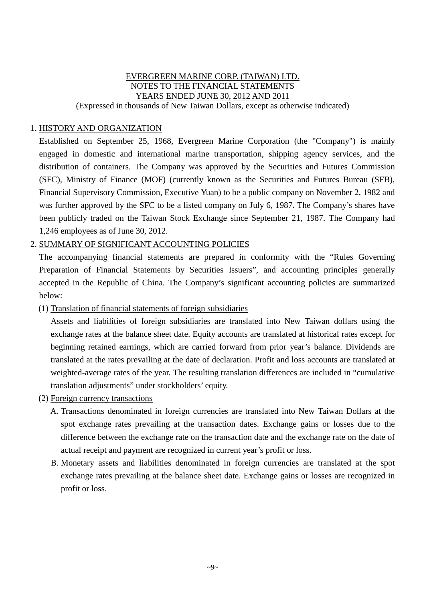#### EVERGREEN MARINE CORP. (TAIWAN) LTD. NOTES TO THE FINANCIAL STATEMENTS YEARS ENDED JUNE 30, 2012 AND 2011 (Expressed in thousands of New Taiwan Dollars, except as otherwise indicated)

### 1. HISTORY AND ORGANIZATION

Established on September 25, 1968, Evergreen Marine Corporation (the "Company") is mainly engaged in domestic and international marine transportation, shipping agency services, and the distribution of containers. The Company was approved by the Securities and Futures Commission (SFC), Ministry of Finance (MOF) (currently known as the Securities and Futures Bureau (SFB), Financial Supervisory Commission, Executive Yuan) to be a public company on November 2, 1982 and was further approved by the SFC to be a listed company on July 6, 1987. The Company's shares have been publicly traded on the Taiwan Stock Exchange since September 21, 1987. The Company had 1,246 employees as of June 30, 2012.

### 2. SUMMARY OF SIGNIFICANT ACCOUNTING POLICIES

The accompanying financial statements are prepared in conformity with the "Rules Governing Preparation of Financial Statements by Securities Issuers", and accounting principles generally accepted in the Republic of China. The Company's significant accounting policies are summarized below:

(1) Translation of financial statements of foreign subsidiaries

Assets and liabilities of foreign subsidiaries are translated into New Taiwan dollars using the exchange rates at the balance sheet date. Equity accounts are translated at historical rates except for beginning retained earnings, which are carried forward from prior year's balance. Dividends are translated at the rates prevailing at the date of declaration. Profit and loss accounts are translated at weighted-average rates of the year. The resulting translation differences are included in "cumulative translation adjustments" under stockholders' equity.

- (2) Foreign currency transactions
	- A. Transactions denominated in foreign currencies are translated into New Taiwan Dollars at the spot exchange rates prevailing at the transaction dates. Exchange gains or losses due to the difference between the exchange rate on the transaction date and the exchange rate on the date of actual receipt and payment are recognized in current year's profit or loss.
	- B. Monetary assets and liabilities denominated in foreign currencies are translated at the spot exchange rates prevailing at the balance sheet date. Exchange gains or losses are recognized in profit or loss.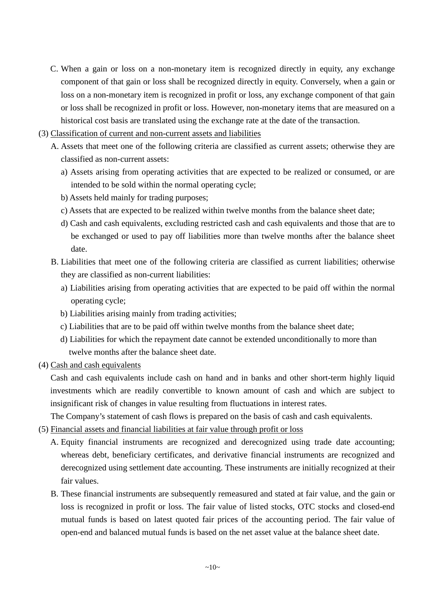- C. When a gain or loss on a non-monetary item is recognized directly in equity, any exchange component of that gain or loss shall be recognized directly in equity. Conversely, when a gain or loss on a non-monetary item is recognized in profit or loss, any exchange component of that gain or loss shall be recognized in profit or loss. However, non-monetary items that are measured on a historical cost basis are translated using the exchange rate at the date of the transaction.
- (3) Classification of current and non-current assets and liabilities
	- A. Assets that meet one of the following criteria are classified as current assets; otherwise they are classified as non-current assets:
		- a) Assets arising from operating activities that are expected to be realized or consumed, or are intended to be sold within the normal operating cycle;
		- b) Assets held mainly for trading purposes;
		- c) Assets that are expected to be realized within twelve months from the balance sheet date;
		- d) Cash and cash equivalents, excluding restricted cash and cash equivalents and those that are to be exchanged or used to pay off liabilities more than twelve months after the balance sheet date.
	- B. Liabilities that meet one of the following criteria are classified as current liabilities; otherwise they are classified as non-current liabilities:
		- a) Liabilities arising from operating activities that are expected to be paid off within the normal operating cycle;
		- b) Liabilities arising mainly from trading activities;
		- c) Liabilities that are to be paid off within twelve months from the balance sheet date;
		- d) Liabilities for which the repayment date cannot be extended unconditionally to more than twelve months after the balance sheet date.
- (4) Cash and cash equivalents

Cash and cash equivalents include cash on hand and in banks and other short-term highly liquid investments which are readily convertible to known amount of cash and which are subject to insignificant risk of changes in value resulting from fluctuations in interest rates.

The Company's statement of cash flows is prepared on the basis of cash and cash equivalents.

- (5) Financial assets and financial liabilities at fair value through profit or loss
	- A. Equity financial instruments are recognized and derecognized using trade date accounting; whereas debt, beneficiary certificates, and derivative financial instruments are recognized and derecognized using settlement date accounting. These instruments are initially recognized at their fair values.
	- B. These financial instruments are subsequently remeasured and stated at fair value, and the gain or loss is recognized in profit or loss. The fair value of listed stocks, OTC stocks and closed-end mutual funds is based on latest quoted fair prices of the accounting period. The fair value of open-end and balanced mutual funds is based on the net asset value at the balance sheet date.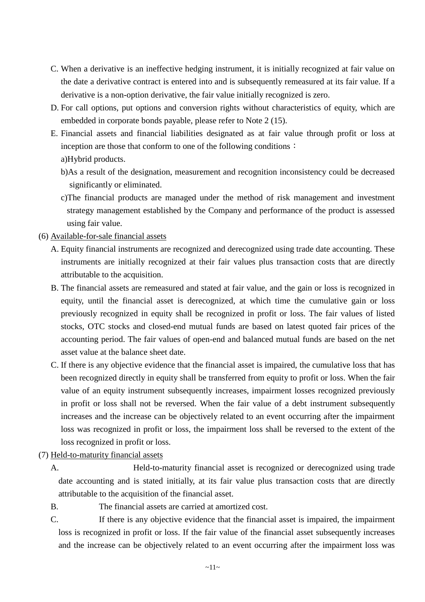- C. When a derivative is an ineffective hedging instrument, it is initially recognized at fair value on the date a derivative contract is entered into and is subsequently remeasured at its fair value. If a derivative is a non-option derivative, the fair value initially recognized is zero.
- D. For call options, put options and conversion rights without characteristics of equity, which are embedded in corporate bonds payable, please refer to Note 2 (15).
- E. Financial assets and financial liabilities designated as at fair value through profit or loss at inception are those that conform to one of the following conditions: a)Hybrid products.
	- b)As a result of the designation, measurement and recognition inconsistency could be decreased significantly or eliminated.
	- c)The financial products are managed under the method of risk management and investment strategy management established by the Company and performance of the product is assessed using fair value.
- (6) Available-for-sale financial assets
	- A. Equity financial instruments are recognized and derecognized using trade date accounting. These instruments are initially recognized at their fair values plus transaction costs that are directly attributable to the acquisition.
	- B. The financial assets are remeasured and stated at fair value, and the gain or loss is recognized in equity, until the financial asset is derecognized, at which time the cumulative gain or loss previously recognized in equity shall be recognized in profit or loss. The fair values of listed stocks, OTC stocks and closed-end mutual funds are based on latest quoted fair prices of the accounting period. The fair values of open-end and balanced mutual funds are based on the net asset value at the balance sheet date.
	- C. If there is any objective evidence that the financial asset is impaired, the cumulative loss that has been recognized directly in equity shall be transferred from equity to profit or loss. When the fair value of an equity instrument subsequently increases, impairment losses recognized previously in profit or loss shall not be reversed. When the fair value of a debt instrument subsequently increases and the increase can be objectively related to an event occurring after the impairment loss was recognized in profit or loss, the impairment loss shall be reversed to the extent of the loss recognized in profit or loss.
- (7) Held-to-maturity financial assets
	- A. Held-to-maturity financial asset is recognized or derecognized using trade date accounting and is stated initially, at its fair value plus transaction costs that are directly attributable to the acquisition of the financial asset.
	- B. The financial assets are carried at amortized cost.
	- C. If there is any objective evidence that the financial asset is impaired, the impairment loss is recognized in profit or loss. If the fair value of the financial asset subsequently increases and the increase can be objectively related to an event occurring after the impairment loss was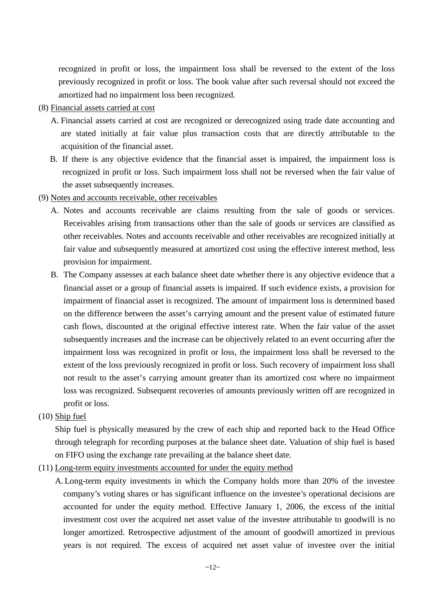recognized in profit or loss, the impairment loss shall be reversed to the extent of the loss previously recognized in profit or loss. The book value after such reversal should not exceed the amortized had no impairment loss been recognized.

- (8) Financial assets carried at cost
	- A. Financial assets carried at cost are recognized or derecognized using trade date accounting and are stated initially at fair value plus transaction costs that are directly attributable to the acquisition of the financial asset.
	- B. If there is any objective evidence that the financial asset is impaired, the impairment loss is recognized in profit or loss. Such impairment loss shall not be reversed when the fair value of the asset subsequently increases.
- (9) Notes and accounts receivable, other receivables
	- A. Notes and accounts receivable are claims resulting from the sale of goods or services. Receivables arising from transactions other than the sale of goods or services are classified as other receivables. Notes and accounts receivable and other receivables are recognized initially at fair value and subsequently measured at amortized cost using the effective interest method, less provision for impairment.
	- B. The Company assesses at each balance sheet date whether there is any objective evidence that a financial asset or a group of financial assets is impaired. If such evidence exists, a provision for impairment of financial asset is recognized. The amount of impairment loss is determined based on the difference between the asset's carrying amount and the present value of estimated future cash flows, discounted at the original effective interest rate. When the fair value of the asset subsequently increases and the increase can be objectively related to an event occurring after the impairment loss was recognized in profit or loss, the impairment loss shall be reversed to the extent of the loss previously recognized in profit or loss. Such recovery of impairment loss shall not result to the asset's carrying amount greater than its amortized cost where no impairment loss was recognized. Subsequent recoveries of amounts previously written off are recognized in profit or loss.
- (10) Ship fuel

Ship fuel is physically measured by the crew of each ship and reported back to the Head Office through telegraph for recording purposes at the balance sheet date. Valuation of ship fuel is based on FIFO using the exchange rate prevailing at the balance sheet date.

- (11) Long-term equity investments accounted for under the equity method
	- A. Long-term equity investments in which the Company holds more than 20% of the investee company's voting shares or has significant influence on the investee's operational decisions are accounted for under the equity method. Effective January 1, 2006, the excess of the initial investment cost over the acquired net asset value of the investee attributable to goodwill is no longer amortized. Retrospective adjustment of the amount of goodwill amortized in previous years is not required. The excess of acquired net asset value of investee over the initial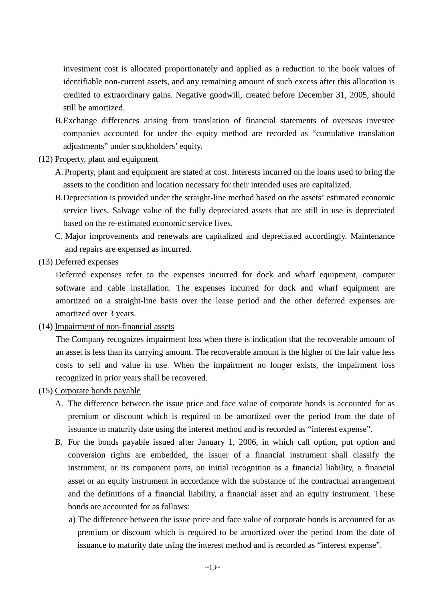investment cost is allocated proportionately and applied as a reduction to the book values of identifiable non-current assets, and any remaining amount of such excess after this allocation is credited to extraordinary gains. Negative goodwill, created before December 31, 2005, should still be amortized.

- B.Exchange differences arising from translation of financial statements of overseas investee companies accounted for under the equity method are recorded as "cumulative translation adjustments" under stockholders' equity.
- (12) Property, plant and equipment
	- A. Property, plant and equipment are stated at cost. Interests incurred on the loans used to bring the assets to the condition and location necessary for their intended uses are capitalized.
	- B.Depreciation is provided under the straight-line method based on the assets' estimated economic service lives. Salvage value of the fully depreciated assets that are still in use is depreciated based on the re-estimated economic service lives.
	- C. Major improvements and renewals are capitalized and depreciated accordingly. Maintenance and repairs are expensed as incurred.
- (13) Deferred expenses

Deferred expenses refer to the expenses incurred for dock and wharf equipment, computer software and cable installation. The expenses incurred for dock and wharf equipment are amortized on a straight-line basis over the lease period and the other deferred expenses are amortized over 3 years.

(14) Impairment of non-financial assets

The Company recognizes impairment loss when there is indication that the recoverable amount of an asset is less than its carrying amount. The recoverable amount is the higher of the fair value less costs to sell and value in use. When the impairment no longer exists, the impairment loss recognized in prior years shall be recovered.

- (15) Corporate bonds payable
	- A. The difference between the issue price and face value of corporate bonds is accounted for as premium or discount which is required to be amortized over the period from the date of issuance to maturity date using the interest method and is recorded as "interest expense".
	- B. For the bonds payable issued after January 1, 2006, in which call option, put option and conversion rights are embedded, the issuer of a financial instrument shall classify the instrument, or its component parts, on initial recognition as a financial liability, a financial asset or an equity instrument in accordance with the substance of the contractual arrangement and the definitions of a financial liability, a financial asset and an equity instrument. These bonds are accounted for as follows:
		- a) The difference between the issue price and face value of corporate bonds is accounted for as premium or discount which is required to be amortized over the period from the date of issuance to maturity date using the interest method and is recorded as "interest expense".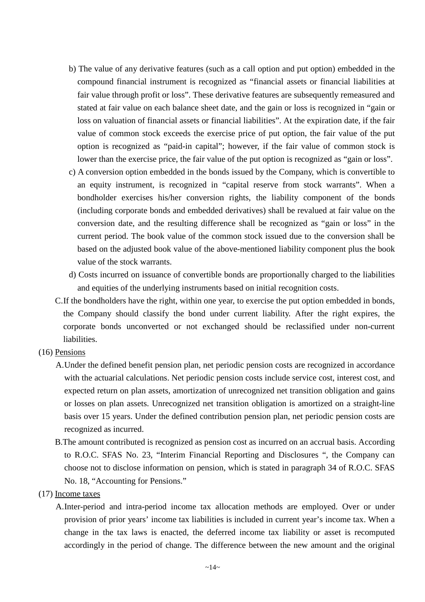- b) The value of any derivative features (such as a call option and put option) embedded in the compound financial instrument is recognized as "financial assets or financial liabilities at fair value through profit or loss". These derivative features are subsequently remeasured and stated at fair value on each balance sheet date, and the gain or loss is recognized in "gain or loss on valuation of financial assets or financial liabilities". At the expiration date, if the fair value of common stock exceeds the exercise price of put option, the fair value of the put option is recognized as "paid-in capital"; however, if the fair value of common stock is lower than the exercise price, the fair value of the put option is recognized as "gain or loss".
- c) A conversion option embedded in the bonds issued by the Company, which is convertible to an equity instrument, is recognized in "capital reserve from stock warrants". When a bondholder exercises his/her conversion rights, the liability component of the bonds (including corporate bonds and embedded derivatives) shall be revalued at fair value on the conversion date, and the resulting difference shall be recognized as "gain or loss" in the current period. The book value of the common stock issued due to the conversion shall be based on the adjusted book value of the above-mentioned liability component plus the book value of the stock warrants.
- d) Costs incurred on issuance of convertible bonds are proportionally charged to the liabilities and equities of the underlying instruments based on initial recognition costs.
- C.If the bondholders have the right, within one year, to exercise the put option embedded in bonds, the Company should classify the bond under current liability. After the right expires, the corporate bonds unconverted or not exchanged should be reclassified under non-current liabilities.
- (16) Pensions
	- A.Under the defined benefit pension plan, net periodic pension costs are recognized in accordance with the actuarial calculations. Net periodic pension costs include service cost, interest cost, and expected return on plan assets, amortization of unrecognized net transition obligation and gains or losses on plan assets. Unrecognized net transition obligation is amortized on a straight-line basis over 15 years. Under the defined contribution pension plan, net periodic pension costs are recognized as incurred.
	- B.The amount contributed is recognized as pension cost as incurred on an accrual basis. According to R.O.C. SFAS No. 23, "Interim Financial Reporting and Disclosures ", the Company can choose not to disclose information on pension, which is stated in paragraph 34 of R.O.C. SFAS No. 18, "Accounting for Pensions."
- (17) Income taxes
	- A.Inter-period and intra-period income tax allocation methods are employed. Over or under provision of prior years' income tax liabilities is included in current year's income tax. When a change in the tax laws is enacted, the deferred income tax liability or asset is recomputed accordingly in the period of change. The difference between the new amount and the original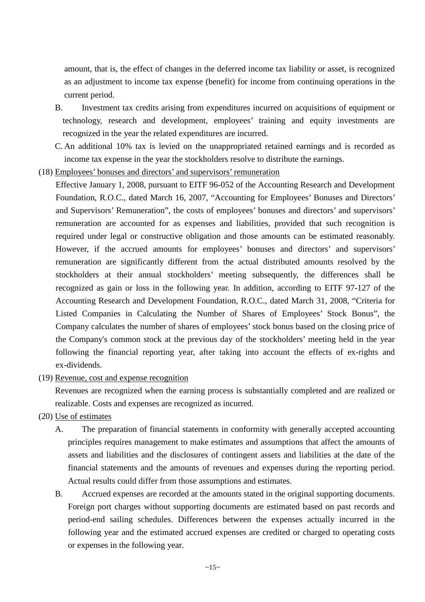amount, that is, the effect of changes in the deferred income tax liability or asset, is recognized as an adjustment to income tax expense (benefit) for income from continuing operations in the current period.

- B. Investment tax credits arising from expenditures incurred on acquisitions of equipment or technology, research and development, employees' training and equity investments are recognized in the year the related expenditures are incurred.
- C. An additional 10% tax is levied on the unappropriated retained earnings and is recorded as income tax expense in the year the stockholders resolve to distribute the earnings.
- (18) Employees' bonuses and directors' and supervisors' remuneration
	- Effective January 1, 2008, pursuant to EITF 96-052 of the Accounting Research and Development Foundation, R.O.C., dated March 16, 2007, "Accounting for Employees' Bonuses and Directors' and Supervisors' Remuneration", the costs of employees' bonuses and directors' and supervisors' remuneration are accounted for as expenses and liabilities, provided that such recognition is required under legal or constructive obligation and those amounts can be estimated reasonably. However, if the accrued amounts for employees' bonuses and directors' and supervisors' remuneration are significantly different from the actual distributed amounts resolved by the stockholders at their annual stockholders' meeting subsequently, the differences shall be recognized as gain or loss in the following year. In addition, according to EITF 97-127 of the Accounting Research and Development Foundation, R.O.C., dated March 31, 2008, "Criteria for Listed Companies in Calculating the Number of Shares of Employees' Stock Bonus", the Company calculates the number of shares of employees' stock bonus based on the closing price of the Company's common stock at the previous day of the stockholders' meeting held in the year following the financial reporting year, after taking into account the effects of ex-rights and ex-dividends.
- (19) Revenue, cost and expense recognition

Revenues are recognized when the earning process is substantially completed and are realized or realizable. Costs and expenses are recognized as incurred.

- (20) Use of estimates
	- A. The preparation of financial statements in conformity with generally accepted accounting principles requires management to make estimates and assumptions that affect the amounts of assets and liabilities and the disclosures of contingent assets and liabilities at the date of the financial statements and the amounts of revenues and expenses during the reporting period. Actual results could differ from those assumptions and estimates.
	- B. Accrued expenses are recorded at the amounts stated in the original supporting documents. Foreign port charges without supporting documents are estimated based on past records and period-end sailing schedules. Differences between the expenses actually incurred in the following year and the estimated accrued expenses are credited or charged to operating costs or expenses in the following year.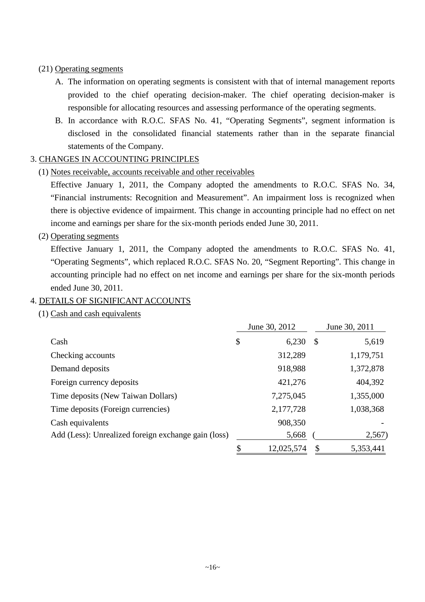### (21) Operating segments

- A. The information on operating segments is consistent with that of internal management reports provided to the chief operating decision-maker. The chief operating decision-maker is responsible for allocating resources and assessing performance of the operating segments.
- B. In accordance with R.O.C. SFAS No. 41, "Operating Segments", segment information is disclosed in the consolidated financial statements rather than in the separate financial statements of the Company.

### 3. CHANGES IN ACCOUNTING PRINCIPLES

(1) Notes receivable, accounts receivable and other receivables

Effective January 1, 2011, the Company adopted the amendments to R.O.C. SFAS No. 34, "Financial instruments: Recognition and Measurement". An impairment loss is recognized when there is objective evidence of impairment. This change in accounting principle had no effect on net income and earnings per share for the six-month periods ended June 30, 2011.

### (2) Operating segments

Effective January 1, 2011, the Company adopted the amendments to R.O.C. SFAS No. 41, "Operating Segments", which replaced R.O.C. SFAS No. 20, "Segment Reporting". This change in accounting principle had no effect on net income and earnings per share for the six-month periods ended June 30, 2011.

### 4. DETAILS OF SIGNIFICANT ACCOUNTS

(1) Cash and cash equivalents

|                                                     | June 30, 2012 |            |               | June 30, 2011 |
|-----------------------------------------------------|---------------|------------|---------------|---------------|
| Cash                                                | \$            | 6,230      | $\mathcal{S}$ | 5,619         |
| Checking accounts                                   |               | 312,289    |               | 1,179,751     |
| Demand deposits                                     |               | 918,988    |               | 1,372,878     |
| Foreign currency deposits                           |               | 421,276    |               | 404,392       |
| Time deposits (New Taiwan Dollars)                  |               | 7,275,045  |               | 1,355,000     |
| Time deposits (Foreign currencies)                  |               | 2,177,728  |               | 1,038,368     |
| Cash equivalents                                    |               | 908,350    |               |               |
| Add (Less): Unrealized foreign exchange gain (loss) |               | 5,668      |               | 2,567)        |
|                                                     |               | 12,025,574 |               | 5,353,441     |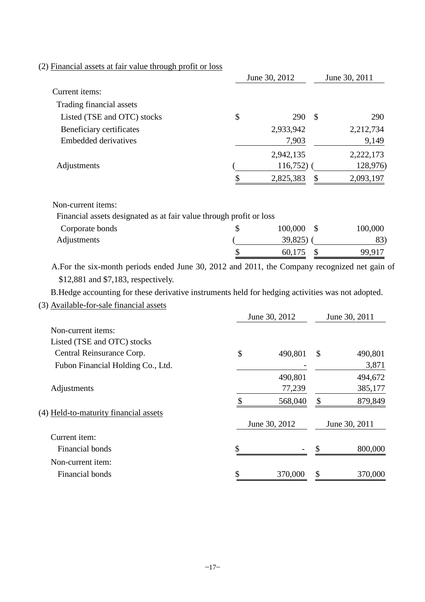### (2) Financial assets at fair value through profit or loss

|                             | June 30, 2012 |              | June 30, 2011 |
|-----------------------------|---------------|--------------|---------------|
| Current items:              |               |              |               |
| Trading financial assets    |               |              |               |
| Listed (TSE and OTC) stocks | \$<br>290     | $\mathbb{S}$ | 290           |
| Beneficiary certificates    | 2,933,942     |              | 2,212,734     |
| <b>Embedded derivatives</b> | 7,903         |              | 9,149         |
|                             | 2,942,135     |              | 2,222,173     |
| Adjustments                 | 116,752)      |              | 128,976)      |
|                             | 2,825,383     | S            | 2,093,197     |

Non-current items:

| Financial assets designated as at fair value through profit or loss |  |
|---------------------------------------------------------------------|--|
|---------------------------------------------------------------------|--|

| Corporate bonds | 100,000<br>- \$ | 100,000      |
|-----------------|-----------------|--------------|
| Adjustments     | 39,825)         | $83^{\circ}$ |
|                 | 60,175          | 99,917       |

A.For the six-month periods ended June 30, 2012 and 2011, the Company recognized net gain of \$12,881 and \$7,183, respectively.

B.Hedge accounting for these derivative instruments held for hedging activities was not adopted.

(3) Available-for-sale financial assets

|                                       | June 30, 2012 | June 30, 2011 |               |  |
|---------------------------------------|---------------|---------------|---------------|--|
| Non-current items:                    |               |               |               |  |
| Listed (TSE and OTC) stocks           |               |               |               |  |
| Central Reinsurance Corp.             | \$<br>490,801 | \$            | 490,801       |  |
| Fubon Financial Holding Co., Ltd.     |               |               | 3,871         |  |
|                                       | 490,801       |               | 494,672       |  |
| Adjustments                           | 77,239        |               | 385,177       |  |
|                                       | 568,040       | \$            | 879,849       |  |
| (4) Held-to-maturity financial assets |               |               |               |  |
|                                       | June 30, 2012 |               | June 30, 2011 |  |
| Current item:                         |               |               |               |  |
| Financial bonds                       | \$            |               | 800,000       |  |
| Non-current item:                     |               |               |               |  |
| Financial bonds                       | 370,000       | \$            | 370,000       |  |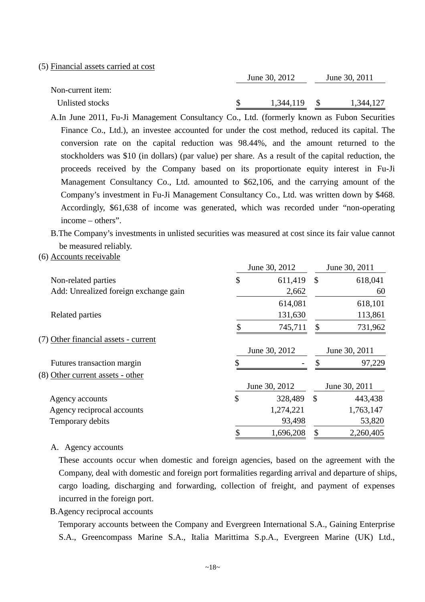#### (5) Financial assets carried at cost

| Non-current item: |  | June 30, 2012 |  | June 30, 2011 |  |
|-------------------|--|---------------|--|---------------|--|
|                   |  |               |  |               |  |
| Unlisted stocks   |  | 1,344,119     |  | 1,344,127     |  |

A.In June 2011, Fu-Ji Management Consultancy Co., Ltd. (formerly known as Fubon Securities Finance Co., Ltd.), an investee accounted for under the cost method, reduced its capital. The conversion rate on the capital reduction was 98.44%, and the amount returned to the stockholders was \$10 (in dollars) (par value) per share. As a result of the capital reduction, the proceeds received by the Company based on its proportionate equity interest in Fu-Ji Management Consultancy Co., Ltd. amounted to \$62,106, and the carrying amount of the Company's investment in Fu-Ji Management Consultancy Co., Ltd. was written down by \$468. Accordingly, \$61,638 of income was generated, which was recorded under "non-operating income – others".

B.The Company's investments in unlisted securities was measured at cost since its fair value cannot be measured reliably.

#### (6) Accounts receivable

|                                       |               | June 30, 2012 |               | June 30, 2011 |
|---------------------------------------|---------------|---------------|---------------|---------------|
| Non-related parties                   | \$            | 611,419       | $\mathcal{S}$ | 618,041       |
| Add: Unrealized foreign exchange gain |               | 2,662         |               | 60            |
|                                       |               | 614,081       |               | 618,101       |
| Related parties                       |               | 131,630       |               | 113,861       |
|                                       |               | 745,711       | \$            | 731,962       |
| (7) Other financial assets - current  |               |               |               |               |
|                                       |               | June 30, 2012 |               | June 30, 2011 |
| Futures transaction margin            |               |               |               | 97,229        |
| (8) Other current assets - other      |               |               |               |               |
|                                       |               | June 30, 2012 |               | June 30, 2011 |
| Agency accounts                       | $\mathcal{S}$ | 328,489       | $\mathcal{S}$ | 443,438       |
| Agency reciprocal accounts            |               | 1,274,221     |               | 1,763,147     |
| Temporary debits                      |               | 93,498        |               | 53,820        |
|                                       |               | 1,696,208     | S             | 2,260,405     |

#### A. Agency accounts

These accounts occur when domestic and foreign agencies, based on the agreement with the Company, deal with domestic and foreign port formalities regarding arrival and departure of ships, cargo loading, discharging and forwarding, collection of freight, and payment of expenses incurred in the foreign port.

#### B.Agency reciprocal accounts

Temporary accounts between the Company and Evergreen International S.A., Gaining Enterprise S.A., Greencompass Marine S.A., Italia Marittima S.p.A., Evergreen Marine (UK) Ltd.,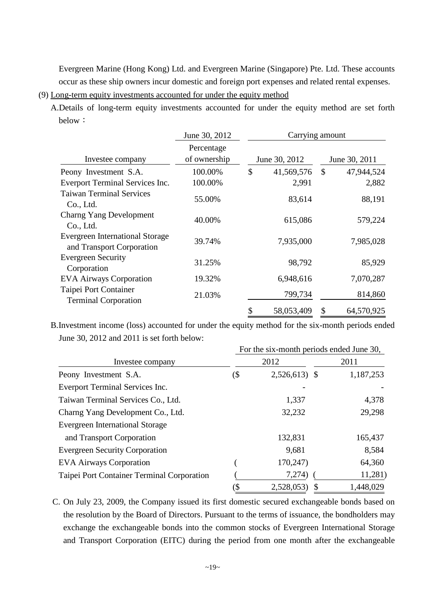Evergreen Marine (Hong Kong) Ltd. and Evergreen Marine (Singapore) Pte. Ltd. These accounts occur as these ship owners incur domestic and foreign port expenses and related rental expenses.

(9) Long-term equity investments accounted for under the equity method

A.Details of long-term equity investments accounted for under the equity method are set forth below:

|                                                                     | June 30, 2012              |                  | Carrying amount |               |  |
|---------------------------------------------------------------------|----------------------------|------------------|-----------------|---------------|--|
| Investee company                                                    | Percentage<br>of ownership | June 30, 2012    |                 | June 30, 2011 |  |
| Peony Investment S.A.                                               | 100.00%                    | \$<br>41,569,576 | $\mathcal{S}$   | 47,944,524    |  |
| Everport Terminal Services Inc.                                     | 100.00%                    | 2,991            |                 | 2,882         |  |
| <b>Taiwan Terminal Services</b><br>Co., Ltd.                        | 55.00%                     | 83,614           |                 | 88,191        |  |
| <b>Charng Yang Development</b><br>Co., Ltd.                         | 40.00%                     | 615,086          |                 | 579,224       |  |
| <b>Evergreen International Storage</b><br>and Transport Corporation | 39.74%                     | 7,935,000        |                 | 7,985,028     |  |
| <b>Evergreen Security</b><br>Corporation                            | 31.25%                     | 98,792           |                 | 85,929        |  |
| <b>EVA Airways Corporation</b>                                      | 19.32%                     | 6,948,616        |                 | 7,070,287     |  |
| Taipei Port Container<br><b>Terminal Corporation</b>                | 21.03%                     | 799,734          |                 | 814,860       |  |
|                                                                     |                            | \$<br>58,053,409 | \$              | 64,570,925    |  |

B.Investment income (loss) accounted for under the equity method for the six-month periods ended June 30, 2012 and 2011 is set forth below:

|                                            | For the six-month periods ended June 30, |                |           |  |  |  |
|--------------------------------------------|------------------------------------------|----------------|-----------|--|--|--|
| Investee company                           |                                          | 2012           | 2011      |  |  |  |
| Peony Investment S.A.                      | (\$                                      | $2,526,613$ \$ | 1,187,253 |  |  |  |
| Everport Terminal Services Inc.            |                                          |                |           |  |  |  |
| Taiwan Terminal Services Co., Ltd.         |                                          | 1,337          | 4,378     |  |  |  |
| Charng Yang Development Co., Ltd.          |                                          | 32,232         | 29,298    |  |  |  |
| <b>Evergreen International Storage</b>     |                                          |                |           |  |  |  |
| and Transport Corporation                  |                                          | 132,831        | 165,437   |  |  |  |
| <b>Evergreen Security Corporation</b>      |                                          | 9,681          | 8,584     |  |  |  |
| <b>EVA Airways Corporation</b>             |                                          | 170,247        | 64,360    |  |  |  |
| Taipei Port Container Terminal Corporation |                                          | 7,274)         | 11,281)   |  |  |  |
|                                            | (\$                                      | 2,528,053)     | 1,448,029 |  |  |  |

C. On July 23, 2009, the Company issued its first domestic secured exchangeable bonds based on the resolution by the Board of Directors. Pursuant to the terms of issuance, the bondholders may exchange the exchangeable bonds into the common stocks of Evergreen International Storage and Transport Corporation (EITC) during the period from one month after the exchangeable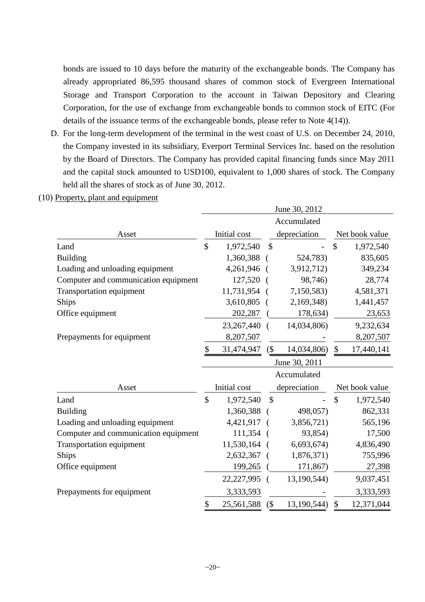bonds are issued to 10 days before the maturity of the exchangeable bonds. The Company has already appropriated 86,595 thousand shares of common stock of Evergreen International Storage and Transport Corporation to the account in Taiwan Depository and Clearing Corporation, for the use of exchange from exchangeable bonds to common stock of EITC (For details of the issuance terms of the exchangeable bonds, please refer to Note 4(14)).

D. For the long-term development of the terminal in the west coast of U.S. on December 24, 2010, the Company invested in its subsidiary, Everport Terminal Services Inc. based on the resolution by the Board of Directors. The Company has provided capital financing funds since May 2011 and the capital stock amounted to USD100, equivalent to 1,000 shares of stock. The Company held all the shares of stock as of June 30, 2012.

### (10) Property, plant and equipment

|                                      | June 30, 2012 |              |               |               |                           |                |
|--------------------------------------|---------------|--------------|---------------|---------------|---------------------------|----------------|
|                                      |               |              |               | Accumulated   |                           |                |
| Asset                                |               | Initial cost |               | depreciation  |                           | Net book value |
| Land                                 | $\mathcal{S}$ | 1,972,540    | $\mathcal{S}$ |               | $\mathcal{S}$             | 1,972,540      |
| <b>Building</b>                      |               | 1,360,388    |               | 524,783)      |                           | 835,605        |
| Loading and unloading equipment      |               | 4,261,946    |               | 3,912,712)    |                           | 349,234        |
| Computer and communication equipment |               | 127,520      | (             | 98,746)       |                           | 28,774         |
| Transportation equipment             |               | 11,731,954   |               | 7,150,583)    |                           | 4,581,371      |
| <b>Ships</b>                         |               | 3,610,805    |               | 2,169,348)    |                           | 1,441,457      |
| Office equipment                     |               | 202,287      |               | 178,634)      |                           | 23,653         |
|                                      |               | 23,267,440   | €             | 14,034,806)   |                           | 9,232,634      |
| Prepayments for equipment            |               | 8,207,507    |               |               |                           | 8,207,507      |
|                                      | \$            | 31,474,947   | (             | 14,034,806)   | $\boldsymbol{\mathsf{S}}$ | 17,440,141     |
|                                      |               |              |               | June 30, 2011 |                           |                |
|                                      |               |              |               | Accumulated   |                           |                |
| Asset                                |               | Initial cost |               | depreciation  |                           | Net book value |
| Land                                 | \$            | 1,972,540    | $\mathcal{S}$ |               | $\mathbf{\hat{S}}$        | 1,972,540      |
| <b>Building</b>                      |               | 1,360,388    |               | 498,057)      |                           | 862,331        |
| Loading and unloading equipment      |               | 4,421,917    |               | 3,856,721)    |                           | 565,196        |
| Computer and communication equipment |               | 111,354      |               | 93,854)       |                           | 17,500         |
| Transportation equipment             |               | 11,530,164   |               | 6,693,674)    |                           | 4,836,490      |
| <b>Ships</b>                         |               | 2,632,367    |               | 1,876,371)    |                           | 755,996        |
| Office equipment                     |               | 199,265      |               | 171,867)      |                           | 27,398         |
|                                      |               | 22,227,995   | $\left($      | 13,190,544)   |                           | 9,037,451      |
| Prepayments for equipment            |               | 3,333,593    |               |               |                           | 3,333,593      |
|                                      | \$            | 25,561,588   | $($ \$        | 13,190,544)   | $\mathcal{S}$             | 12,371,044     |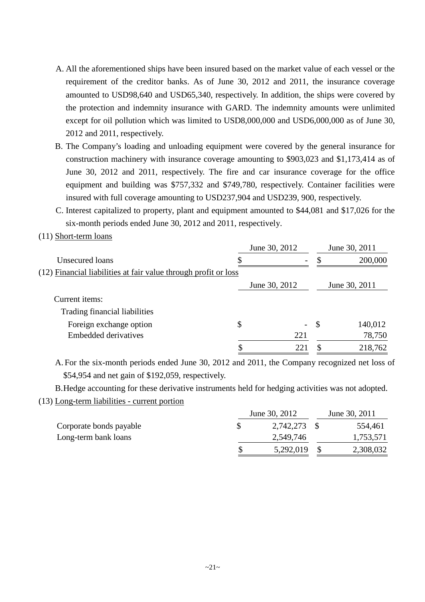- A. All the aforementioned ships have been insured based on the market value of each vessel or the requirement of the creditor banks. As of June 30, 2012 and 2011, the insurance coverage amounted to USD98,640 and USD65,340, respectively. In addition, the ships were covered by the protection and indemnity insurance with GARD. The indemnity amounts were unlimited except for oil pollution which was limited to USD8,000,000 and USD6,000,000 as of June 30, 2012 and 2011, respectively.
- B. The Company's loading and unloading equipment were covered by the general insurance for construction machinery with insurance coverage amounting to \$903,023 and \$1,173,414 as of June 30, 2012 and 2011, respectively. The fire and car insurance coverage for the office equipment and building was \$757,332 and \$749,780, respectively. Container facilities were insured with full coverage amounting to USD237,904 and USD239, 900, respectively.
- C. Interest capitalized to property, plant and equipment amounted to \$44,081 and \$17,026 for the six-month periods ended June 30, 2012 and 2011, respectively.

(11) Short-term loans

|                                                                 | June 30, 2012            |               | June 30, 2011 |
|-----------------------------------------------------------------|--------------------------|---------------|---------------|
| Unsecured loans                                                 | $\overline{\phantom{a}}$ |               | 200,000       |
| (12) Financial liabilities at fair value through profit or loss |                          |               |               |
|                                                                 | June 30, 2012            |               | June 30, 2011 |
| Current items:                                                  |                          |               |               |
| Trading financial liabilities                                   |                          |               |               |
| Foreign exchange option                                         | \$<br>$\sim$ $^{-1}$     | $\mathcal{S}$ | 140,012       |
| <b>Embedded derivatives</b>                                     | 221                      |               | 78,750        |
|                                                                 | 221                      | S             | 218,762       |

A. For the six-month periods ended June 30, 2012 and 2011, the Company recognized net loss of \$54,954 and net gain of \$192,059, respectively.

B.Hedge accounting for these derivative instruments held for hedging activities was not adopted.

(13) Long-term liabilities - current portion

|                         | June 30, 2012 | June 30, 2011 |
|-------------------------|---------------|---------------|
| Corporate bonds payable | 2,742,273     | 554,461       |
| Long-term bank loans    | 2,549,746     | 1,753,571     |
|                         | 5,292,019     | 2,308,032     |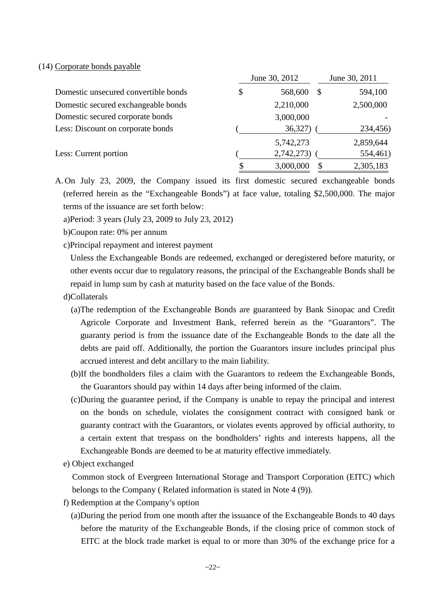#### (14) Corporate bonds payable

|                                      | June 30, 2012      | June 30, 2011 |
|--------------------------------------|--------------------|---------------|
| Domestic unsecured convertible bonds | \$<br>568,600<br>S | 594,100       |
| Domestic secured exchangeable bonds  | 2,210,000          | 2,500,000     |
| Domestic secured corporate bonds     | 3,000,000          |               |
| Less: Discount on corporate bonds    | 36,327)            | 234,456)      |
|                                      | 5,742,273          | 2,859,644     |
| Less: Current portion                | 2,742,273)         | 554,461)      |
|                                      | \$<br>3,000,000    | 2,305,183     |

A. On July 23, 2009, the Company issued its first domestic secured exchangeable bonds (referred herein as the "Exchangeable Bonds") at face value, totaling \$2,500,000. The major terms of the issuance are set forth below:

a)Period: 3 years (July 23, 2009 to July 23, 2012)

- b)Coupon rate: 0% per annum
- c)Principal repayment and interest payment

Unless the Exchangeable Bonds are redeemed, exchanged or deregistered before maturity, or other events occur due to regulatory reasons, the principal of the Exchangeable Bonds shall be repaid in lump sum by cash at maturity based on the face value of the Bonds.

- d)Collaterals
	- (a)The redemption of the Exchangeable Bonds are guaranteed by Bank Sinopac and Credit Agricole Corporate and Investment Bank, referred herein as the "Guarantors". The guaranty period is from the issuance date of the Exchangeable Bonds to the date all the debts are paid off. Additionally, the portion the Guarantors insure includes principal plus accrued interest and debt ancillary to the main liability.
	- (b)If the bondholders files a claim with the Guarantors to redeem the Exchangeable Bonds, the Guarantors should pay within 14 days after being informed of the claim.
	- (c)During the guarantee period, if the Company is unable to repay the principal and interest on the bonds on schedule, violates the consignment contract with consigned bank or guaranty contract with the Guarantors, or violates events approved by official authority, to a certain extent that trespass on the bondholders' rights and interests happens, all the Exchangeable Bonds are deemed to be at maturity effective immediately.
- e) Object exchanged

Common stock of Evergreen International Storage and Transport Corporation (EITC) which belongs to the Company ( Related information is stated in Note 4 (9)).

- f) Redemption at the Company's option
	- (a)During the period from one month after the issuance of the Exchangeable Bonds to 40 days before the maturity of the Exchangeable Bonds, if the closing price of common stock of EITC at the block trade market is equal to or more than 30% of the exchange price for a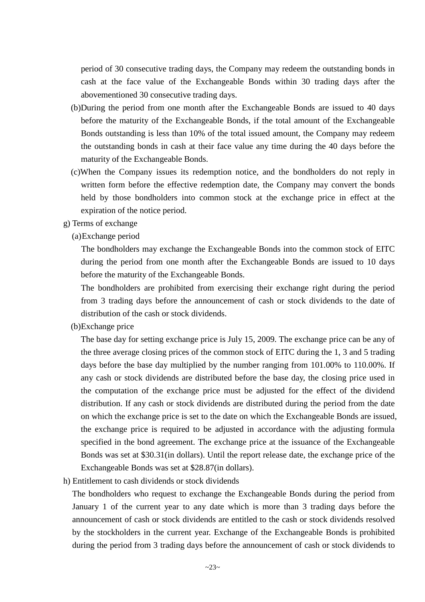period of 30 consecutive trading days, the Company may redeem the outstanding bonds in cash at the face value of the Exchangeable Bonds within 30 trading days after the abovementioned 30 consecutive trading days.

- (b)During the period from one month after the Exchangeable Bonds are issued to 40 days before the maturity of the Exchangeable Bonds, if the total amount of the Exchangeable Bonds outstanding is less than 10% of the total issued amount, the Company may redeem the outstanding bonds in cash at their face value any time during the 40 days before the maturity of the Exchangeable Bonds.
- (c)When the Company issues its redemption notice, and the bondholders do not reply in written form before the effective redemption date, the Company may convert the bonds held by those bondholders into common stock at the exchange price in effect at the expiration of the notice period.
- g) Terms of exchange
	- (a)Exchange period

The bondholders may exchange the Exchangeable Bonds into the common stock of EITC during the period from one month after the Exchangeable Bonds are issued to 10 days before the maturity of the Exchangeable Bonds.

The bondholders are prohibited from exercising their exchange right during the period from 3 trading days before the announcement of cash or stock dividends to the date of distribution of the cash or stock dividends.

(b)Exchange price

The base day for setting exchange price is July 15, 2009. The exchange price can be any of the three average closing prices of the common stock of EITC during the 1, 3 and 5 trading days before the base day multiplied by the number ranging from 101.00% to 110.00%. If any cash or stock dividends are distributed before the base day, the closing price used in the computation of the exchange price must be adjusted for the effect of the dividend distribution. If any cash or stock dividends are distributed during the period from the date on which the exchange price is set to the date on which the Exchangeable Bonds are issued, the exchange price is required to be adjusted in accordance with the adjusting formula specified in the bond agreement. The exchange price at the issuance of the Exchangeable Bonds was set at \$30.31(in dollars). Until the report release date, the exchange price of the Exchangeable Bonds was set at \$28.87(in dollars).

h) Entitlement to cash dividends or stock dividends

The bondholders who request to exchange the Exchangeable Bonds during the period from January 1 of the current year to any date which is more than 3 trading days before the announcement of cash or stock dividends are entitled to the cash or stock dividends resolved by the stockholders in the current year. Exchange of the Exchangeable Bonds is prohibited during the period from 3 trading days before the announcement of cash or stock dividends to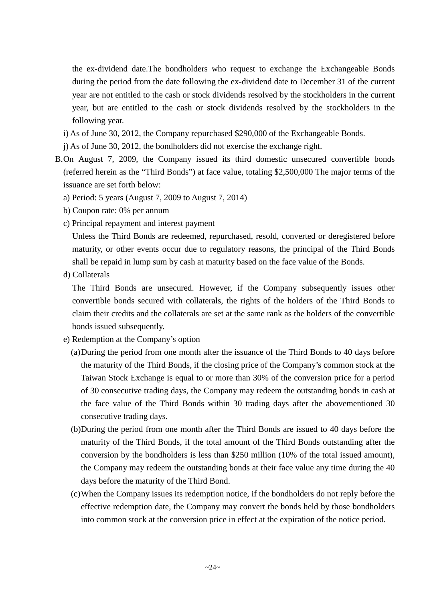the ex-dividend date.The bondholders who request to exchange the Exchangeable Bonds during the period from the date following the ex-dividend date to December 31 of the current year are not entitled to the cash or stock dividends resolved by the stockholders in the current year, but are entitled to the cash or stock dividends resolved by the stockholders in the following year.

- i) As of June 30, 2012, the Company repurchased \$290,000 of the Exchangeable Bonds.
- j) As of June 30, 2012, the bondholders did not exercise the exchange right.
- B.On August 7, 2009, the Company issued its third domestic unsecured convertible bonds (referred herein as the "Third Bonds") at face value, totaling \$2,500,000 The major terms of the issuance are set forth below:
	- a) Period: 5 years (August 7, 2009 to August 7, 2014)
	- b) Coupon rate: 0% per annum
	- c) Principal repayment and interest payment

Unless the Third Bonds are redeemed, repurchased, resold, converted or deregistered before maturity, or other events occur due to regulatory reasons, the principal of the Third Bonds shall be repaid in lump sum by cash at maturity based on the face value of the Bonds.

d) Collaterals

The Third Bonds are unsecured. However, if the Company subsequently issues other convertible bonds secured with collaterals, the rights of the holders of the Third Bonds to claim their credits and the collaterals are set at the same rank as the holders of the convertible bonds issued subsequently.

- e) Redemption at the Company's option
	- (a)During the period from one month after the issuance of the Third Bonds to 40 days before the maturity of the Third Bonds, if the closing price of the Company's common stock at the Taiwan Stock Exchange is equal to or more than 30% of the conversion price for a period of 30 consecutive trading days, the Company may redeem the outstanding bonds in cash at the face value of the Third Bonds within 30 trading days after the abovementioned 30 consecutive trading days.
	- (b)During the period from one month after the Third Bonds are issued to 40 days before the maturity of the Third Bonds, if the total amount of the Third Bonds outstanding after the conversion by the bondholders is less than \$250 million (10% of the total issued amount), the Company may redeem the outstanding bonds at their face value any time during the 40 days before the maturity of the Third Bond.
	- (c)When the Company issues its redemption notice, if the bondholders do not reply before the effective redemption date, the Company may convert the bonds held by those bondholders into common stock at the conversion price in effect at the expiration of the notice period.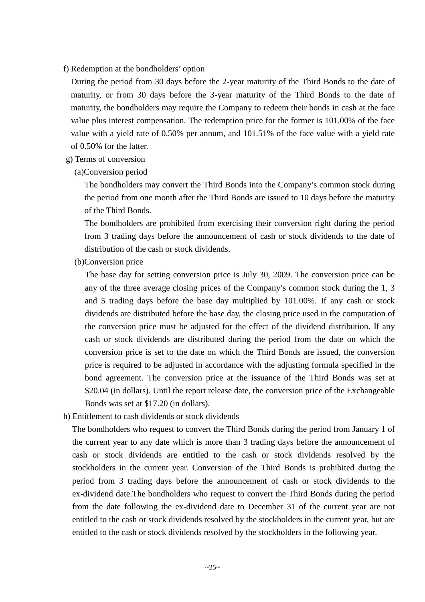f) Redemption at the bondholders' option

During the period from 30 days before the 2-year maturity of the Third Bonds to the date of maturity, or from 30 days before the 3-year maturity of the Third Bonds to the date of maturity, the bondholders may require the Company to redeem their bonds in cash at the face value plus interest compensation. The redemption price for the former is 101.00% of the face value with a yield rate of 0.50% per annum, and 101.51% of the face value with a yield rate of 0.50% for the latter.

- g) Terms of conversion
	- (a)Conversion period

The bondholders may convert the Third Bonds into the Company's common stock during the period from one month after the Third Bonds are issued to 10 days before the maturity of the Third Bonds.

The bondholders are prohibited from exercising their conversion right during the period from 3 trading days before the announcement of cash or stock dividends to the date of distribution of the cash or stock dividends.

(b)Conversion price

The base day for setting conversion price is July 30, 2009. The conversion price can be any of the three average closing prices of the Company's common stock during the 1, 3 and 5 trading days before the base day multiplied by 101.00%. If any cash or stock dividends are distributed before the base day, the closing price used in the computation of the conversion price must be adjusted for the effect of the dividend distribution. If any cash or stock dividends are distributed during the period from the date on which the conversion price is set to the date on which the Third Bonds are issued, the conversion price is required to be adjusted in accordance with the adjusting formula specified in the bond agreement. The conversion price at the issuance of the Third Bonds was set at \$20.04 (in dollars). Until the report release date, the conversion price of the Exchangeable Bonds was set at \$17.20 (in dollars).

h) Entitlement to cash dividends or stock dividends

The bondholders who request to convert the Third Bonds during the period from January 1 of the current year to any date which is more than 3 trading days before the announcement of cash or stock dividends are entitled to the cash or stock dividends resolved by the stockholders in the current year. Conversion of the Third Bonds is prohibited during the period from 3 trading days before the announcement of cash or stock dividends to the ex-dividend date.The bondholders who request to convert the Third Bonds during the period from the date following the ex-dividend date to December 31 of the current year are not entitled to the cash or stock dividends resolved by the stockholders in the current year, but are entitled to the cash or stock dividends resolved by the stockholders in the following year.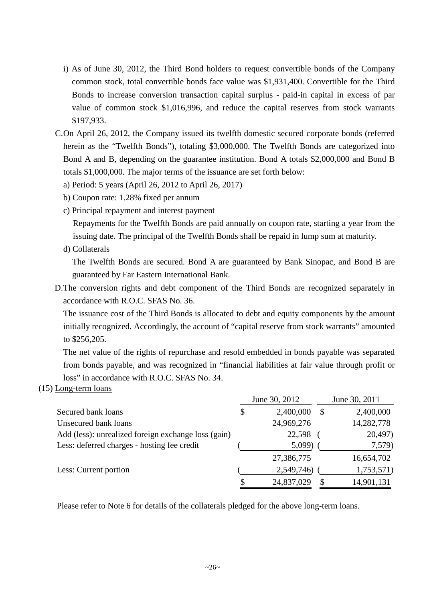- i) As of June 30, 2012, the Third Bond holders to request convertible bonds of the Company common stock, total convertible bonds face value was \$1,931,400. Convertible for the Third Bonds to increase conversion transaction capital surplus - paid-in capital in excess of par value of common stock \$1,016,996, and reduce the capital reserves from stock warrants \$197,933.
- C.On April 26, 2012, the Company issued its twelfth domestic secured corporate bonds (referred herein as the "Twelfth Bonds"), totaling \$3,000,000. The Twelfth Bonds are categorized into Bond A and B, depending on the guarantee institution. Bond A totals \$2,000,000 and Bond B totals \$1,000,000. The major terms of the issuance are set forth below:
	- a) Period: 5 years (April 26, 2012 to April 26, 2017)
	- b) Coupon rate: 1.28% fixed per annum
	- c) Principal repayment and interest payment

Repayments for the Twelfth Bonds are paid annually on coupon rate, starting a year from the issuing date. The principal of the Twelfth Bonds shall be repaid in lump sum at maturity.

d) Collaterals

The Twelfth Bonds are secured. Bond A are guaranteed by Bank Sinopac, and Bond B are guaranteed by Far Eastern International Bank.

D.The conversion rights and debt component of the Third Bonds are recognized separately in accordance with R.O.C. SFAS No. 36.

The issuance cost of the Third Bonds is allocated to debt and equity components by the amount initially recognized. Accordingly, the account of "capital reserve from stock warrants" amounted to \$256,205.

The net value of the rights of repurchase and resold embedded in bonds payable was separated from bonds payable, and was recognized in "financial liabilities at fair value through profit or loss" in accordance with R.O.C. SFAS No. 34.

(15) Long-term loans

|                                                     |    | June 30, 2012 |   | June 30, 2011 |
|-----------------------------------------------------|----|---------------|---|---------------|
| Secured bank loans                                  | \$ | 2,400,000     | S | 2,400,000     |
| Unsecured bank loans                                |    | 24,969,276    |   | 14,282,778    |
| Add (less): unrealized foreign exchange loss (gain) |    | 22,598        |   | 20,497)       |
| Less: deferred charges - hosting fee credit         |    | 5,099)        |   | 7,579)        |
|                                                     |    | 27,386,775    |   | 16,654,702    |
| Less: Current portion                               |    | 2,549,746)    |   | 1,753,571)    |
|                                                     | S  | 24,837,029    |   | 14,901,131    |

Please refer to Note 6 for details of the collaterals pledged for the above long-term loans.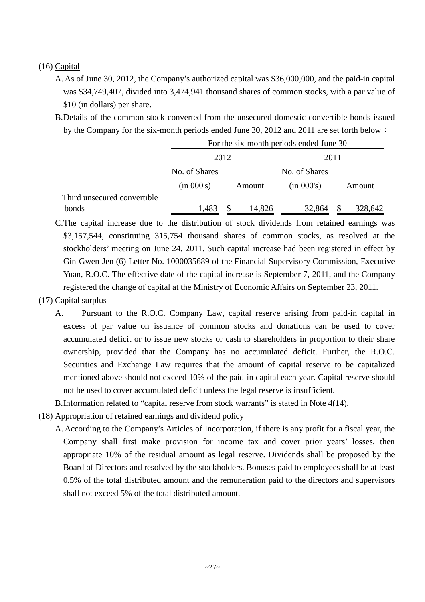### (16) Capital

- A. As of June 30, 2012, the Company's authorized capital was \$36,000,000, and the paid-in capital was \$34,749,407, divided into 3,474,941 thousand shares of common stocks, with a par value of \$10 (in dollars) per share.
- B.Details of the common stock converted from the unsecured domestic convertible bonds issued by the Company for the six-month periods ended June 30, 2012 and 2011 are set forth below:

|                             | For the six-month periods ended June 30 |   |        |               |    |         |
|-----------------------------|-----------------------------------------|---|--------|---------------|----|---------|
|                             | 2012                                    |   |        | 2011          |    |         |
|                             | No. of Shares                           |   |        | No. of Shares |    |         |
|                             | (in 000's)                              |   | Amount | (in 000's)    |    | Amount  |
| Third unsecured convertible |                                         |   |        |               |    |         |
| bonds                       | 1,483                                   | S | 14,826 | 32,864        | \$ | 328,642 |

C.The capital increase due to the distribution of stock dividends from retained earnings was \$3,157,544, constituting 315,754 thousand shares of common stocks, as resolved at the stockholders' meeting on June 24, 2011. Such capital increase had been registered in effect by Gin-Gwen-Jen (6) Letter No. 1000035689 of the Financial Supervisory Commission, Executive Yuan, R.O.C. The effective date of the capital increase is September 7, 2011, and the Company registered the change of capital at the Ministry of Economic Affairs on September 23, 2011.

### (17) Capital surplus

- A. Pursuant to the R.O.C. Company Law, capital reserve arising from paid-in capital in excess of par value on issuance of common stocks and donations can be used to cover accumulated deficit or to issue new stocks or cash to shareholders in proportion to their share ownership, provided that the Company has no accumulated deficit. Further, the R.O.C. Securities and Exchange Law requires that the amount of capital reserve to be capitalized mentioned above should not exceed 10% of the paid-in capital each year. Capital reserve should not be used to cover accumulated deficit unless the legal reserve is insufficient.
- B.Information related to "capital reserve from stock warrants" is stated in Note 4(14).
- (18) Appropriation of retained earnings and dividend policy
	- A. According to the Company's Articles of Incorporation, if there is any profit for a fiscal year, the Company shall first make provision for income tax and cover prior years' losses, then appropriate 10% of the residual amount as legal reserve. Dividends shall be proposed by the Board of Directors and resolved by the stockholders. Bonuses paid to employees shall be at least 0.5% of the total distributed amount and the remuneration paid to the directors and supervisors shall not exceed 5% of the total distributed amount.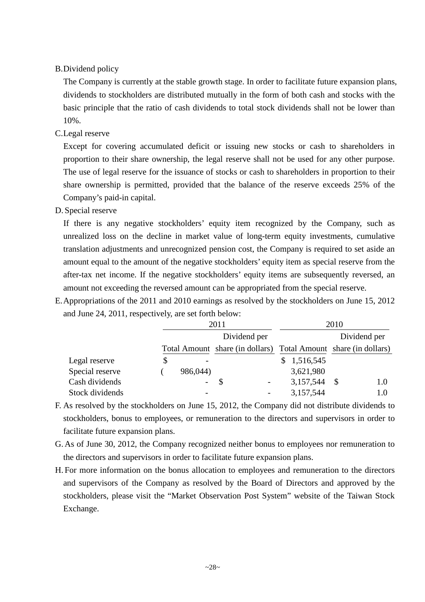### B.Dividend policy

The Company is currently at the stable growth stage. In order to facilitate future expansion plans, dividends to stockholders are distributed mutually in the form of both cash and stocks with the basic principle that the ratio of cash dividends to total stock dividends shall not be lower than 10%.

### C.Legal reserve

Except for covering accumulated deficit or issuing new stocks or cash to shareholders in proportion to their share ownership, the legal reserve shall not be used for any other purpose. The use of legal reserve for the issuance of stocks or cash to shareholders in proportion to their share ownership is permitted, provided that the balance of the reserve exceeds 25% of the Company's paid-in capital.

D. Special reserve

If there is any negative stockholders' equity item recognized by the Company, such as unrealized loss on the decline in market value of long-term equity investments, cumulative translation adjustments and unrecognized pension cost, the Company is required to set aside an amount equal to the amount of the negative stockholders' equity item as special reserve from the after-tax net income. If the negative stockholders' equity items are subsequently reversed, an amount not exceeding the reversed amount can be appropriated from the special reserve.

E.Appropriations of the 2011 and 2010 earnings as resolved by the stockholders on June 15, 2012 and June 24, 2011, respectively, are set forth below:

|                 |                                | 2011                                                            |                | 2010         |
|-----------------|--------------------------------|-----------------------------------------------------------------|----------------|--------------|
|                 |                                | Dividend per                                                    |                | Dividend per |
|                 |                                | Total Amount share (in dollars) Total Amount share (in dollars) |                |              |
| Legal reserve   | \$<br>$\overline{\phantom{0}}$ |                                                                 | \$1,516,545    |              |
| Special reserve | 986,044)                       |                                                                 | 3,621,980      |              |
| Cash dividends  | $\overline{\phantom{0}}$       |                                                                 | $3,157,544$ \$ | 1.0          |
| Stock dividends |                                |                                                                 | 3,157,544      | 1.0          |

- F. As resolved by the stockholders on June 15, 2012, the Company did not distribute dividends to stockholders, bonus to employees, or remuneration to the directors and supervisors in order to facilitate future expansion plans.
- G. As of June 30, 2012, the Company recognized neither bonus to employees nor remuneration to the directors and supervisors in order to facilitate future expansion plans.
- H. For more information on the bonus allocation to employees and remuneration to the directors and supervisors of the Company as resolved by the Board of Directors and approved by the stockholders, please visit the "Market Observation Post System" website of the Taiwan Stock Exchange.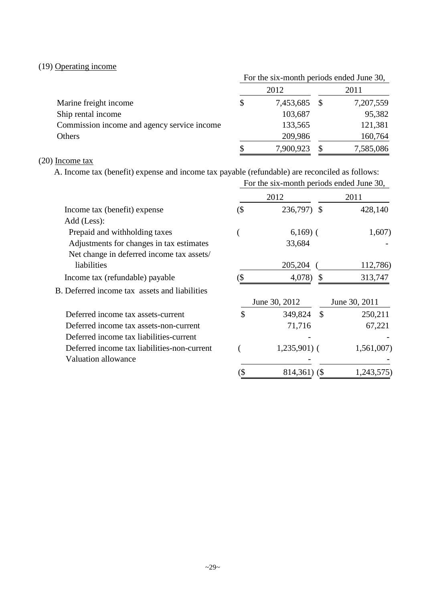### (19) Operating income

|                                             | For the six-month periods ended June 30, |           |      |           |
|---------------------------------------------|------------------------------------------|-----------|------|-----------|
|                                             |                                          | 2012      | 2011 |           |
| Marine freight income                       | \$                                       | 7,453,685 | - S  | 7,207,559 |
| Ship rental income                          |                                          | 103,687   |      | 95,382    |
| Commission income and agency service income |                                          | 133,565   |      | 121,381   |
| Others                                      |                                          | 209,986   |      | 160,764   |
|                                             |                                          | 7,900,923 |      | 7,585,086 |

### (20) Income tax

A. Income tax (benefit) expense and income tax payable (refundable) are reconciled as follows:

|                                               |               | For the six-month periods ended June 30, |               |  |  |
|-----------------------------------------------|---------------|------------------------------------------|---------------|--|--|
|                                               |               | 2012                                     | 2011          |  |  |
| Income tax (benefit) expense                  | (\$           | 236,797) \$                              | 428,140       |  |  |
| Add (Less):                                   |               |                                          |               |  |  |
| Prepaid and withholding taxes                 |               | $6,169$ (                                | 1,607)        |  |  |
| Adjustments for changes in tax estimates      |               | 33,684                                   |               |  |  |
| Net change in deferred income tax assets/     |               |                                          |               |  |  |
| liabilities                                   |               | 205,204                                  | 112,786)      |  |  |
| Income tax (refundable) payable               |               | 4,078)<br>S                              | 313,747       |  |  |
| B. Deferred income tax assets and liabilities |               |                                          |               |  |  |
|                                               |               | June 30, 2012                            | June 30, 2011 |  |  |
| Deferred income tax assets-current            | $\mathcal{S}$ | 349,824 \$                               | 250,211       |  |  |
| Deferred income tax assets-non-current        |               | 71,716                                   | 67,221        |  |  |
| Deferred income tax liabilities-current       |               |                                          |               |  |  |
| Deferred income tax liabilities-non-current   |               | $1,235,901$ (                            | 1,561,007)    |  |  |
| <b>Valuation allowance</b>                    |               |                                          |               |  |  |
|                                               | (\$           | $814,361$ (\$)                           | 1,243,575)    |  |  |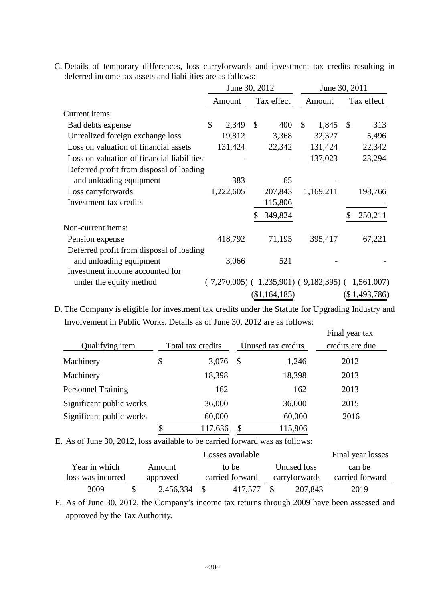| C. Details of temporary differences, loss carryforwards and investment tax credits resulting in |  |  |  |  |
|-------------------------------------------------------------------------------------------------|--|--|--|--|
| deferred income tax assets and liabilities are as follows:                                      |  |  |  |  |

|                                            | June 30, 2012 |               |                                                         | June 30, 2011 |           |    |               |
|--------------------------------------------|---------------|---------------|---------------------------------------------------------|---------------|-----------|----|---------------|
|                                            | Amount        |               | Tax effect                                              |               | Amount    |    | Tax effect    |
| Current items:                             |               |               |                                                         |               |           |    |               |
| Bad debts expense                          | \$<br>2,349   | $\mathcal{S}$ | 400                                                     | $\mathcal{S}$ | 1,845     | \$ | 313           |
| Unrealized foreign exchange loss           | 19,812        |               | 3,368                                                   |               | 32,327    |    | 5,496         |
| Loss on valuation of financial assets      | 131,424       |               | 22,342                                                  |               | 131,424   |    | 22,342        |
| Loss on valuation of financial liabilities |               |               |                                                         |               | 137,023   |    | 23,294        |
| Deferred profit from disposal of loading   |               |               |                                                         |               |           |    |               |
| and unloading equipment                    | 383           |               | 65                                                      |               |           |    |               |
| Loss carryforwards                         | 1,222,605     |               | 207,843                                                 |               | 1,169,211 |    | 198,766       |
| Investment tax credits                     |               |               | 115,806                                                 |               |           |    |               |
|                                            |               | \$            | 349,824                                                 |               |           | \$ | 250,211       |
| Non-current items:                         |               |               |                                                         |               |           |    |               |
| Pension expense                            | 418,792       |               | 71,195                                                  |               | 395,417   |    | 67,221        |
| Deferred profit from disposal of loading   |               |               |                                                         |               |           |    |               |
| and unloading equipment                    | 3,066         |               | 521                                                     |               |           |    |               |
| Investment income accounted for            |               |               |                                                         |               |           |    |               |
| under the equity method                    |               |               | $(7,270,005)$ $(1,235,901)$ $(9,182,395)$ $(1,561,007)$ |               |           |    |               |
|                                            |               |               | (\$1,164,185)                                           |               |           |    | (\$1,493,786) |

D. The Company is eligible for investment tax credits under the Statute for Upgrading Industry and Involvement in Public Works. Details as of June 30, 2012 are as follows:

|                           |                   |         |      |                    | Final year tax  |  |
|---------------------------|-------------------|---------|------|--------------------|-----------------|--|
| Qualifying item           | Total tax credits |         |      | Unused tax credits | credits are due |  |
| Machinery                 | \$                | 3,076   | - \$ | 1,246              | 2012            |  |
| Machinery                 |                   | 18,398  |      | 18,398             | 2013            |  |
| <b>Personnel Training</b> |                   | 162     |      | 162                | 2013            |  |
| Significant public works  |                   | 36,000  |      | 36,000             | 2015            |  |
| Significant public works  |                   | 60,000  |      | 60,000             | 2016            |  |
|                           |                   | 117,636 |      | 115,806            |                 |  |

E. As of June 30, 2012, loss available to be carried forward was as follows:

|                   |           |                 | Losses available |               |             | Final year losses |
|-------------------|-----------|-----------------|------------------|---------------|-------------|-------------------|
| Year in which     | Amount    |                 | to be            |               | Unused loss | can be            |
| loss was incurred | approved  | carried forward |                  | carryforwards |             | carried forward   |
| 2009              | 2,456,334 |                 | 417.577          |               | 207,843     | 2019              |

F. As of June 30, 2012, the Company's income tax returns through 2009 have been assessed and approved by the Tax Authority.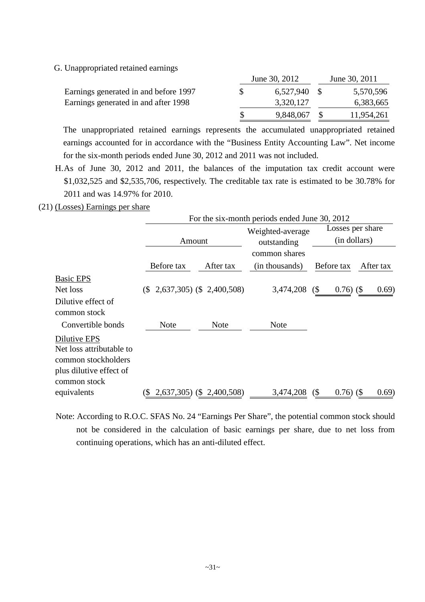G. Unappropriated retained earnings

|                                       | June 30, 2012 | June 30, 2011 |  |
|---------------------------------------|---------------|---------------|--|
| Earnings generated in and before 1997 | 6,527,940 \$  | 5,570,596     |  |
| Earnings generated in and after 1998  | 3,320,127     | 6,383,665     |  |
|                                       | 9,848,067     | 11,954,261    |  |

The unappropriated retained earnings represents the accumulated unappropriated retained earnings accounted for in accordance with the "Business Entity Accounting Law". Net income for the six-month periods ended June 30, 2012 and 2011 was not included.

- H.As of June 30, 2012 and 2011, the balances of the imputation tax credit account were \$1,032,525 and \$2,535,706, respectively. The creditable tax rate is estimated to be 30.78% for 2011 and was 14.97% for 2010.
- (21) (Losses) Earnings per share

|                                    | For the six-month periods ended June 30, 2012 |                           |                  |                                              |                  |
|------------------------------------|-----------------------------------------------|---------------------------|------------------|----------------------------------------------|------------------|
|                                    |                                               |                           | Weighted-average |                                              | Losses per share |
|                                    | Amount                                        |                           | outstanding      | (in dollars)                                 |                  |
|                                    |                                               |                           | common shares    |                                              |                  |
|                                    | Before tax                                    | After tax                 | (in thousands)   | Before tax                                   | After tax        |
| <b>Basic EPS</b>                   |                                               |                           |                  |                                              |                  |
| Net loss                           | $(\$$ 2,637,305) $(\$$ 2,400,508)             |                           | 3,474,208        | $\left( \mathcal{S} \right)$<br>$0.76)$ (\$) | (0.69)           |
| Dilutive effect of<br>common stock |                                               |                           |                  |                                              |                  |
| Convertible bonds                  | <b>Note</b>                                   | <b>Note</b>               | <b>Note</b>      |                                              |                  |
| Dilutive EPS                       |                                               |                           |                  |                                              |                  |
| Net loss attributable to           |                                               |                           |                  |                                              |                  |
| common stockholders                |                                               |                           |                  |                                              |                  |
| plus dilutive effect of            |                                               |                           |                  |                                              |                  |
| common stock                       |                                               |                           |                  |                                              |                  |
| equivalents                        | $\left( \mathbb{S}\right)$                    | 2,637,305) (\$ 2,400,508) | 3,474,208        | $0.76)$ (\$)<br>$\left( \text{\$} \right)$   | (0.69)           |

Note: According to R.O.C. SFAS No. 24 "Earnings Per Share", the potential common stock should not be considered in the calculation of basic earnings per share, due to net loss from continuing operations, which has an anti-diluted effect.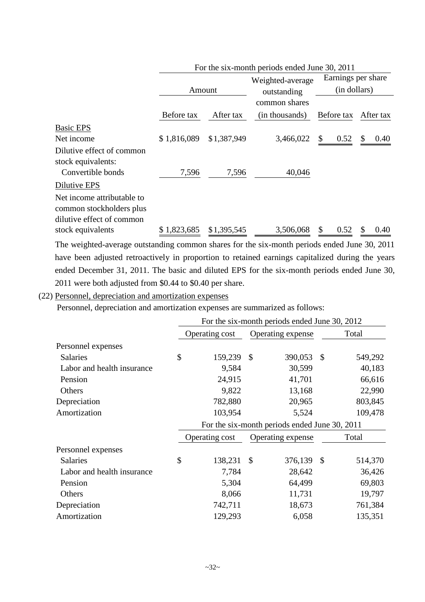|                            | For the six-month periods ended June 30, 2011 |             |                  |                    |            |  |  |
|----------------------------|-----------------------------------------------|-------------|------------------|--------------------|------------|--|--|
|                            |                                               |             | Weighted-average | Earnings per share |            |  |  |
|                            | Amount                                        |             | outstanding      | (in dollars)       |            |  |  |
|                            |                                               |             | common shares    |                    |            |  |  |
|                            | Before tax                                    | After tax   | (in thousands)   | Before tax         | After tax  |  |  |
| <b>Basic EPS</b>           |                                               |             |                  |                    |            |  |  |
| Net income                 | \$1,816,089                                   | \$1,387,949 | 3,466,022        | 0.52<br>S          | \$<br>0.40 |  |  |
| Dilutive effect of common  |                                               |             |                  |                    |            |  |  |
| stock equivalents:         |                                               |             |                  |                    |            |  |  |
| Convertible bonds          | 7,596                                         | 7,596       | 40,046           |                    |            |  |  |
| Dilutive EPS               |                                               |             |                  |                    |            |  |  |
| Net income attributable to |                                               |             |                  |                    |            |  |  |
| common stockholders plus   |                                               |             |                  |                    |            |  |  |
| dilutive effect of common  |                                               |             |                  |                    |            |  |  |
| stock equivalents          | \$1,823,685                                   | \$1,395,545 | 3,506,068        | 0.52               | 0.40<br>S  |  |  |

The weighted-average outstanding common shares for the six-month periods ended June 30, 2011 have been adjusted retroactively in proportion to retained earnings capitalized during the years ended December 31, 2011. The basic and diluted EPS for the six-month periods ended June 30, 2011 were both adjusted from \$0.44 to \$0.40 per share.

(22) Personnel, depreciation and amortization expenses

Personnel, depreciation and amortization expenses are summarized as follows:

|                            | For the six-month periods ended June 30, 2012 |                |                                               |                   |    |         |  |  |
|----------------------------|-----------------------------------------------|----------------|-----------------------------------------------|-------------------|----|---------|--|--|
|                            | Operating cost                                |                |                                               | Operating expense |    | Total   |  |  |
| Personnel expenses         |                                               |                |                                               |                   |    |         |  |  |
| <b>Salaries</b>            | \$                                            | 159,239        | $\mathcal{S}$                                 | 390,053           | \$ | 549,292 |  |  |
| Labor and health insurance |                                               | 9,584          |                                               | 30,599            |    | 40,183  |  |  |
| Pension                    |                                               | 24,915         |                                               | 41,701            |    | 66,616  |  |  |
| Others                     |                                               | 9,822          |                                               | 13,168            |    | 22,990  |  |  |
| Depreciation               |                                               | 782,880        |                                               | 20,965            |    | 803,845 |  |  |
| Amortization               |                                               | 103,954        |                                               | 5,524             |    | 109,478 |  |  |
|                            |                                               |                | For the six-month periods ended June 30, 2011 |                   |    |         |  |  |
|                            |                                               | Operating cost |                                               | Operating expense |    | Total   |  |  |
| Personnel expenses         |                                               |                |                                               |                   |    |         |  |  |
| <b>Salaries</b>            | \$                                            | 138,231        | $\mathcal{S}$                                 | 376,139           | \$ | 514,370 |  |  |
| Labor and health insurance |                                               | 7,784          |                                               | 28,642            |    | 36,426  |  |  |
| Pension                    |                                               | 5,304          |                                               | 64,499            |    | 69,803  |  |  |
| Others                     |                                               | 8,066          |                                               | 11,731            |    | 19,797  |  |  |
| Depreciation               |                                               | 742,711        |                                               | 18,673            |    | 761,384 |  |  |
| Amortization               |                                               | 129,293        |                                               | 6,058             |    | 135,351 |  |  |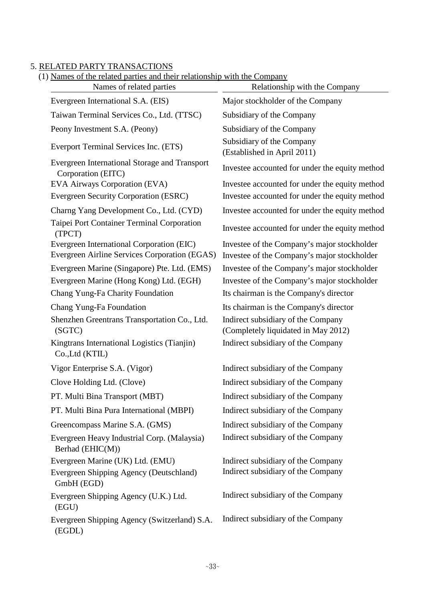### 5. RELATED PARTY TRANSACTIONS

| (1) Names of the related parties and their relationship with the Company |  |  |  |
|--------------------------------------------------------------------------|--|--|--|
|--------------------------------------------------------------------------|--|--|--|

| <u>Names of the related parties and their relationship with the Company</u><br>Names of related parties | Relationship with the Company                                                              |
|---------------------------------------------------------------------------------------------------------|--------------------------------------------------------------------------------------------|
| Evergreen International S.A. (EIS)                                                                      | Major stockholder of the Company                                                           |
| Taiwan Terminal Services Co., Ltd. (TTSC)                                                               | Subsidiary of the Company                                                                  |
| Peony Investment S.A. (Peony)                                                                           | Subsidiary of the Company                                                                  |
| Everport Terminal Services Inc. (ETS)                                                                   | Subsidiary of the Company<br>(Established in April 2011)                                   |
| Evergreen International Storage and Transport<br>Corporation (EITC)                                     | Investee accounted for under the equity method                                             |
| EVA Airways Corporation (EVA)                                                                           | Investee accounted for under the equity method                                             |
| Evergreen Security Corporation (ESRC)                                                                   | Investee accounted for under the equity method                                             |
| Charng Yang Development Co., Ltd. (CYD)                                                                 | Investee accounted for under the equity method                                             |
| Taipei Port Container Terminal Corporation<br>(TPCT)                                                    | Investee accounted for under the equity method                                             |
| Evergreen International Corporation (EIC)<br>Evergreen Airline Services Corporation (EGAS)              | Investee of the Company's major stockholder<br>Investee of the Company's major stockholder |
| Evergreen Marine (Singapore) Pte. Ltd. (EMS)                                                            | Investee of the Company's major stockholder                                                |
| Evergreen Marine (Hong Kong) Ltd. (EGH)                                                                 | Investee of the Company's major stockholder                                                |
| Chang Yung-Fa Charity Foundation                                                                        | Its chairman is the Company's director                                                     |
| Chang Yung-Fa Foundation                                                                                | Its chairman is the Company's director                                                     |
| Shenzhen Greentrans Transportation Co., Ltd.<br>(SGTC)                                                  | Indirect subsidiary of the Company<br>(Completely liquidated in May 2012)                  |
| Kingtrans International Logistics (Tianjin)<br>Co., Ltd (KTIL)                                          | Indirect subsidiary of the Company                                                         |
| Vigor Enterprise S.A. (Vigor)                                                                           | Indirect subsidiary of the Company                                                         |
| Clove Holding Ltd. (Clove)                                                                              | Indirect subsidiary of the Company                                                         |
| PT. Multi Bina Transport (MBT)                                                                          | Indirect subsidiary of the Company                                                         |
| PT. Multi Bina Pura International (MBPI)                                                                | Indirect subsidiary of the Company                                                         |
| Greencompass Marine S.A. (GMS)                                                                          | Indirect subsidiary of the Company                                                         |
| Evergreen Heavy Industrial Corp. (Malaysia)<br>Berhad (EHIC(M))                                         | Indirect subsidiary of the Company                                                         |
| Evergreen Marine (UK) Ltd. (EMU)                                                                        | Indirect subsidiary of the Company                                                         |
| Evergreen Shipping Agency (Deutschland)<br>GmbH (EGD)                                                   | Indirect subsidiary of the Company                                                         |
| Evergreen Shipping Agency (U.K.) Ltd.<br>(EGU)                                                          | Indirect subsidiary of the Company                                                         |
| Evergreen Shipping Agency (Switzerland) S.A.<br>(EGDL)                                                  | Indirect subsidiary of the Company                                                         |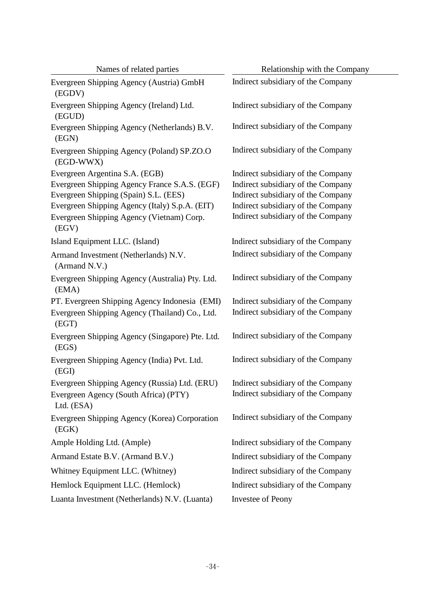| Names of related parties                                 | Relationship with the Company      |  |  |  |  |
|----------------------------------------------------------|------------------------------------|--|--|--|--|
| Evergreen Shipping Agency (Austria) GmbH<br>(EGDV)       | Indirect subsidiary of the Company |  |  |  |  |
| Evergreen Shipping Agency (Ireland) Ltd.<br>(EGUD)       | Indirect subsidiary of the Company |  |  |  |  |
| Evergreen Shipping Agency (Netherlands) B.V.<br>(EGN)    | Indirect subsidiary of the Company |  |  |  |  |
| Evergreen Shipping Agency (Poland) SP.ZO.O<br>(EGD-WWX)  | Indirect subsidiary of the Company |  |  |  |  |
| Evergreen Argentina S.A. (EGB)                           | Indirect subsidiary of the Company |  |  |  |  |
| Evergreen Shipping Agency France S.A.S. (EGF)            | Indirect subsidiary of the Company |  |  |  |  |
| Evergreen Shipping (Spain) S.L. (EES)                    | Indirect subsidiary of the Company |  |  |  |  |
| Evergreen Shipping Agency (Italy) S.p.A. (EIT)           | Indirect subsidiary of the Company |  |  |  |  |
| Evergreen Shipping Agency (Vietnam) Corp.<br>(EGV)       | Indirect subsidiary of the Company |  |  |  |  |
| Island Equipment LLC. (Island)                           | Indirect subsidiary of the Company |  |  |  |  |
| Armand Investment (Netherlands) N.V.<br>(Armand N.V.)    | Indirect subsidiary of the Company |  |  |  |  |
| Evergreen Shipping Agency (Australia) Pty. Ltd.<br>(EMA) | Indirect subsidiary of the Company |  |  |  |  |
| PT. Evergreen Shipping Agency Indonesia (EMI)            | Indirect subsidiary of the Company |  |  |  |  |
| Evergreen Shipping Agency (Thailand) Co., Ltd.<br>(EGT)  | Indirect subsidiary of the Company |  |  |  |  |
| Evergreen Shipping Agency (Singapore) Pte. Ltd.<br>(EGS) | Indirect subsidiary of the Company |  |  |  |  |
| Evergreen Shipping Agency (India) Pvt. Ltd.<br>(EGI)     | Indirect subsidiary of the Company |  |  |  |  |
| Evergreen Shipping Agency (Russia) Ltd. (ERU)            | Indirect subsidiary of the Company |  |  |  |  |
| Evergreen Agency (South Africa) (PTY)<br>Ltd. (ESA)      | Indirect subsidiary of the Company |  |  |  |  |
| Evergreen Shipping Agency (Korea) Corporation<br>(EGK)   | Indirect subsidiary of the Company |  |  |  |  |
| Ample Holding Ltd. (Ample)                               | Indirect subsidiary of the Company |  |  |  |  |
| Armand Estate B.V. (Armand B.V.)                         | Indirect subsidiary of the Company |  |  |  |  |
| Whitney Equipment LLC. (Whitney)                         | Indirect subsidiary of the Company |  |  |  |  |
| Hemlock Equipment LLC. (Hemlock)                         | Indirect subsidiary of the Company |  |  |  |  |
| Luanta Investment (Netherlands) N.V. (Luanta)            | Investee of Peony                  |  |  |  |  |

 $\overline{\phantom{a}}$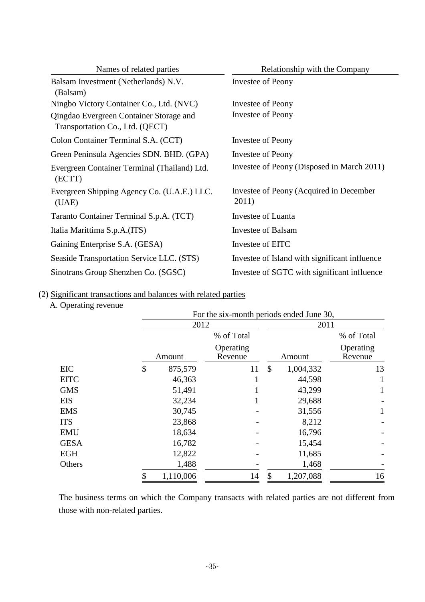| Names of related parties                                                   | Relationship with the Company                    |
|----------------------------------------------------------------------------|--------------------------------------------------|
| Balsam Investment (Netherlands) N.V.<br>(Balsam)                           | Investee of Peony                                |
| Ningbo Victory Container Co., Ltd. (NVC)                                   | Investee of Peony                                |
| Qingdao Evergreen Container Storage and<br>Transportation Co., Ltd. (QECT) | <b>Investee of Peony</b>                         |
| Colon Container Terminal S.A. (CCT)                                        | Investee of Peony                                |
| Green Peninsula Agencies SDN. BHD. (GPA)                                   | Investee of Peony                                |
| Evergreen Container Terminal (Thailand) Ltd.<br>(ECTT)                     | Investee of Peony (Disposed in March 2011)       |
| Evergreen Shipping Agency Co. (U.A.E.) LLC.<br>(UAE)                       | Investee of Peony (Acquired in December<br>2011) |
| Taranto Container Terminal S.p.A. (TCT)                                    | Investee of Luanta                               |
| Italia Marittima S.p.A.(ITS)                                               | Investee of Balsam                               |
| Gaining Enterprise S.A. (GESA)                                             | Investee of EITC                                 |
| Seaside Transportation Service LLC. (STS)                                  | Investee of Island with significant influence    |
| Sinotrans Group Shenzhen Co. (SGSC)                                        | Investee of SGTC with significant influence      |

## (2) Significant transactions and balances with related parties

## A. Operating revenue

|             | For the six-month periods ended June 30, |                      |    |           |                      |  |
|-------------|------------------------------------------|----------------------|----|-----------|----------------------|--|
|             | 2012                                     |                      |    | 2011      |                      |  |
|             |                                          | % of Total           |    |           | % of Total           |  |
|             | Amount                                   | Operating<br>Revenue |    | Amount    | Operating<br>Revenue |  |
| <b>EIC</b>  | \$<br>875,579                            | 11                   | \$ | 1,004,332 | 13                   |  |
| <b>EITC</b> | 46,363                                   |                      |    | 44,598    |                      |  |
| <b>GMS</b>  | 51,491                                   |                      |    | 43,299    |                      |  |
| <b>EIS</b>  | 32,234                                   |                      |    | 29,688    |                      |  |
| <b>EMS</b>  | 30,745                                   |                      |    | 31,556    |                      |  |
| <b>ITS</b>  | 23,868                                   |                      |    | 8,212     |                      |  |
| <b>EMU</b>  | 18,634                                   |                      |    | 16,796    |                      |  |
| <b>GESA</b> | 16,782                                   |                      |    | 15,454    |                      |  |
| <b>EGH</b>  | 12,822                                   |                      |    | 11,685    |                      |  |
| Others      | 1,488                                    |                      |    | 1,468     |                      |  |
|             | \$<br>1,110,006                          | 14                   | \$ | 1,207,088 | 16                   |  |

The business terms on which the Company transacts with related parties are not different from those with non-related parties.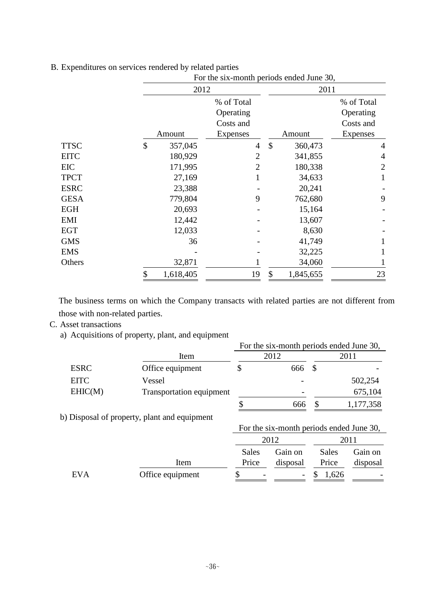|             |                 | For the six-month periods ended June 30, |                  |                |  |  |  |  |
|-------------|-----------------|------------------------------------------|------------------|----------------|--|--|--|--|
|             | 2012            |                                          | 2011             |                |  |  |  |  |
|             |                 | % of Total                               |                  | % of Total     |  |  |  |  |
|             |                 | Operating                                |                  | Operating      |  |  |  |  |
|             |                 | Costs and                                |                  | Costs and      |  |  |  |  |
|             | Amount          | Expenses                                 | Amount           | Expenses       |  |  |  |  |
| <b>TTSC</b> | \$<br>357,045   | 4                                        | $\$\$<br>360,473 | 4              |  |  |  |  |
| <b>EITC</b> | 180,929         | $\overline{2}$                           | 341,855          | 4              |  |  |  |  |
| EIC         | 171,995         | $\overline{2}$                           | 180,338          | $\overline{2}$ |  |  |  |  |
| <b>TPCT</b> | 27,169          |                                          | 34,633           |                |  |  |  |  |
| <b>ESRC</b> | 23,388          |                                          | 20,241           |                |  |  |  |  |
| <b>GESA</b> | 779,804         | 9                                        | 762,680          | 9              |  |  |  |  |
| <b>EGH</b>  | 20,693          |                                          | 15,164           |                |  |  |  |  |
| EMI         | 12,442          |                                          | 13,607           |                |  |  |  |  |
| <b>EGT</b>  | 12,033          |                                          | 8,630            |                |  |  |  |  |
| <b>GMS</b>  | 36              |                                          | 41,749           |                |  |  |  |  |
| <b>EMS</b>  |                 |                                          | 32,225           |                |  |  |  |  |
| Others      | 32,871          |                                          | 34,060           |                |  |  |  |  |
|             | 1,618,405<br>\$ | 19                                       | \$<br>1,845,655  | 23             |  |  |  |  |

B. Expenditures on services rendered by related parties

The business terms on which the Company transacts with related parties are not different from those with non-related parties.

### C. Asset transactions

a) Acquisitions of property, plant, and equipment

|                          | For the six-month periods ended June 30, |     |      |           |  |
|--------------------------|------------------------------------------|-----|------|-----------|--|
| Item                     |                                          |     |      | 2011      |  |
| Office equipment         |                                          | 666 |      |           |  |
| Vessel                   |                                          |     |      | 502,254   |  |
| Transportation equipment |                                          |     |      | 675,104   |  |
|                          |                                          | 666 |      | 1,177,358 |  |
|                          |                                          |     | 2012 |           |  |

0 b) Disposal of property, plant and equipment

For the six-month periods ended June 30,

|            |                  | 2012                     |          | 2011         |                          |
|------------|------------------|--------------------------|----------|--------------|--------------------------|
|            |                  | Sales                    | Gain on  | <b>Sales</b> | Gain on                  |
|            | Item             | Price                    | disposal | Price        | disposal                 |
| <b>EVA</b> | Office equipment | $\overline{\phantom{0}}$ | $\sim$   | 1,626        | $\overline{\phantom{a}}$ |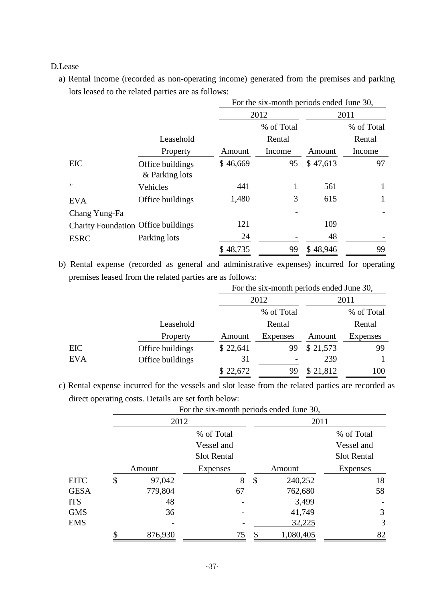### D.Lease

a) Rental income (recorded as non-operating income) generated from the premises and parking lots leased to the related parties are as follows:

|                                            |                                    | For the six-month periods ended June 30, |        |          |            |  |  |  |
|--------------------------------------------|------------------------------------|------------------------------------------|--------|----------|------------|--|--|--|
|                                            |                                    |                                          | 2012   |          | 2011       |  |  |  |
|                                            |                                    | % of Total                               |        |          | % of Total |  |  |  |
|                                            | Leasehold                          |                                          | Rental |          | Rental     |  |  |  |
|                                            | Property                           | Amount                                   | Income | Amount   | Income     |  |  |  |
| EIC                                        | Office buildings<br>& Parking lots | \$46,669                                 | 95     | \$47,613 | 97         |  |  |  |
| $^{\prime}$                                | Vehicles                           | 441                                      |        | 561      | 1          |  |  |  |
| <b>EVA</b>                                 | Office buildings                   | 1,480                                    | 3      | 615      | 1          |  |  |  |
| Chang Yung-Fa                              |                                    |                                          |        |          |            |  |  |  |
| <b>Charity Foundation Office buildings</b> |                                    | 121                                      |        | 109      |            |  |  |  |
| <b>ESRC</b>                                | Parking lots                       | 24                                       |        | 48       |            |  |  |  |
|                                            |                                    | \$48,735                                 | 99     | \$48,946 | 99         |  |  |  |

b) Rental expense (recorded as general and administrative expenses) incurred for operating premises leased from the related parties are as follows:

|            |                  | For the six-month periods ended June 30, |            |          |            |  |  |
|------------|------------------|------------------------------------------|------------|----------|------------|--|--|
|            |                  |                                          | 2012       |          | 2011       |  |  |
|            |                  |                                          | % of Total |          | % of Total |  |  |
|            | Leasehold        |                                          | Rental     |          | Rental     |  |  |
|            | Property         | Amount                                   | Expenses   | Amount   | Expenses   |  |  |
| EIC        | Office buildings | \$22,641                                 | 99         | \$21,573 | 99         |  |  |
| <b>EVA</b> | Office buildings | <u>31</u>                                |            | 239      |            |  |  |
|            |                  | \$22,672                                 | 99         | \$21,812 | 100        |  |  |

c) Rental expense incurred for the vessels and slot lease from the related parties are recorded as direct operating costs. Details are set forth below:

|             | TVI the six-month periods ended June 50, |            |                    |                           |           |                    |  |  |
|-------------|------------------------------------------|------------|--------------------|---------------------------|-----------|--------------------|--|--|
|             |                                          | 2012       |                    |                           | 2011      |                    |  |  |
|             |                                          | % of Total |                    |                           |           | % of Total         |  |  |
|             |                                          |            | Vessel and         |                           |           | Vessel and         |  |  |
|             |                                          |            | <b>Slot Rental</b> |                           |           | <b>Slot Rental</b> |  |  |
|             |                                          | Amount     | <b>Expenses</b>    |                           | Amount    | <b>Expenses</b>    |  |  |
| <b>EITC</b> | \$                                       | 97,042     | 8                  | $\boldsymbol{\mathsf{S}}$ | 240,252   | 18                 |  |  |
| <b>GESA</b> |                                          | 779,804    | 67                 |                           | 762,680   | 58                 |  |  |
| <b>ITS</b>  |                                          | 48         |                    |                           | 3,499     |                    |  |  |
| <b>GMS</b>  |                                          | 36         |                    |                           | 41,749    | 3                  |  |  |
| <b>EMS</b>  |                                          |            |                    |                           | 32,225    | 3                  |  |  |
|             |                                          | 876,930    | 75                 |                           | 1,080,405 | 82                 |  |  |

For the six-month periods ended June 30,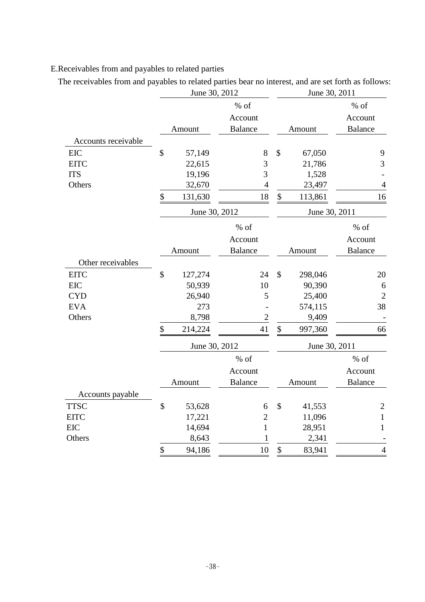# E.Receivables from and payables to related parties

The receivables from and payables to related parties bear no interest, and are set forth as follows:

|                     | June 30, 2012 |                |                           | June 30, 2011 |                |
|---------------------|---------------|----------------|---------------------------|---------------|----------------|
|                     |               | $%$ of         |                           |               | $%$ of         |
|                     |               | Account        |                           |               | Account        |
|                     | Amount        | <b>Balance</b> |                           | Amount        | <b>Balance</b> |
| Accounts receivable |               |                |                           |               |                |
| EIC                 | \$<br>57,149  | $8\,$          | $\mathcal{S}$             | 67,050        | 9              |
| <b>EITC</b>         | 22,615        | 3              |                           | 21,786        | 3              |
| <b>ITS</b>          | 19,196        | 3              |                           | 1,528         |                |
| Others              | 32,670        | $\overline{4}$ |                           | 23,497        | $\overline{4}$ |
|                     | \$<br>131,630 | 18             | \$                        | 113,861       | 16             |
|                     | June 30, 2012 |                |                           | June 30, 2011 |                |
|                     |               | $%$ of         |                           |               | % of           |
|                     |               | Account        |                           |               | Account        |
|                     | Amount        | <b>Balance</b> |                           | Amount        | Balance        |
| Other receivables   |               |                |                           |               |                |
| <b>EITC</b>         | \$<br>127,274 | 24             | \$                        | 298,046       | 20             |
| EIC                 | 50,939        | 10             |                           | 90,390        | 6              |
| <b>CYD</b>          | 26,940        | 5              |                           | 25,400        | $\overline{c}$ |
| <b>EVA</b>          | 273           |                |                           | 574,115       | 38             |
| Others              | 8,798         | $\sqrt{2}$     |                           | 9,409         |                |
|                     | \$<br>214,224 | 41             | \$                        | 997,360       | 66             |
|                     | June 30, 2012 |                |                           | June 30, 2011 |                |
|                     |               | $%$ of         |                           |               | $%$ of         |
|                     |               | Account        |                           |               | Account        |
|                     | Amount        | <b>Balance</b> |                           | Amount        | <b>Balance</b> |
| Accounts payable    |               |                |                           |               |                |
| <b>TTSC</b>         | \$<br>53,628  | 6              | $\boldsymbol{\mathsf{S}}$ | 41,553        | $\overline{2}$ |
| <b>EITC</b>         | 17,221        | $\sqrt{2}$     |                           | 11,096        | $\mathbf{1}$   |
| <b>EIC</b>          | 14,694        | $\mathbf{1}$   |                           | 28,951        | 1              |
| Others              | 8,643         | 1              |                           | 2,341         |                |
|                     | \$<br>94,186  | 10             | \$                        | 83,941        | $\overline{4}$ |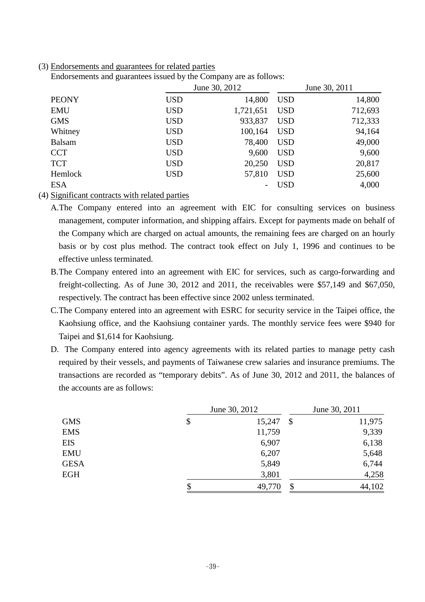#### (3) Endorsements and guarantees for related parties

Endorsements and guarantees issued by the Company are as follows:

|               | June 30, 2012 |           | June 30, 2011 |         |
|---------------|---------------|-----------|---------------|---------|
| <b>PEONY</b>  | <b>USD</b>    | 14,800    | <b>USD</b>    | 14,800  |
| <b>EMU</b>    | <b>USD</b>    | 1,721,651 | <b>USD</b>    | 712,693 |
| <b>GMS</b>    | <b>USD</b>    | 933,837   | <b>USD</b>    | 712,333 |
| Whitney       | <b>USD</b>    | 100,164   | <b>USD</b>    | 94,164  |
| <b>Balsam</b> | <b>USD</b>    | 78,400    | <b>USD</b>    | 49,000  |
| <b>CCT</b>    | <b>USD</b>    | 9,600     | <b>USD</b>    | 9,600   |
| <b>TCT</b>    | <b>USD</b>    | 20,250    | <b>USD</b>    | 20,817  |
| Hemlock       | <b>USD</b>    | 57,810    | <b>USD</b>    | 25,600  |
| <b>ESA</b>    |               |           | USD           | 4,000   |

(4) Significant contracts with related parties

A.The Company entered into an agreement with EIC for consulting services on business management, computer information, and shipping affairs. Except for payments made on behalf of the Company which are charged on actual amounts, the remaining fees are charged on an hourly basis or by cost plus method. The contract took effect on July 1, 1996 and continues to be effective unless terminated.

- B.The Company entered into an agreement with EIC for services, such as cargo-forwarding and freight-collecting. As of June 30, 2012 and 2011, the receivables were \$57,149 and \$67,050, respectively. The contract has been effective since 2002 unless terminated.
- C.The Company entered into an agreement with ESRC for security service in the Taipei office, the Kaohsiung office, and the Kaohsiung container yards. The monthly service fees were \$940 for Taipei and \$1,614 for Kaohsiung.
- D. The Company entered into agency agreements with its related parties to manage petty cash required by their vessels, and payments of Taiwanese crew salaries and insurance premiums. The transactions are recorded as "temporary debits". As of June 30, 2012 and 2011, the balances of the accounts are as follows:

|             | June 30, 2012      | June 30, 2011 |  |
|-------------|--------------------|---------------|--|
| <b>GMS</b>  | \$<br>15,247<br>\$ | 11,975        |  |
| <b>EMS</b>  | 11,759             | 9,339         |  |
| <b>EIS</b>  | 6,907              | 6,138         |  |
| <b>EMU</b>  | 6,207              | 5,648         |  |
| <b>GESA</b> | 5,849              | 6,744         |  |
| <b>EGH</b>  | 3,801              | 4,258         |  |
|             | \$<br>49,770<br>\$ | 44,102        |  |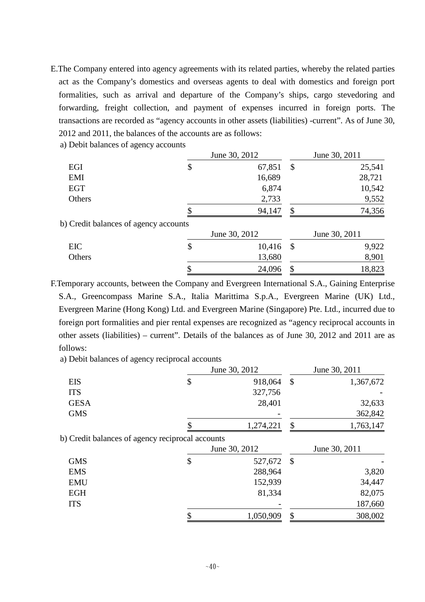- E.The Company entered into agency agreements with its related parties, whereby the related parties act as the Company's domestics and overseas agents to deal with domestics and foreign port formalities, such as arrival and departure of the Company's ships, cargo stevedoring and forwarding, freight collection, and payment of expenses incurred in foreign ports. The transactions are recorded as "agency accounts in other assets (liabilities) -current". As of June 30, 2012 and 2011, the balances of the accounts are as follows:
	- a) Debit balances of agency accounts

|                                       | June 30, 2012 |                            | June 30, 2011 |
|---------------------------------------|---------------|----------------------------|---------------|
| EGI                                   | \$<br>67,851  | $\boldsymbol{\mathcal{S}}$ | 25,541        |
| EMI                                   | 16,689        |                            | 28,721        |
| <b>EGT</b>                            | 6,874         |                            | 10,542        |
| Others                                | 2,733         |                            | 9,552         |
|                                       | 94,147        | \$                         | 74,356        |
| b) Credit balances of agency accounts |               |                            |               |
|                                       | June 30, 2012 |                            | June 30, 2011 |
| EIC                                   | \$<br>10,416  | $\boldsymbol{\mathcal{S}}$ | 9,922         |
| Others                                | 13,680        |                            | 8,901         |
|                                       | \$<br>24,096  | \$                         | 18,823        |

F.Temporary accounts, between the Company and Evergreen International S.A., Gaining Enterprise S.A., Greencompass Marine S.A., Italia Marittima S.p.A., Evergreen Marine (UK) Ltd., Evergreen Marine (Hong Kong) Ltd. and Evergreen Marine (Singapore) Pte. Ltd., incurred due to foreign port formalities and pier rental expenses are recognized as "agency reciprocal accounts in other assets (liabilities) – current". Details of the balances as of June 30, 2012 and 2011 are as follows:

a) Debit balances of agency reciprocal accounts

|             |                                                  | June 30, 2012 | June 30, 2011              |               |  |
|-------------|--------------------------------------------------|---------------|----------------------------|---------------|--|
| <b>EIS</b>  | \$                                               | 918,064       | $\boldsymbol{\mathsf{S}}$  | 1,367,672     |  |
| <b>ITS</b>  |                                                  | 327,756       |                            |               |  |
| <b>GESA</b> |                                                  | 28,401        |                            | 32,633        |  |
| <b>GMS</b>  |                                                  |               |                            | 362,842       |  |
|             |                                                  | 1,274,221     | \$                         | 1,763,147     |  |
|             | b) Credit balances of agency reciprocal accounts |               |                            |               |  |
|             |                                                  | June 30, 2012 |                            | June 30, 2011 |  |
| <b>GMS</b>  | \$                                               | 527,672       | $\boldsymbol{\mathcal{S}}$ |               |  |
| <b>EMS</b>  |                                                  | 288,964       |                            | 3,820         |  |
| <b>EMU</b>  |                                                  | 152,939       |                            | 34,447        |  |
| <b>EGH</b>  |                                                  | 81,334        |                            | 82,075        |  |
| <b>ITS</b>  |                                                  |               |                            | 187,660       |  |

 $$308,002$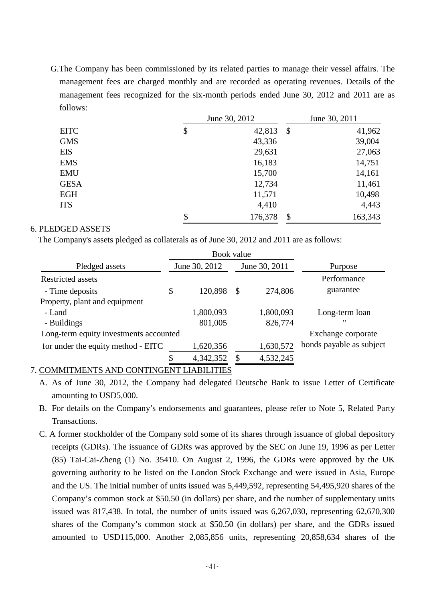G.The Company has been commissioned by its related parties to manage their vessel affairs. The management fees are charged monthly and are recorded as operating revenues. Details of the management fees recognized for the six-month periods ended June 30, 2012 and 2011 are as follows:

|             | June 30, 2012 |         | June 30, 2011             |         |
|-------------|---------------|---------|---------------------------|---------|
| <b>EITC</b> | \$            | 42,813  | $\boldsymbol{\mathsf{S}}$ | 41,962  |
| <b>GMS</b>  |               | 43,336  |                           | 39,004  |
| <b>EIS</b>  |               | 29,631  |                           | 27,063  |
| <b>EMS</b>  |               | 16,183  |                           | 14,751  |
| <b>EMU</b>  |               | 15,700  |                           | 14,161  |
| <b>GESA</b> |               | 12,734  |                           | 11,461  |
| <b>EGH</b>  |               | 11,571  |                           | 10,498  |
| <b>ITS</b>  |               | 4,410   |                           | 4,443   |
|             | \$            | 176,378 | \$                        | 163,343 |

## 6. PLEDGED ASSETS

The Company's assets pledged as collaterals as of June 30, 2012 and 2011 are as follows:

|                                        |    | Book value    |              |               |                          |
|----------------------------------------|----|---------------|--------------|---------------|--------------------------|
| Pledged assets                         |    | June 30, 2012 |              | June 30, 2011 | Purpose                  |
| <b>Restricted assets</b>               |    |               |              |               | Performance              |
| - Time deposits                        | \$ | 120,898       | $\mathbb{S}$ | 274,806       | guarantee                |
| Property, plant and equipment          |    |               |              |               |                          |
| - Land                                 |    | 1,800,093     |              | 1,800,093     | Long-term loan           |
| - Buildings                            |    | 801,005       |              | 826,774       | $^{\prime}$              |
| Long-term equity investments accounted |    |               |              |               | Exchange corporate       |
| for under the equity method - EITC     |    | 1,620,356     |              | 1,630,572     | bonds payable as subject |
|                                        |    | 4,342,352     |              | 4,532,245     |                          |

# 7. COMMITMENTS AND CONTINGENT LIABILITIES

- A. As of June 30, 2012, the Company had delegated Deutsche Bank to issue Letter of Certificate amounting to USD5,000.
- B. For details on the Company's endorsements and guarantees, please refer to Note 5, Related Party Transactions.
- C. A former stockholder of the Company sold some of its shares through issuance of global depository receipts (GDRs). The issuance of GDRs was approved by the SEC on June 19, 1996 as per Letter (85) Tai-Cai-Zheng (1) No. 35410. On August 2, 1996, the GDRs were approved by the UK governing authority to be listed on the London Stock Exchange and were issued in Asia, Europe and the US. The initial number of units issued was 5,449,592, representing 54,495,920 shares of the Company's common stock at \$50.50 (in dollars) per share, and the number of supplementary units issued was 817,438. In total, the number of units issued was 6,267,030, representing 62,670,300 shares of the Company's common stock at \$50.50 (in dollars) per share, and the GDRs issued amounted to USD115,000. Another 2,085,856 units, representing 20,858,634 shares of the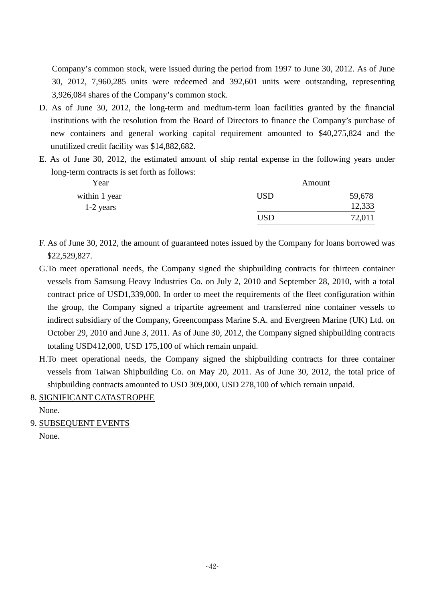Company's common stock, were issued during the period from 1997 to June 30, 2012. As of June 30, 2012, 7,960,285 units were redeemed and 392,601 units were outstanding, representing 3,926,084 shares of the Company's common stock.

- D. As of June 30, 2012, the long-term and medium-term loan facilities granted by the financial institutions with the resolution from the Board of Directors to finance the Company's purchase of new containers and general working capital requirement amounted to \$40,275,824 and the unutilized credit facility was \$14,882,682.
- E. As of June 30, 2012, the estimated amount of ship rental expense in the following years under long-term contracts is set forth as follows:

| Year          |     | Amount |
|---------------|-----|--------|
| within 1 year | USD | 59,678 |
| $1-2$ years   |     | 12,333 |
|               | USD | 72,01. |

- F. As of June 30, 2012, the amount of guaranteed notes issued by the Company for loans borrowed was \$22,529,827.
- G.To meet operational needs, the Company signed the shipbuilding contracts for thirteen container vessels from Samsung Heavy Industries Co. on July 2, 2010 and September 28, 2010, with a total contract price of USD1,339,000. In order to meet the requirements of the fleet configuration within the group, the Company signed a tripartite agreement and transferred nine container vessels to indirect subsidiary of the Company, Greencompass Marine S.A. and Evergreen Marine (UK) Ltd. on October 29, 2010 and June 3, 2011. As of June 30, 2012, the Company signed shipbuilding contracts totaling USD412,000, USD 175,100 of which remain unpaid.
- H.To meet operational needs, the Company signed the shipbuilding contracts for three container vessels from Taiwan Shipbuilding Co. on May 20, 2011. As of June 30, 2012, the total price of shipbuilding contracts amounted to USD 309,000, USD 278,100 of which remain unpaid.
- 8. SIGNIFICANT CATASTROPHE

None.

9. SUBSEQUENT EVENTS None.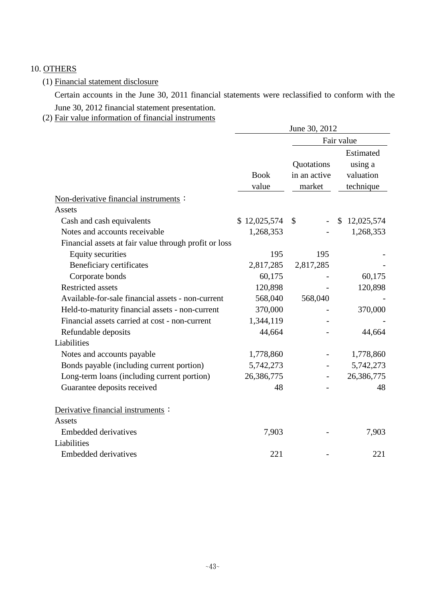# 10. OTHERS

# (1) Financial statement disclosure

Certain accounts in the June 30, 2011 financial statements were reclassified to conform with the June 30, 2012 financial statement presentation.

(2) Fair value information of financial instruments

|                                                       | June 30, 2012 |               |                            |  |  |  |
|-------------------------------------------------------|---------------|---------------|----------------------------|--|--|--|
|                                                       |               |               | Fair value                 |  |  |  |
|                                                       |               | Quotations    | Estimated<br>using a       |  |  |  |
|                                                       | <b>Book</b>   | in an active  | valuation                  |  |  |  |
|                                                       | value         | market        | technique                  |  |  |  |
| Non-derivative financial instruments :                |               |               |                            |  |  |  |
| <b>Assets</b>                                         |               |               |                            |  |  |  |
| Cash and cash equivalents                             | \$12,025,574  | $\mathcal{S}$ | $\mathbb{S}$<br>12,025,574 |  |  |  |
| Notes and accounts receivable                         | 1,268,353     |               | 1,268,353                  |  |  |  |
| Financial assets at fair value through profit or loss |               |               |                            |  |  |  |
| <b>Equity securities</b>                              | 195           | 195           |                            |  |  |  |
| Beneficiary certificates                              | 2,817,285     | 2,817,285     |                            |  |  |  |
| Corporate bonds                                       | 60,175        |               | 60,175                     |  |  |  |
| <b>Restricted assets</b>                              | 120,898       |               | 120,898                    |  |  |  |
| Available-for-sale financial assets - non-current     | 568,040       | 568,040       |                            |  |  |  |
| Held-to-maturity financial assets - non-current       | 370,000       |               | 370,000                    |  |  |  |
| Financial assets carried at cost - non-current        | 1,344,119     |               |                            |  |  |  |
| Refundable deposits                                   | 44,664        |               | 44,664                     |  |  |  |
| Liabilities                                           |               |               |                            |  |  |  |
| Notes and accounts payable                            | 1,778,860     |               | 1,778,860                  |  |  |  |
| Bonds payable (including current portion)             | 5,742,273     |               | 5,742,273                  |  |  |  |
| Long-term loans (including current portion)           | 26,386,775    |               | 26,386,775                 |  |  |  |
| Guarantee deposits received                           | 48            |               | 48                         |  |  |  |
| Derivative financial instruments:                     |               |               |                            |  |  |  |
| Assets                                                |               |               |                            |  |  |  |
| <b>Embedded derivatives</b>                           | 7,903         |               | 7,903                      |  |  |  |
| Liabilities                                           |               |               |                            |  |  |  |
| <b>Embedded derivatives</b>                           | 221           |               | 221                        |  |  |  |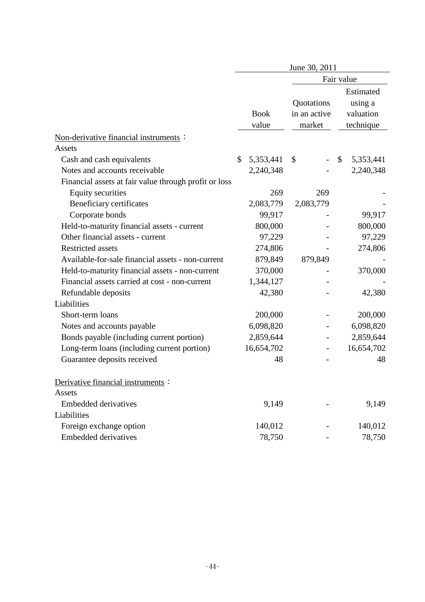|                                                       | June 30, 2011        |                                      |                                                |  |  |  |  |
|-------------------------------------------------------|----------------------|--------------------------------------|------------------------------------------------|--|--|--|--|
|                                                       |                      |                                      | Fair value                                     |  |  |  |  |
|                                                       | <b>Book</b><br>value | Quotations<br>in an active<br>market | Estimated<br>using a<br>valuation<br>technique |  |  |  |  |
| Non-derivative financial instruments :                |                      |                                      |                                                |  |  |  |  |
| Assets                                                |                      |                                      |                                                |  |  |  |  |
| Cash and cash equivalents                             | \$<br>5,353,441      | \$                                   | \$<br>5,353,441                                |  |  |  |  |
| Notes and accounts receivable                         | 2,240,348            |                                      | 2,240,348                                      |  |  |  |  |
| Financial assets at fair value through profit or loss |                      |                                      |                                                |  |  |  |  |
| <b>Equity securities</b>                              | 269                  | 269                                  |                                                |  |  |  |  |
| Beneficiary certificates                              | 2,083,779            | 2,083,779                            |                                                |  |  |  |  |
| Corporate bonds                                       | 99,917               |                                      | 99,917                                         |  |  |  |  |
| Held-to-maturity financial assets - current           | 800,000              |                                      | 800,000                                        |  |  |  |  |
| Other financial assets - current                      | 97,229               |                                      | 97,229                                         |  |  |  |  |
| <b>Restricted assets</b>                              | 274,806              |                                      | 274,806                                        |  |  |  |  |
| Available-for-sale financial assets - non-current     | 879,849              | 879,849                              |                                                |  |  |  |  |
| Held-to-maturity financial assets - non-current       | 370,000              |                                      | 370,000                                        |  |  |  |  |
| Financial assets carried at cost - non-current        | 1,344,127            |                                      |                                                |  |  |  |  |
| Refundable deposits                                   | 42,380               |                                      | 42,380                                         |  |  |  |  |
| Liabilities                                           |                      |                                      |                                                |  |  |  |  |
| Short-term loans                                      | 200,000              |                                      | 200,000                                        |  |  |  |  |
| Notes and accounts payable                            | 6,098,820            |                                      | 6,098,820                                      |  |  |  |  |
| Bonds payable (including current portion)             | 2,859,644            |                                      | 2,859,644                                      |  |  |  |  |
| Long-term loans (including current portion)           | 16,654,702           | $\overline{\phantom{a}}$             | 16,654,702                                     |  |  |  |  |
| Guarantee deposits received                           | 48                   |                                      | 48                                             |  |  |  |  |
| Derivative financial instruments:                     |                      |                                      |                                                |  |  |  |  |
| Assets                                                |                      |                                      |                                                |  |  |  |  |
| <b>Embedded derivatives</b>                           | 9,149                |                                      | 9,149                                          |  |  |  |  |
| Liabilities                                           |                      |                                      |                                                |  |  |  |  |
| Foreign exchange option                               | 140,012              |                                      | 140,012                                        |  |  |  |  |
| <b>Embedded derivatives</b>                           | 78,750               |                                      | 78,750                                         |  |  |  |  |
|                                                       |                      |                                      |                                                |  |  |  |  |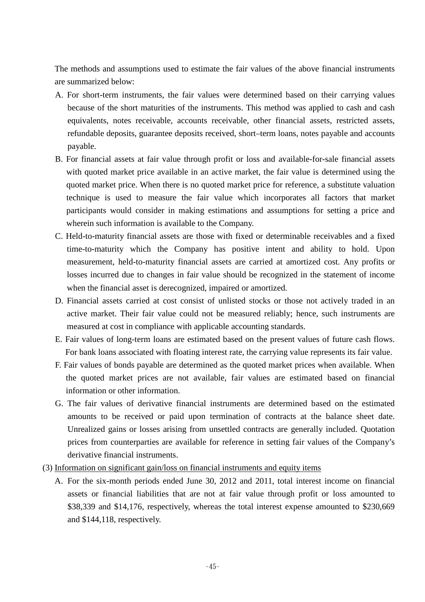The methods and assumptions used to estimate the fair values of the above financial instruments are summarized below:

- A. For short-term instruments, the fair values were determined based on their carrying values because of the short maturities of the instruments. This method was applied to cash and cash equivalents, notes receivable, accounts receivable, other financial assets, restricted assets, refundable deposits, guarantee deposits received, short–term loans, notes payable and accounts payable.
- B. For financial assets at fair value through profit or loss and available-for-sale financial assets with quoted market price available in an active market, the fair value is determined using the quoted market price. When there is no quoted market price for reference, a substitute valuation technique is used to measure the fair value which incorporates all factors that market participants would consider in making estimations and assumptions for setting a price and wherein such information is available to the Company.
- C. Held-to-maturity financial assets are those with fixed or determinable receivables and a fixed time-to-maturity which the Company has positive intent and ability to hold. Upon measurement, held-to-maturity financial assets are carried at amortized cost. Any profits or losses incurred due to changes in fair value should be recognized in the statement of income when the financial asset is derecognized, impaired or amortized.
- D. Financial assets carried at cost consist of unlisted stocks or those not actively traded in an active market. Their fair value could not be measured reliably; hence, such instruments are measured at cost in compliance with applicable accounting standards.
- E. Fair values of long-term loans are estimated based on the present values of future cash flows. For bank loans associated with floating interest rate, the carrying value represents its fair value.
- F. Fair values of bonds payable are determined as the quoted market prices when available. When the quoted market prices are not available, fair values are estimated based on financial information or other information.
- G. The fair values of derivative financial instruments are determined based on the estimated amounts to be received or paid upon termination of contracts at the balance sheet date. Unrealized gains or losses arising from unsettled contracts are generally included. Quotation prices from counterparties are available for reference in setting fair values of the Company's derivative financial instruments.
- (3) Information on significant gain/loss on financial instruments and equity items
	- A. For the six-month periods ended June 30, 2012 and 2011, total interest income on financial assets or financial liabilities that are not at fair value through profit or loss amounted to \$38,339 and \$14,176, respectively, whereas the total interest expense amounted to \$230,669 and \$144,118, respectively.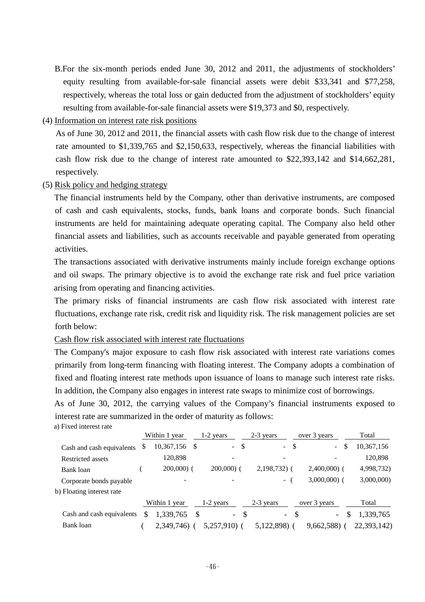- B.For the six-month periods ended June 30, 2012 and 2011, the adjustments of stockholders' equity resulting from available-for-sale financial assets were debit \$33,341 and \$77,258, respectively, whereas the total loss or gain deducted from the adjustment of stockholders' equity resulting from available-for-sale financial assets were \$19,373 and \$0, respectively.
- (4) Information on interest rate risk positions

As of June 30, 2012 and 2011, the financial assets with cash flow risk due to the change of interest rate amounted to \$1,339,765 and \$2,150,633, respectively, whereas the financial liabilities with cash flow risk due to the change of interest rate amounted to \$22,393,142 and \$14,662,281, respectively.

(5) Risk policy and hedging strategy

a) Fixed interest rate

The financial instruments held by the Company, other than derivative instruments, are composed of cash and cash equivalents, stocks, funds, bank loans and corporate bonds. Such financial instruments are held for maintaining adequate operating capital. The Company also held other financial assets and liabilities, such as accounts receivable and payable generated from operating activities.

The transactions associated with derivative instruments mainly include foreign exchange options and oil swaps. The primary objective is to avoid the exchange rate risk and fuel price variation arising from operating and financing activities.

The primary risks of financial instruments are cash flow risk associated with interest rate fluctuations, exchange rate risk, credit risk and liquidity risk. The risk management policies are set forth below:

Cash flow risk associated with interest rate fluctuations

The Company's major exposure to cash flow risk associated with interest rate variations comes primarily from long-term financing with floating interest. The Company adopts a combination of fixed and floating interest rate methods upon issuance of loans to manage such interest rate risks. In addition, the Company also engages in interest rate swaps to minimize cost of borrowings.

As of June 30, 2012, the carrying values of the Company's financial instruments exposed to interest rate are summarized in the order of maturity as follows:

|                           |    | Within 1 year   | $1-2$ years              |     | 2-3 years                | over 3 years                    |     | Total       |
|---------------------------|----|-----------------|--------------------------|-----|--------------------------|---------------------------------|-----|-------------|
| Cash and cash equivalents | æ. | $10,367,156$ \$ | $\sim$                   | -S  | \$<br>$\mathbb{Z}^{n-1}$ | $\sim$                          | \$  | 10,367,156  |
| <b>Restricted assets</b>  |    | 120,898         |                          |     |                          |                                 |     | 120,898     |
| Bank loan                 |    | $200,000$ (     | $200,000$ (              |     | $2,198,732$ (            | $2,400,000$ (                   |     | 4,998,732)  |
| Corporate bonds payable   |    |                 | -                        |     | - (                      | $3,000,000$ (                   |     | 3,000,000)  |
| b) Floating interest rate |    |                 |                          |     |                          |                                 |     |             |
|                           |    | Within 1 year   | $1-2$ years              |     | $2-3$ years              | over 3 years                    |     | Total       |
| Cash and cash equivalents | S  | 1,339,765       | $\overline{\phantom{0}}$ | -\$ | $\equiv$                 | -\$<br>$\overline{\phantom{a}}$ | \$. | 1,339,765   |
| Bank loan                 |    | 2,349,746)      | 5.257.910) (             |     | 5,122,898)               | 9,662,588)                      |     | 22,393,142) |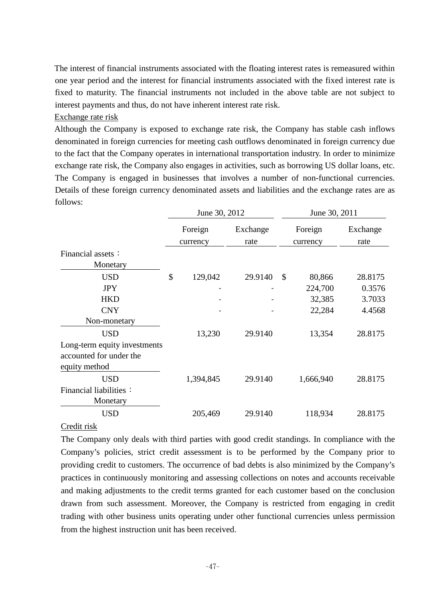The interest of financial instruments associated with the floating interest rates is remeasured within one year period and the interest for financial instruments associated with the fixed interest rate is fixed to maturity. The financial instruments not included in the above table are not subject to interest payments and thus, do not have inherent interest rate risk.

### Exchange rate risk

Although the Company is exposed to exchange rate risk, the Company has stable cash inflows denominated in foreign currencies for meeting cash outflows denominated in foreign currency due to the fact that the Company operates in international transportation industry. In order to minimize exchange rate risk, the Company also engages in activities, such as borrowing US dollar loans, etc. The Company is engaged in businesses that involves a number of non-functional currencies. Details of these foreign currency denominated assets and liabilities and the exchange rates are as follows:

|                              | June 30, 2012 |           |          |               | June 30, 2011 |          |  |
|------------------------------|---------------|-----------|----------|---------------|---------------|----------|--|
|                              |               | Foreign   | Exchange |               | Foreign       | Exchange |  |
|                              |               | currency  | rate     |               | currency      | rate     |  |
| Financial assets:            |               |           |          |               |               |          |  |
| Monetary                     |               |           |          |               |               |          |  |
| <b>USD</b>                   | \$            | 129,042   | 29.9140  | $\mathcal{S}$ | 80,866        | 28.8175  |  |
| <b>JPY</b>                   |               |           |          |               | 224,700       | 0.3576   |  |
| <b>HKD</b>                   |               |           |          |               | 32,385        | 3.7033   |  |
| <b>CNY</b>                   |               |           |          |               | 22,284        | 4.4568   |  |
| Non-monetary                 |               |           |          |               |               |          |  |
| <b>USD</b>                   |               | 13,230    | 29.9140  |               | 13,354        | 28.8175  |  |
| Long-term equity investments |               |           |          |               |               |          |  |
| accounted for under the      |               |           |          |               |               |          |  |
| equity method                |               |           |          |               |               |          |  |
| <b>USD</b>                   |               | 1,394,845 | 29.9140  |               | 1,666,940     | 28.8175  |  |
| Financial liabilities:       |               |           |          |               |               |          |  |
| Monetary                     |               |           |          |               |               |          |  |
| <b>USD</b>                   |               | 205,469   | 29.9140  |               | 118,934       | 28.8175  |  |
|                              |               |           |          |               |               |          |  |

# Credit risk

The Company only deals with third parties with good credit standings. In compliance with the Company's policies, strict credit assessment is to be performed by the Company prior to providing credit to customers. The occurrence of bad debts is also minimized by the Company's practices in continuously monitoring and assessing collections on notes and accounts receivable and making adjustments to the credit terms granted for each customer based on the conclusion drawn from such assessment. Moreover, the Company is restricted from engaging in credit trading with other business units operating under other functional currencies unless permission from the highest instruction unit has been received.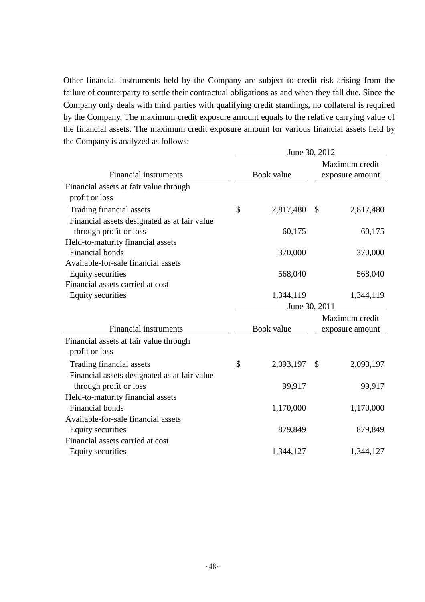Other financial instruments held by the Company are subject to credit risk arising from the failure of counterparty to settle their contractual obligations as and when they fall due. Since the Company only deals with third parties with qualifying credit standings, no collateral is required by the Company. The maximum credit exposure amount equals to the relative carrying value of the financial assets. The maximum credit exposure amount for various financial assets held by the Company is analyzed as follows:  $J = 20, 2012$ 

|                                              | June 30, 2012 |            |               |                                   |  |  |  |
|----------------------------------------------|---------------|------------|---------------|-----------------------------------|--|--|--|
| Financial instruments                        |               | Book value |               | Maximum credit<br>exposure amount |  |  |  |
| Financial assets at fair value through       |               |            |               |                                   |  |  |  |
| profit or loss                               |               |            |               |                                   |  |  |  |
| Trading financial assets                     | \$            | 2,817,480  | $\mathcal{S}$ | 2,817,480                         |  |  |  |
| Financial assets designated as at fair value |               |            |               |                                   |  |  |  |
| through profit or loss                       |               | 60,175     |               | 60,175                            |  |  |  |
| Held-to-maturity financial assets            |               |            |               |                                   |  |  |  |
| <b>Financial bonds</b>                       |               | 370,000    |               | 370,000                           |  |  |  |
| Available-for-sale financial assets          |               |            |               |                                   |  |  |  |
| <b>Equity securities</b>                     |               | 568,040    |               | 568,040                           |  |  |  |
| Financial assets carried at cost             |               |            |               |                                   |  |  |  |
| <b>Equity securities</b>                     |               | 1,344,119  |               | 1,344,119                         |  |  |  |
|                                              |               |            | June 30, 2011 |                                   |  |  |  |
|                                              |               |            |               | Maximum credit                    |  |  |  |
| <b>Financial instruments</b>                 |               | Book value |               | exposure amount                   |  |  |  |
| Financial assets at fair value through       |               |            |               |                                   |  |  |  |
| profit or loss                               |               |            |               |                                   |  |  |  |
| Trading financial assets                     | \$            | 2,093,197  | \$            | 2,093,197                         |  |  |  |
| Financial assets designated as at fair value |               |            |               |                                   |  |  |  |
| through profit or loss                       |               | 99,917     |               | 99,917                            |  |  |  |
| Held-to-maturity financial assets            |               |            |               |                                   |  |  |  |
| <b>Financial bonds</b>                       |               | 1,170,000  |               | 1,170,000                         |  |  |  |
| Available-for-sale financial assets          |               |            |               |                                   |  |  |  |
| <b>Equity securities</b>                     |               | 879,849    |               | 879,849                           |  |  |  |
| Financial assets carried at cost             |               |            |               |                                   |  |  |  |
| <b>Equity securities</b>                     |               | 1,344,127  |               | 1,344,127                         |  |  |  |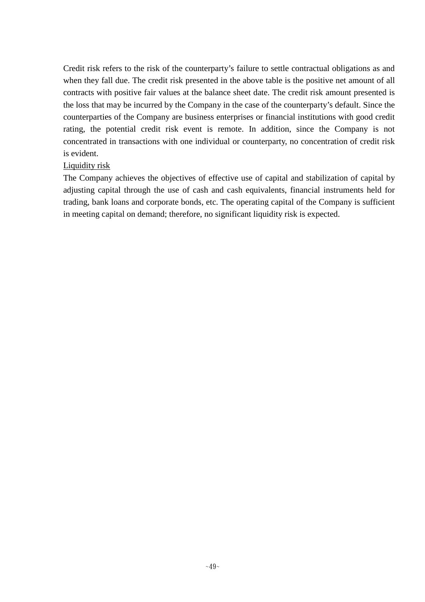Credit risk refers to the risk of the counterparty's failure to settle contractual obligations as and when they fall due. The credit risk presented in the above table is the positive net amount of all contracts with positive fair values at the balance sheet date. The credit risk amount presented is the loss that may be incurred by the Company in the case of the counterparty's default. Since the counterparties of the Company are business enterprises or financial institutions with good credit rating, the potential credit risk event is remote. In addition, since the Company is not concentrated in transactions with one individual or counterparty, no concentration of credit risk is evident.

## Liquidity risk

The Company achieves the objectives of effective use of capital and stabilization of capital by adjusting capital through the use of cash and cash equivalents, financial instruments held for trading, bank loans and corporate bonds, etc. The operating capital of the Company is sufficient in meeting capital on demand; therefore, no significant liquidity risk is expected.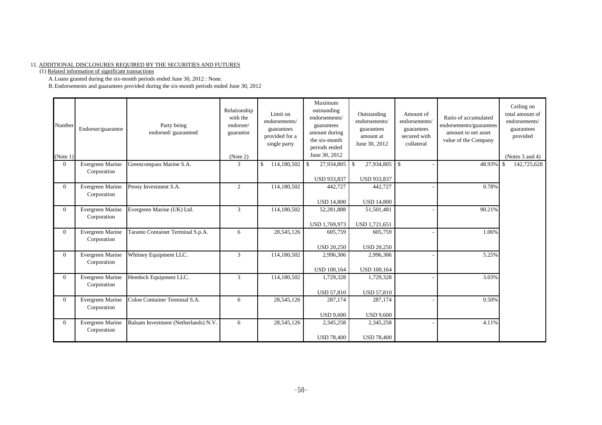#### 11. ADDITIONAL DISCLOSURES REQUIRED BY THE SECURITIES AND FUTURES

(1) Related information of significant transactions

A.Loans granted during the six-month periods ended June 30, 2012 : None.

B.Endorsements and guarantees provided during the six-month periods ended June 30, 2012

| Number<br>(Note 1) | Endorser/guarantor              | Party being<br>endorsed/guaranteed   | Relationship<br>with the<br>endorser/<br>guarantor<br>(Note 2) | Limit on<br>endorsements/<br>guarantees<br>provided for a<br>single party | Maximum<br>outstanding<br>endorsements/<br>guarantees<br>amount during<br>the six-month<br>periods ended<br>June 30, 2012 | Outstanding<br>endorsements/<br>guarantees<br>amount at<br>June 30, 2012 | Amount of<br>endorsements/<br>guarantees<br>secured with<br>collateral | Ratio of accumulated<br>endorsements/guarantees<br>amount to net asset<br>value of the Company | Ceiling on<br>total amount of<br>endorsements/<br>guarantees<br>provided<br>(Notes 3 and 4) |
|--------------------|---------------------------------|--------------------------------------|----------------------------------------------------------------|---------------------------------------------------------------------------|---------------------------------------------------------------------------------------------------------------------------|--------------------------------------------------------------------------|------------------------------------------------------------------------|------------------------------------------------------------------------------------------------|---------------------------------------------------------------------------------------------|
| $\Omega$           | Evergreen Marine<br>Corporation | Greencompass Marine S.A.             | 3                                                              | \$<br>114,180,502                                                         | 27,934,805<br>-\$                                                                                                         | 27,934,805<br>\$                                                         | -S                                                                     | 48.93%                                                                                         | 142,725,628                                                                                 |
|                    |                                 |                                      |                                                                |                                                                           | USD 933,837                                                                                                               | <b>USD 933,837</b>                                                       |                                                                        |                                                                                                |                                                                                             |
| $\Omega$           | Evergreen Marine<br>Corporation | Peony Investment S.A.                | $\overline{2}$                                                 | 114,180,502                                                               | 442,727                                                                                                                   | 442,727                                                                  |                                                                        | 0.78%                                                                                          |                                                                                             |
|                    |                                 |                                      |                                                                |                                                                           | <b>USD 14,800</b>                                                                                                         | <b>USD 14,800</b>                                                        |                                                                        |                                                                                                |                                                                                             |
| $\Omega$           | Evergreen Marine<br>Corporation | Evergreen Marine (UK) Ltd.           | 3                                                              | 114,180,502                                                               | 52,281,888                                                                                                                | 51,501,481                                                               |                                                                        | 90.21%                                                                                         |                                                                                             |
|                    |                                 |                                      |                                                                |                                                                           | USD 1,769,973                                                                                                             | USD 1,721,651                                                            |                                                                        |                                                                                                |                                                                                             |
| $\Omega$           | Evergreen Marine<br>Corporation | Taranto Container Terminal S.p.A.    | 6                                                              | 28,545,126                                                                | 605,759                                                                                                                   | 605,759                                                                  |                                                                        | 1.06%                                                                                          |                                                                                             |
|                    |                                 |                                      |                                                                |                                                                           | <b>USD 20,250</b>                                                                                                         | <b>USD 20,250</b>                                                        |                                                                        |                                                                                                |                                                                                             |
| $\Omega$           | Evergreen Marine<br>Corporation | Whitney Equipment LLC.               | 3                                                              | 114,180,502                                                               | 2,996,306                                                                                                                 | 2,996,306                                                                |                                                                        | 5.25%                                                                                          |                                                                                             |
|                    |                                 |                                      |                                                                |                                                                           | <b>USD 100,164</b>                                                                                                        | <b>USD 100,164</b>                                                       |                                                                        |                                                                                                |                                                                                             |
| $\Omega$           | Evergreen Marine<br>Corporation | Hemlock Equipment LLC.               | 3                                                              | 114,180,502                                                               | 1,729,328                                                                                                                 | 1,729,328                                                                |                                                                        | 3.03%                                                                                          |                                                                                             |
|                    |                                 |                                      |                                                                |                                                                           | USD 57,810                                                                                                                | <b>USD 57,810</b>                                                        |                                                                        |                                                                                                |                                                                                             |
| $\overline{0}$     | Evergreen Marine<br>Corporation | Colon Container Terminal S.A.        | 6                                                              | 28,545,126                                                                | 287,174                                                                                                                   | 287,174                                                                  |                                                                        | 0.50%                                                                                          |                                                                                             |
|                    |                                 |                                      |                                                                |                                                                           | <b>USD 9,600</b>                                                                                                          | <b>USD 9,600</b>                                                         |                                                                        |                                                                                                |                                                                                             |
| $\Omega$           | Evergreen Marine<br>Corporation | Balsam Investment (Netherlands) N.V. | 6                                                              | 28,545,126                                                                | 2,345,258                                                                                                                 | 2,345,258                                                                |                                                                        | 4.11%                                                                                          |                                                                                             |
|                    |                                 |                                      |                                                                |                                                                           | <b>USD 78,400</b>                                                                                                         | <b>USD 78,400</b>                                                        |                                                                        |                                                                                                |                                                                                             |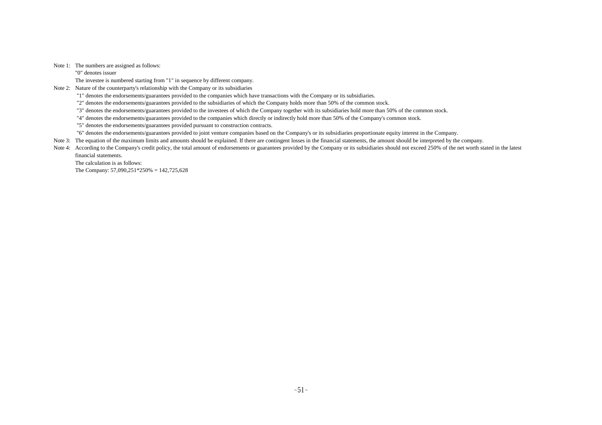Note 1: The numbers are assigned as follows:

"0" denotes issuer

The investee is numbered starting from "1" in sequence by different company.

Note 2: Nature of the counterparty's relationship with the Company or its subsidiaries

"1" denotes the endorsements/guarantees provided to the companies which have transactions with the Company or its subsidiaries.

"2" denotes the endorsements/guarantees provided to the subsidiaries of which the Company holds more than 50% of the common stock.

"3" denotes the endorsements/guarantees provided to the investees of which the Company together with its subsidiaries hold more than 50% of the common stock.

"4" denotes the endorsements/guarantees provided to the companies which directly or indirectly hold more than 50% of the Company's common stock.

"5" denotes the endorsements/guarantees provided pursuant to construction contracts.

"6" denotes the endorsements/guarantees provided to joint venture companies based on the Company's or its subsidiaries proportionate equity interest in the Company.

Note 3: The equation of the maximum limits and amounts should be explained. If there are contingent losses in the financial statements, the amount should be interpreted by the company.

Note 4: According to the Company's credit policy, the total amount of endorsements or guarantees provided by the Company or its subsidiaries should not exceed 250% of the net worth stated in the latest financial statements.

The calculation is as follows:

The Company: 57,090,251\*250% = 142,725,628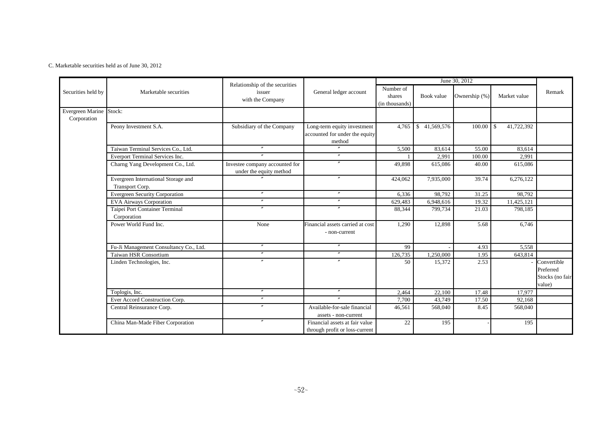C. Marketable securities held as of June 30, 2012

|                                        |                                                        | Relationship of the securities                            | June 30, 2012                                                           |                                       |              |               |                              |                                                       |
|----------------------------------------|--------------------------------------------------------|-----------------------------------------------------------|-------------------------------------------------------------------------|---------------------------------------|--------------|---------------|------------------------------|-------------------------------------------------------|
| Securities held by                     | Marketable securities                                  | issuer<br>with the Company                                | General ledger account                                                  | Number of<br>shares<br>(in thousands) | Book value   | Ownership (%) | Market value                 | Remark                                                |
| Evergreen Marine Stock:<br>Corporation |                                                        |                                                           |                                                                         |                                       |              |               |                              |                                                       |
|                                        | Peony Investment S.A.                                  | Subsidiary of the Company                                 | Long-term equity investment<br>accounted for under the equity<br>method | 4.765                                 | \$41,569,576 | 100.00        | 41,722,392<br>$\blacksquare$ |                                                       |
|                                        | Taiwan Terminal Services Co., Ltd.                     | $^{\prime\prime}$                                         | $\overline{''}$                                                         | 5,500                                 | 83,614       | 55.00         | 83,614                       |                                                       |
|                                        | Everport Terminal Services Inc.                        | $\overline{ }$                                            | $^{\prime\prime}$                                                       |                                       | 2,991        | 100.00        | 2,991                        |                                                       |
|                                        | Charng Yang Development Co., Ltd.                      | Investee company accounted for<br>under the equity method |                                                                         | 49,898                                | 615,086      | 40.00         | 615,086                      |                                                       |
|                                        | Evergreen International Storage and<br>Transport Corp. |                                                           | $\prime\prime$                                                          | 424,062                               | 7,935,000    | 39.74         | $\overline{6,276,122}$       |                                                       |
|                                        | <b>Evergreen Security Corporation</b>                  | $^{\prime\prime}$                                         | $^{\prime\prime}$                                                       | 6,336                                 | 98,792       | 31.25         | 98,792                       |                                                       |
|                                        | <b>EVA Airways Corporation</b>                         | $\prime\prime$                                            | $^{\prime\prime}$                                                       | 629,483                               | 6,948,616    | 19.32         | 11,425,121                   |                                                       |
|                                        | Taipei Port Container Terminal<br>Corporation          | $^{\prime\prime}$                                         | $^{\prime\prime}$                                                       | 88,344                                | 799,734      | 21.03         | 798,185                      |                                                       |
|                                        | Power World Fund Inc.                                  | None                                                      | Financial assets carried at cost<br>- non-current                       | 1,290                                 | 12,898       | 5.68          | 6,746                        |                                                       |
|                                        | Fu-Ji Management Consultancy Co., Ltd.                 | $\theta$                                                  | $\theta$                                                                | 99                                    |              | 4.93          | 5,558                        |                                                       |
|                                        | Taiwan HSR Consortium                                  | $\prime$                                                  | $\boldsymbol{''}$                                                       | 126,735                               | 1,250,000    | 1.95          | 643,814                      |                                                       |
|                                        | Linden Technologies, Inc.                              |                                                           |                                                                         | 50                                    | 15,372       | 2.53          |                              | Convertible<br>Preferred<br>Stocks (no fair<br>value) |
|                                        | Toplogis, Inc.                                         | $^{\prime\prime}$                                         | $^{\prime\prime}$                                                       | 2.464                                 | 22.100       | 17.48         | 17.977                       |                                                       |
|                                        | Ever Accord Construction Corp.                         | $\overline{u}$                                            |                                                                         | 7,700                                 | 43,749       | 17.50         | 92,168                       |                                                       |
|                                        | Central Reinsurance Corp.                              | $\prime$                                                  | Available-for-sale financial<br>assets - non-current                    | 46,561                                | 568,040      | 8.45          | 568,040                      |                                                       |
|                                        | China Man-Made Fiber Corporation                       | $\boldsymbol{''}$                                         | Financial assets at fair value<br>through profit or loss-current        | 22                                    | 195          |               | 195                          |                                                       |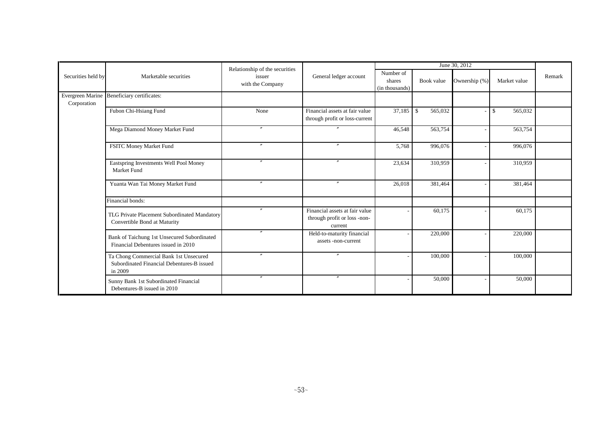| Relationship of the securities |                                                                                                 |                            |                                                                           | June 30, 2012                         |               |               |               |        |
|--------------------------------|-------------------------------------------------------------------------------------------------|----------------------------|---------------------------------------------------------------------------|---------------------------------------|---------------|---------------|---------------|--------|
| Securities held by             | Marketable securities                                                                           | issuer<br>with the Company | General ledger account                                                    | Number of<br>shares<br>(in thousands) | Book value    | Ownership (%) | Market value  | Remark |
| Corporation                    | Evergreen Marine Beneficiary certificates:                                                      |                            |                                                                           |                                       |               |               |               |        |
|                                | Fubon Chi-Hsiang Fund                                                                           | None                       | Financial assets at fair value<br>through profit or loss-current          | 37,185                                | \$<br>565,032 |               | 565,032<br>\$ |        |
|                                | Mega Diamond Money Market Fund                                                                  | $^{\prime\prime}$          |                                                                           | 46,548                                | 563,754       |               | 563,754       |        |
|                                | FSITC Money Market Fund                                                                         | $\prime$                   | $\overline{''}$                                                           | 5,768                                 | 996,076       |               | 996,076       |        |
|                                | Eastspring Investments Well Pool Money<br>Market Fund                                           | $^{\prime\prime}$          | $\prime$                                                                  | 23,634                                | 310,959       |               | 310,959       |        |
|                                | Yuanta Wan Tai Money Market Fund                                                                |                            | $\overline{u}$                                                            | 26,018                                | 381,464       |               | 381,464       |        |
|                                | Financial bonds:                                                                                |                            |                                                                           |                                       |               |               |               |        |
|                                | TLG Private Placement Subordinated Mandatory<br>Convertible Bond at Maturity                    | $\prime\prime$             | Financial assets at fair value<br>through profit or loss -non-<br>current |                                       | 60,175        |               | 60,175        |        |
|                                | Bank of Taichung 1st Unsecured Subordinated<br>Financial Debentures issued in 2010              | $\prime\prime$             | Held-to-maturity financial<br>assets -non-current                         |                                       | 220,000       |               | 220,000       |        |
|                                | Ta Chong Commercial Bank 1st Unsecured<br>Subordinated Financial Debentures-B issued<br>in 2009 | $\prime\prime$             | $\prime$                                                                  |                                       | 100,000       |               | 100,000       |        |
|                                | Sunny Bank 1st Subordinated Financial<br>Debentures-B issued in 2010                            | $\prime\prime$             | $^{\prime\prime}$                                                         |                                       | 50,000        |               | 50,000        |        |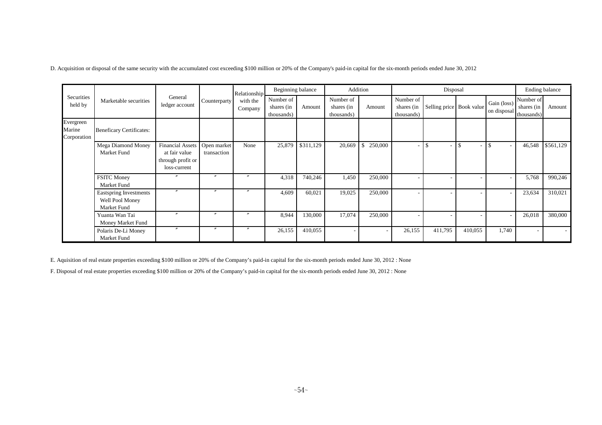D. Acquisition or disposal of the same security with the accumulated cost exceeding \$100 million or 20% of the Company's paid-in capital for the six-month periods ended June 30, 2012

|                                    |                                                          | General<br>ledger account                                                            |                       | Relationship<br>with the<br>Company | Beginning balance                     |           | Addition                              |                         |                                       | Disposal                 |                                |                            | Ending balance                          |           |
|------------------------------------|----------------------------------------------------------|--------------------------------------------------------------------------------------|-----------------------|-------------------------------------|---------------------------------------|-----------|---------------------------------------|-------------------------|---------------------------------------|--------------------------|--------------------------------|----------------------------|-----------------------------------------|-----------|
| Securities<br>held by              | Marketable securities                                    |                                                                                      | Counterparty          |                                     | Number of<br>shares (in<br>thousands) | Amount    | Number of<br>shares (in<br>thousands) | Amount                  | Number of<br>shares (in<br>thousands) | Selling price Book value |                                | Gain (loss)<br>on disposal | Number of<br>shares $(in$<br>thousands) | Amount    |
| Evergreen<br>Marine<br>Corporation | <b>Beneficary Certificates:</b>                          |                                                                                      |                       |                                     |                                       |           |                                       |                         |                                       |                          |                                |                            |                                         |           |
|                                    | Mega Diamond Money<br>Market Fund                        | Financial Assets   Open market<br>at fair value<br>through profit or<br>loss-current | transaction           | None                                | 25,879                                | \$311,129 | 20,669                                | $\mathbf{s}$<br>250,000 |                                       |                          | \$<br>$\overline{\phantom{a}}$ |                            | 46,548                                  | \$561,129 |
|                                    | <b>FSITC Money</b><br>Market Fund                        | $\prime\prime$                                                                       | $\boldsymbol{''}$     | $\overline{u}$                      | 4,318                                 | 740,246   | 1,450                                 | 250,000                 |                                       |                          |                                |                            | 5,768                                   | 990,246   |
|                                    | Eastspring Investments<br>Well Pool Money<br>Market Fund | $\prime\prime$                                                                       | $\boldsymbol{\prime}$ |                                     | 4,609                                 | 60,021    | 19,025                                | 250,000                 |                                       |                          | $\overline{\phantom{a}}$       |                            | 23,634                                  | 310,021   |
|                                    | Yuanta Wan Tai<br>Money Market Fund                      | $^{\prime\prime}$                                                                    | $\boldsymbol{\prime}$ |                                     | 8,944                                 | 130,000   | 17,074                                | 250,000                 |                                       |                          |                                |                            | 26,018                                  | 380,000   |
|                                    | Polaris De-Li Money<br>Market Fund                       | $^{\prime\prime}$                                                                    | $\boldsymbol{''}$     |                                     | 26,155                                | 410,055   |                                       |                         | 26,155                                | 411,795                  | 410,055                        | 1,740                      |                                         |           |

E. Aquisition of real estate properties exceeding \$100 million or 20% of the Company's paid-in capital for the six-month periods ended June 30, 2012 : None

F. Disposal of real estate properties exceeding \$100 million or 20% of the Company's paid-in capital for the six-month periods ended June 30, 2012 : None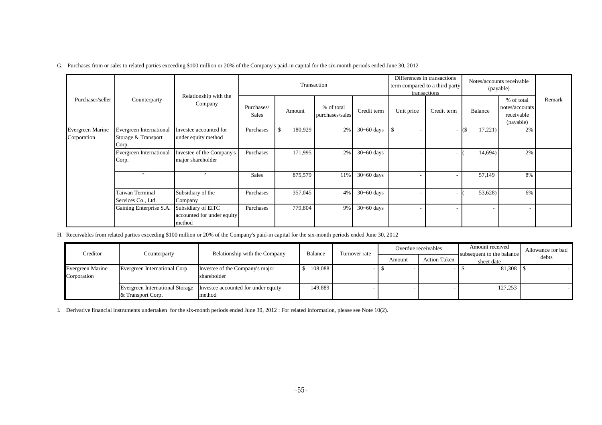|  |  |  |  | G. Purchases from or sales to related parties exceeding \$100 million or 20% of the Company's paid-in capital for the six-month periods ended June 30, 2012 |  |
|--|--|--|--|-------------------------------------------------------------------------------------------------------------------------------------------------------------|--|
|--|--|--|--|-------------------------------------------------------------------------------------------------------------------------------------------------------------|--|

|                                 |                                                         |                                                            |                            | Transaction   |                               |                |                                  | Differences in transactions<br>term compared to a third party<br>transactions |         | Notes/accounts receivable<br>(payable)                  |        |
|---------------------------------|---------------------------------------------------------|------------------------------------------------------------|----------------------------|---------------|-------------------------------|----------------|----------------------------------|-------------------------------------------------------------------------------|---------|---------------------------------------------------------|--------|
| Purchaser/seller                | Counterparty                                            | Relationship with the<br>Company                           | Purchases/<br><b>Sales</b> | Amount        | % of total<br>purchases/sales | Credit term    | Unit price                       | Credit term                                                                   | Balance | % of total<br>notes/accounts<br>receivable<br>(payable) | Remark |
| Evergreen Marine<br>Corporation | Evergreen International<br>Storage & Transport<br>Corp. | Investee accounted for<br>under equity method              | Purchases                  | \$<br>180,929 | 2%                            | $30 - 60$ days | . \$<br>$\overline{\phantom{a}}$ |                                                                               | 17,221) | 2%                                                      |        |
|                                 | <b>Evergreen International</b><br>Corp.                 | Investee of the Company's<br>major shareholder             | Purchases                  | 171,995       | 2%                            | $30 - 60$ days |                                  |                                                                               | 14,694) | 2%                                                      |        |
|                                 |                                                         | $\prime\prime$                                             | <b>Sales</b>               | 875,579       | 11%                           | $30 - 60$ days |                                  |                                                                               | 57,149  | 8%                                                      |        |
|                                 | Taiwan Terminal<br>Services Co., Ltd.                   | Subsidiary of the<br>Company                               | Purchases                  | 357,045       | 4%                            | $30 - 60$ days |                                  |                                                                               | 53,628) | 6%                                                      |        |
|                                 | Gaining Enterprise S.A.                                 | Subsidiary of EITC<br>accounted for under equity<br>method | Purchases                  | 779,804       | 9%                            | $30 - 60$ days | $\overline{\phantom{a}}$         |                                                                               |         |                                                         |        |

H. Receivables from related parties exceeding \$100 million or 20% of the Company's paid-in capital for the six-month periods ended June 30, 2012

| Creditor                               | Counterparty                  | Relationship with the Company                                                  | Balance | Turnover rate |        | Overdue receivables | Amount received                         | Allowance for bad |
|----------------------------------------|-------------------------------|--------------------------------------------------------------------------------|---------|---------------|--------|---------------------|-----------------------------------------|-------------------|
|                                        |                               |                                                                                |         |               | Amount | <b>Action Taken</b> | subsequent to the balance<br>sheet date | debts             |
| <b>Evergreen Marine</b><br>Corporation | Evergreen International Corp. | Investee of the Company's major<br>shareholder                                 | 108,088 |               |        |                     | 81,308 \$                               |                   |
|                                        | & Transport Corp.             | Evergreen International Storage Investee accounted for under equity<br>Imethod | 149.889 |               |        |                     | 127,253                                 |                   |

I. Derivative financial instruments undertaken for the six-month periods ended June 30, 2012 : For related information, please see Note 10(2).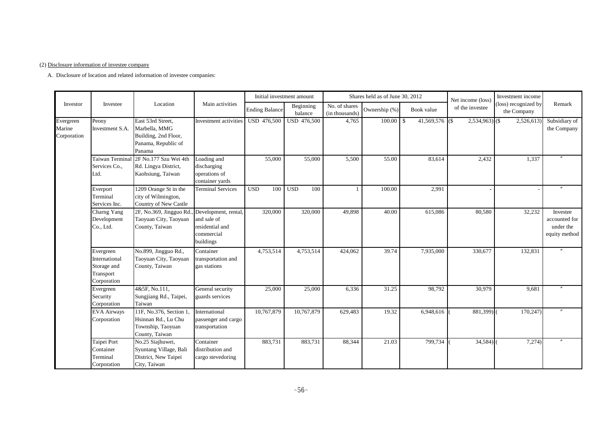#### (2) Disclosure information of investee company

A. Disclosure of location and related information of investee companies:

|                                    |                                                                       |                                                                                             |                                                                                   | Initial investment amount |                      |                                 | Shares held as of June 30, 2012 |                       | Net income (loss) | Investment income                   |                                                         |
|------------------------------------|-----------------------------------------------------------------------|---------------------------------------------------------------------------------------------|-----------------------------------------------------------------------------------|---------------------------|----------------------|---------------------------------|---------------------------------|-----------------------|-------------------|-------------------------------------|---------------------------------------------------------|
| Investor                           | Investee                                                              | Location                                                                                    | Main activities                                                                   | <b>Ending Balance</b>     | Beginning<br>balance | No. of shares<br>(in thousands) | Ownership (%)                   | Book value            | of the investee   | (loss) recognized by<br>the Company | Remark                                                  |
| Evergreen<br>Marine<br>Corporation | Peony<br>Investment S.A.                                              | East 53rd Street,<br>Marbella, MMG<br>Building, 2nd Floor,<br>Panama, Republic of<br>Panama | Investment activities                                                             | USD 476,500               | USD 476,500          | 4,765                           | 100.00                          | \$<br>41,569,576 (\$) | $2,534,963$ (\$)  | 2,526,613                           | Subsidiary of<br>the Company                            |
|                                    | <b>Taiwan Terminal</b><br>Services Co.,<br>Ltd.                       | 2F No.177 Szu Wei 4th<br>Rd. Lingya District,<br>Kaohsiung, Taiwan                          | Loading and<br>discharging<br>operations of<br>container yards                    | 55,000                    | 55,000               | 5,500                           | 55.00                           | 83,614                | 2,432             | 1,337                               |                                                         |
|                                    | Everport<br>Terminal<br>Services Inc.                                 | 1209 Orange St in the<br>city of Wilmington,<br>Country of New Castle                       | <b>Terminal Services</b>                                                          | <b>USD</b><br>100         | <b>USD</b><br>100    | $\overline{1}$                  | 100.00                          | 2,991                 |                   |                                     |                                                         |
|                                    | Charng Yang<br>Development<br>Co., Ltd.                               | 2F, No.369, Jingguo Rd.<br>Taoyuan City, Taoyuan<br>County, Taiwan                          | Development, rental,<br>and sale of<br>residential and<br>commercial<br>buildings | 320,000                   | 320,000              | 49,898                          | 40.00                           | 615,086               | 80,580            | 32,232                              | Investee<br>accounted for<br>under the<br>equity method |
|                                    | Evergreen<br>International<br>Storage and<br>Transport<br>Corporation | No.899, Jingguo Rd.,<br>Taoyuan City, Taoyuan<br>County, Taiwan                             | Container<br>transportation and<br>gas stations                                   | 4,753,514                 | 4,753,514            | 424,062                         | 39.74                           | 7,935,000             | 330,677           | 132,831                             |                                                         |
|                                    | Evergreen<br>Security<br>Corporation                                  | 4&5F, No.111,<br>Sungjiang Rd., Taipei,<br>Taiwan                                           | General security<br>guards services                                               | 25,000                    | 25,000               | 6,336                           | 31.25                           | 98,792                | 30,979            | 9,681                               |                                                         |
|                                    | <b>EVA Airways</b><br>Corporation                                     | 11F, No.376, Section 1.<br>Hsinnan Rd., Lu Chu<br>Township, Taoyuan<br>County, Taiwan       | International<br>passenger and cargo<br>transportation                            | 10,767,879                | 10,767,879           | 629,483                         | 19.32                           | 6,948,616             | 881,399)          | 170,247                             |                                                         |
|                                    | Taipei Port<br>Container<br>Terminal<br>Corporation                   | No.25 Siajhuwei,<br>Syuntang Village, Bali<br>District, New Taipei<br>City, Taiwan          | Container<br>distribution and<br>cargo stevedoring                                | 883,731                   | 883,731              | 88,344                          | 21.03                           | 799,734               | 34,584)           | 7,274)                              |                                                         |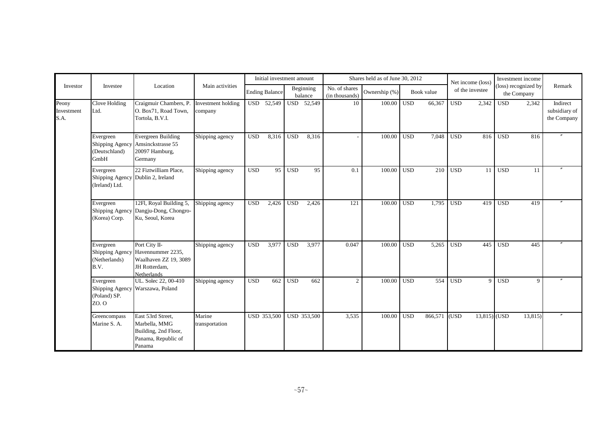|                             |                                                                  |                                                                                                             |                               |            | Initial investment amount |            |                      |                                 | Shares held as of June 30, 2012 |            |            |              | Net income (loss) |            | Investment income                   |                                          |
|-----------------------------|------------------------------------------------------------------|-------------------------------------------------------------------------------------------------------------|-------------------------------|------------|---------------------------|------------|----------------------|---------------------------------|---------------------------------|------------|------------|--------------|-------------------|------------|-------------------------------------|------------------------------------------|
| Investor                    | Investee                                                         | Location                                                                                                    | Main activities               |            | <b>Ending Balance</b>     |            | Beginning<br>balance | No. of shares<br>(in thousands) | Ownership (%)                   |            | Book value |              | of the investee   |            | (loss) recognized by<br>the Company | Remark                                   |
| Peony<br>Investment<br>S.A. | Clove Holding<br>Ltd.                                            | Craigmuir Chambers, P.<br>O. Box71, Road Town,<br>Tortola, B.V.I.                                           | Investment holding<br>company |            | USD 52,549                |            | USD 52,549           | 10                              | 100.00                          | <b>USD</b> | 66,367     | $_{\rm USD}$ | 2,342             | <b>USD</b> | 2,342                               | Indirect<br>subsidiary of<br>the Company |
|                             | Evergreen<br>(Deutschland)<br>GmbH                               | Evergreen Building<br>Shipping Agency Amsinckstrasse 55<br>20097 Hamburg,<br>Germany                        | Shipping agency               | <b>USD</b> | 8,316                     | <b>USD</b> | 8,316                |                                 | 100.00                          | <b>USD</b> | 7,048      | $_{\rm USD}$ | 816               | <b>USD</b> | 816                                 |                                          |
|                             | Evergreen<br>Shipping Agency Dublin 2, Ireland<br>(Ireland) Ltd. | 22 Fiztwilliam Place.                                                                                       | Shipping agency               | <b>USD</b> | 95                        | <b>USD</b> | 95                   | 0.1                             | 100.00                          | <b>USD</b> | 210        | <b>USD</b>   | 11                | <b>USD</b> | <sup>11</sup>                       |                                          |
|                             | Evergreen<br>Shipping Agency<br>(Korea) Corp.                    | 12Fl, Royal Building 5,<br>Dangju-Dong, Chongro-<br>Ku, Seoul, Korea                                        | Shipping agency               | <b>USD</b> | 2,426                     | <b>USD</b> | 2,426                | 121                             | 100.00                          | <b>USD</b> | 1,795      | <b>USD</b>   | 419               | <b>USD</b> | 419                                 |                                          |
|                             | Evergreen<br>(Netherlands)<br>B.V.                               | Port City II-<br>Shipping Agency Havennummer 2235,<br>Waalhaven ZZ 19, 3089<br>JH Rotterdam,<br>Netherlands | Shipping agency               | <b>USD</b> | 3,977                     | <b>USD</b> | 3,977                | 0.047                           | 100.00                          | <b>USD</b> | 5,265      | <b>USD</b>   | 445               | <b>USD</b> | 445                                 |                                          |
|                             | Evergreen<br>(Poland) SP.<br>ZO. O                               | UL. Solec 22, 00-410<br>Shipping Agency Warszawa, Poland                                                    | Shipping agency               | <b>USD</b> | 662                       | <b>USD</b> | 662                  | 2                               | 100.00                          | <b>USD</b> | 554        | <b>USD</b>   | $\overline{9}$    | <b>USD</b> | 9                                   |                                          |
|                             | Greencompass<br>Marine S. A.                                     | East 53rd Street,<br>Marbella, MMG<br>Building, 2nd Floor,<br>Panama, Republic of<br>Panama                 | Marine<br>transportation      |            | USD 353,500               |            | <b>USD 353,500</b>   | 3,535                           | 100.00                          | <b>USD</b> | 866,571    | (USD)        | $13,815$ (USD     |            | 13,815)                             |                                          |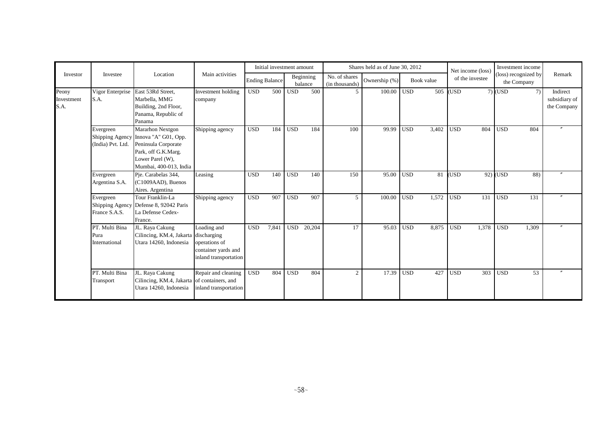|                             |                                         |                                                                                                                                                      |                                                                              |                       | Initial investment amount |            |                      |                                 | Shares held as of June 30, 2012 |            |            | Net income (loss) |                 |                  | Investment income                   |                                          |
|-----------------------------|-----------------------------------------|------------------------------------------------------------------------------------------------------------------------------------------------------|------------------------------------------------------------------------------|-----------------------|---------------------------|------------|----------------------|---------------------------------|---------------------------------|------------|------------|-------------------|-----------------|------------------|-------------------------------------|------------------------------------------|
| Investor                    | Investee                                | Location                                                                                                                                             | Main activities                                                              | <b>Ending Balance</b> |                           |            | Beginning<br>balance | No. of shares<br>(in thousands) | Ownership (%)                   |            | Book value |                   | of the investee |                  | (loss) recognized by<br>the Company | Remark                                   |
| Peony<br>Investment<br>S.A. | Vigor Enterprise<br>S.A.                | East 53Rd Street,<br>Marbella, MMG<br>Building, 2nd Floor,<br>Panama, Republic of<br>Panama                                                          | Investment holding<br>company                                                | <b>USD</b>            | 500                       | <b>USD</b> | 500                  | 5                               | 100.00                          | <b>USD</b> | 505        | (USD              |                 | $7)$ (USD        | 7)                                  | Indirect<br>subsidiary of<br>the Company |
|                             | Evergreen<br>(India) Pvt. Ltd.          | Mararhon Nextgon<br>Shipping Agency Innova "A" G01, Opp.<br>Peninsula Corporate<br>Park, off G.K.Marg.<br>Lower Parel (W),<br>Mumbai, 400-013, India | Shipping agency                                                              | <b>USD</b>            | 184                       | <b>USD</b> | 184                  | 100                             | 99.99                           | <b>USD</b> | 3.402      | <b>USD</b>        | 804             | <b>USD</b>       | 804                                 |                                          |
|                             | Evergreen<br>Argentina S.A.             | Pje. Carabelas 344,<br>(C1009AAD), Buenos<br>Aires. Argentina                                                                                        | Leasing                                                                      | <b>USD</b>            | 140                       | <b>USD</b> | 140                  | 150                             | 95.00                           | <b>USD</b> | 81         | <b>USD</b>        |                 | $92)$ USD        | 88)                                 |                                          |
|                             | Evergreen<br>France S.A.S.              | Tour Franklin-La<br>Shipping Agency Defense 8, 92042 Paris<br>La Defense Cedex-<br>France.                                                           | Shipping agency                                                              | <b>USD</b>            | 907                       | <b>USD</b> | 907                  | 5                               | 100.00                          | <b>USD</b> | 1.572      | <b>USD</b>        | 131             | <b>USD</b>       | 131                                 | $\theta$                                 |
|                             | PT. Multi Bina<br>Pura<br>International | JL. Raya Cakung<br>Cilincing, KM.4, Jakarta discharging<br>Utara 14260, Indonesia                                                                    | Loading and<br>operations of<br>container yards and<br>inland transportation | <b>USD</b>            | 7,841                     | <b>USD</b> | 20,204               | 17                              | 95.03                           | <b>USD</b> | 8,875      | <b>USD</b>        | 1,378           | $\overline{USD}$ | 1,309                               |                                          |
|                             | PT. Multi Bina<br>Transport             | JL. Raya Cakung<br>Cilincing, KM.4, Jakarta of containers, and<br>Utara 14260, Indonesia                                                             | Repair and cleaning<br>inland transportation                                 | <b>USD</b>            | 804                       | <b>USD</b> | 804                  | $\overline{c}$                  | 17.39                           | <b>USD</b> | 427        | <b>USD</b>        | 303             | <b>USD</b>       | 53                                  |                                          |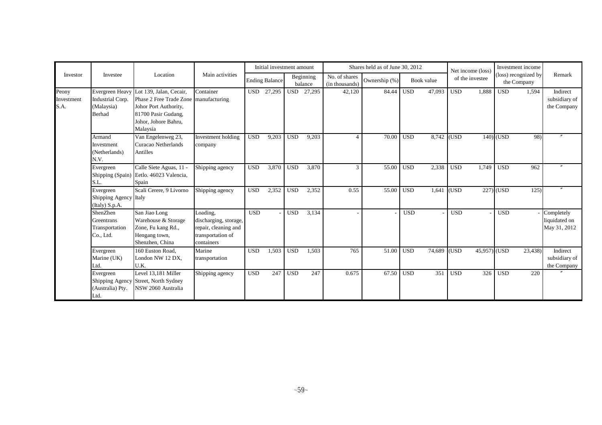|                             |                                                                 |                                                                                                                                                      |                                                                                              |            | Initial investment amount |            |                      |                                 | Shares held as of June 30, 2012 |            |                         |            | Net income (loss) |             | Investment income                   |                                             |
|-----------------------------|-----------------------------------------------------------------|------------------------------------------------------------------------------------------------------------------------------------------------------|----------------------------------------------------------------------------------------------|------------|---------------------------|------------|----------------------|---------------------------------|---------------------------------|------------|-------------------------|------------|-------------------|-------------|-------------------------------------|---------------------------------------------|
| Investor                    | Investee                                                        | Location                                                                                                                                             | Main activities                                                                              |            | <b>Ending Balance</b>     |            | Beginning<br>balance | No. of shares<br>(in thousands) | Ownership (%)                   |            | Book value              |            | of the investee   |             | (loss) recognized by<br>the Company | Remark                                      |
| Peony<br>Investment<br>S.A. | Evergreen Heavy<br>Industrial Corp.<br>(Malaysia)<br>Berhad     | Lot 139, Jalan, Cecair,<br>Phase 2 Free Trade Zone manufacturing<br>Johor Port Authority,<br>81700 Pasir Gudang,<br>Johor, Johore Bahru,<br>Malaysia | Container                                                                                    |            | USD 27,295                |            | USD 27,295           | 42,120                          | 84.44                           | <b>USD</b> | 47,093                  | <b>USD</b> | 1,888             | <b>USD</b>  | 1,594                               | Indirect<br>subsidiary of<br>the Company    |
|                             | Armand<br>Investment<br>(Netherlands)<br>N.V.                   | Van Engelenweg 23,<br>Curacao Netherlands<br>Antilles                                                                                                | Investment holding<br>company                                                                | <b>USD</b> | 9,203                     | <b>USD</b> | 9,203                | Δ                               | 70.00                           | <b>USD</b> | $\overline{8,742}$ (USD |            |                   | $140$ (USD  | 98)                                 |                                             |
|                             | Evergreen<br>S.L.                                               | Calle Siete Aguas, 11 -<br>Shipping (Spain) Eetlo. 46023 Valencia,<br>Spain                                                                          | Shipping agency                                                                              | <b>USD</b> | 3,870                     | <b>USD</b> | 3,870                | $\mathcal{R}$                   | 55.00                           | <b>USD</b> | 2,338                   | <b>USD</b> | 1.749             | <b>USD</b>  | 962                                 |                                             |
|                             | Evergreen<br>Shipping Agency Italy<br>(Italy) S.p.A.            | Scali Cerere, 9 Livorno                                                                                                                              | Shipping agency                                                                              | <b>USD</b> | 2,352                     | <b>USD</b> | 2,352                | 0.55                            | 55.00                           | <b>USD</b> | $1,641$ (USD            |            |                   | $227)$ (USD | 125)                                |                                             |
|                             | ShenZhen<br>Greentrans<br>Transportation<br>Co., Ltd.           | San Jiao Long<br>Warehouse & Storage<br>Zone, Fu kang Rd.,<br>Hengang town,<br>Shenzhen, China                                                       | Loading,<br>discharging, storage,<br>repair, cleaning and<br>transportation of<br>containers | <b>USD</b> |                           | <b>USD</b> | 3,134                |                                 |                                 | <b>USD</b> |                         | <b>USD</b> |                   | <b>USD</b>  |                                     | Completely<br>liquidated on<br>May 31, 2012 |
|                             | Evergreen<br>Marine (UK)<br>Ltd.                                | 160 Euston Road.<br>London NW 12 DX,<br>U.K.                                                                                                         | Marine<br>transportation                                                                     | <b>USD</b> | 1,503                     | <b>USD</b> | 1,503                | 765                             | 51.00                           | <b>USD</b> | 74,689 (USD             |            | 45,957) (USD      |             | 23,438                              | Indirect<br>subsidiary of<br>the Company    |
|                             | Evergreen<br><b>Shipping Agency</b><br>(Australia) Pty.<br>Ltd. | Level 13,181 Miller<br>Street, North Sydney<br>NSW 2060 Australia                                                                                    | Shipping agency                                                                              | <b>USD</b> | 247                       | <b>USD</b> | 247                  | 0.675                           | 67.50                           | <b>USD</b> | 351                     | <b>USD</b> | 326               | <b>USD</b>  | 220                                 |                                             |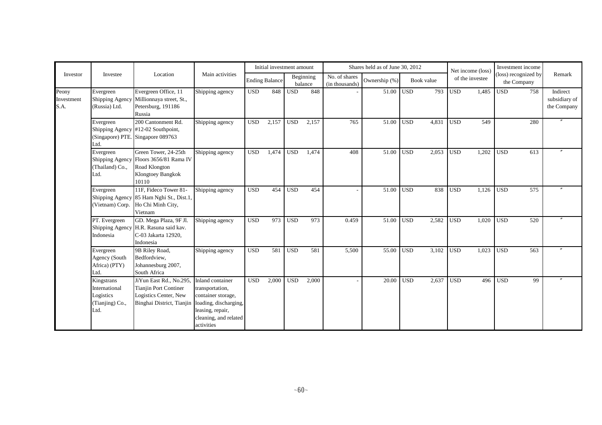|                             |                                                                     |                                                                                                               |                                                                                                                                               |            | Initial investment amount |            |                      |                                 | Shares held as of June 30, 2012 |            |            |            | Net income (loss) |                         | Investment income                  |                                          |
|-----------------------------|---------------------------------------------------------------------|---------------------------------------------------------------------------------------------------------------|-----------------------------------------------------------------------------------------------------------------------------------------------|------------|---------------------------|------------|----------------------|---------------------------------|---------------------------------|------------|------------|------------|-------------------|-------------------------|------------------------------------|------------------------------------------|
| Investor                    | Investee                                                            | Location                                                                                                      | Main activities                                                                                                                               |            | <b>Ending Balance</b>     |            | Beginning<br>balance | No. of shares<br>(in thousands) | Ownership (%)                   |            | Book value |            | of the investee   |                         | loss) recognized by<br>the Company | Remark                                   |
| Peony<br>Investment<br>S.A. | Evergreen<br>(Russia) Ltd.                                          | Evergreen Office, 11<br>Shipping Agency Millionnaya street, St.,<br>Petersburg, 191186<br>Russia              | Shipping agency                                                                                                                               | <b>USD</b> | 848                       | <b>USD</b> | 848                  |                                 | 51.00                           | <b>USD</b> | 793        | <b>USD</b> | 1,485             | <b>USD</b>              | 758                                | Indirect<br>subsidiary of<br>the Company |
|                             | Evergreen<br>Ltd.                                                   | 200 Cantonment Rd.<br>Shipping Agency #12-02 Southpoint,<br>(Singapore) PTE. Singapore 089763                 | Shipping agency                                                                                                                               | <b>USD</b> | 2,157                     | <b>USD</b> | 2,157                | 765                             | 51.00                           | <b>USD</b> | 4,831      | <b>USD</b> | 549               |                         | 280                                | $^{\prime\prime}$                        |
|                             | Evergreen<br>(Thailand) Co.,<br>Ltd.                                | Green Tower, 24-25th<br>Shipping Agency Floors 3656/81 Rama IV<br>Road Klongton<br>Klongtoey Bangkok<br>10110 | Shipping agency                                                                                                                               | <b>USD</b> | 1,474                     | <b>USD</b> | 1,474                | 408                             | 51.00                           | <b>USD</b> | 2,053      | <b>USD</b> | 1,202             | $\overline{\text{USD}}$ | 613                                |                                          |
|                             | Evergreen<br>(Vietnam) Corp.                                        | 11F, Fideco Tower 81-<br>Shipping Agency 85 Ham Nghi St., Dist.1,<br>Ho Chi Minh City,<br>Vietnam             | Shipping agency                                                                                                                               | <b>USD</b> | 454                       | <b>USD</b> | 454                  |                                 | 51.00                           | <b>USD</b> | 838        | <b>USD</b> | 1,126             | <b>USD</b>              | 575                                |                                          |
|                             | PT. Evergreen<br>Shipping Agency<br>Indonesia                       | GD. Mega Plaza, 9F Jl.<br>H.R. Rasuna said kav.<br>C-03 Jakarta 12920,<br>Indonesia                           | Shipping agency                                                                                                                               | <b>USD</b> | 973                       | <b>USD</b> | 973                  | 0.459                           | 51.00                           | <b>USD</b> | 2,582      | <b>USD</b> | 1,020             | <b>USD</b>              | 520                                |                                          |
|                             | Evergreen<br>Agency (South<br>Africa) (PTY)<br>Ltd.                 | 9B Riley Road,<br>Bedfordview,<br>Johannesburg 2007,<br>South Africa                                          | Shipping agency                                                                                                                               | <b>USD</b> | 581                       | <b>USD</b> | 581                  | 5,500                           | 55.00                           | <b>USD</b> | 3,102      | <b>USD</b> | 1,023             | <b>USD</b>              | 563                                |                                          |
|                             | Kingstrans<br>International<br>Logistics<br>(Tianjing) Co.,<br>Ltd. | JiYun East Rd., No.295.<br><b>Tianjin Port Continer</b><br>Logistics Center, New<br>Binghai District, Tianjin | Inland container<br>transportation,<br>container storage,<br>loading, discharging,<br>leasing, repair,<br>cleaning, and related<br>activities | <b>USD</b> | 2,000                     | <b>USD</b> | 2,000                |                                 | 20.00                           | <b>USD</b> | 2,637      | <b>USD</b> |                   | $496$ USD               | 99                                 |                                          |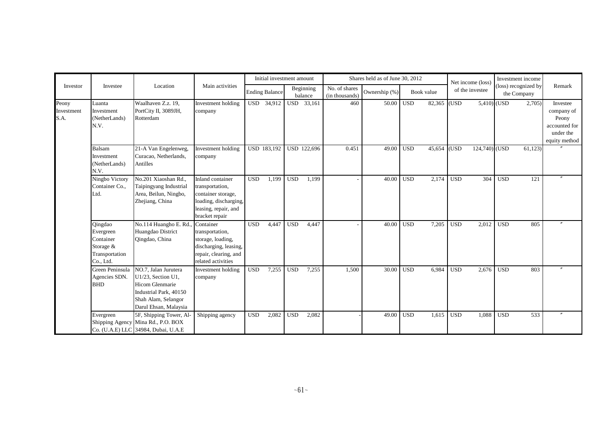|                             |                                                                               |                                                                                                                                         |                                                                                                                                     |            | Initial investment amount |              |                                |                                 | Shares held as of June 30, 2012 |            |             |            | Net income (loss) |            | Investment income                   |                                                                                |
|-----------------------------|-------------------------------------------------------------------------------|-----------------------------------------------------------------------------------------------------------------------------------------|-------------------------------------------------------------------------------------------------------------------------------------|------------|---------------------------|--------------|--------------------------------|---------------------------------|---------------------------------|------------|-------------|------------|-------------------|------------|-------------------------------------|--------------------------------------------------------------------------------|
| Investor                    | Investee                                                                      | Location                                                                                                                                | Main activities                                                                                                                     |            | <b>Ending Balance</b>     |              | Beginning<br>balance           | No. of shares<br>(in thousands) | Ownership (%)                   | Book value |             |            | of the investee   |            | (loss) recognized by<br>the Company | Remark                                                                         |
| Peony<br>Investment<br>S.A. | Luanta<br>Investment<br>(NetherLands)<br>N.V.                                 | Waalhaven Z.z. 19,<br>PortCity II, 3089JH,<br>Rotterdam                                                                                 | Investment holding<br>company                                                                                                       | <b>USD</b> | 34,912                    |              | $\overline{\text{USD}}$ 33,161 | 460                             | 50.00                           | <b>USD</b> | 82,365 (USD |            | $5,410)$ (USD     |            | 2,705                               | Investee<br>company of<br>Peony<br>accounted for<br>under the<br>equity method |
|                             | Balsam<br>Investment<br>(NetherLands)<br>N.V.                                 | 21-A Van Engelenweg,<br>Curacao, Netherlands,<br>Antilles                                                                               | Investment holding<br>company                                                                                                       |            | USD 183,192               |              | USD 122,696                    | 0.451                           | 49.00                           | <b>USD</b> | 45,654 (USD |            | $124,740$ (USD    |            | 61,123                              |                                                                                |
|                             | Ningbo Victory<br>Container Co.,<br>Ltd.                                      | No.201 Xiaoshan Rd.,<br>Taipingyang Industrial<br>Area, Beilun, Ningbo,<br>Zhejiang, China                                              | <b>Inland</b> container<br>transportation,<br>container storage,<br>loading, discharging,<br>leasing, repair, and<br>bracket repair | <b>USD</b> | 1,199                     | <b>USD</b>   | 1,199                          |                                 | 40.00                           | <b>USD</b> | 2,174       | <b>USD</b> | 304               | <b>USD</b> | 121                                 |                                                                                |
|                             | Qingdao<br>Evergreen<br>Container<br>Storage &<br>Transportation<br>Co., Ltd. | No.114 Huangho E. Rd.<br>Huangdao District<br>Qingdao, China                                                                            | Container<br>transportation,<br>storage, loading,<br>discharging, leasing,<br>repair, clearing, and<br>related activities           | <b>USD</b> | 4,447                     | $_{\rm USD}$ | 4,447                          |                                 | 40.00                           | <b>USD</b> | 7,205       | <b>USD</b> | 2,012             | <b>USD</b> | 805                                 |                                                                                |
|                             | Green Peninsula<br>Agencies SDN.<br><b>BHD</b>                                | NO.7, Jalan Jurutera<br>U1/23, Section U1,<br>Hicom Glenmarie<br>Industrial Park, 40150<br>Shah Alam, Selangor<br>Darul Ehsan, Malaysia | Investment holding<br>company                                                                                                       | <b>USD</b> | 7,255                     | <b>USD</b>   | 7,255                          | 1,500                           | 30.00                           | <b>USD</b> | 6.984       | <b>USD</b> | 2,676             | <b>USD</b> | 803                                 |                                                                                |
|                             | Evergreen<br>Shipping Agency                                                  | 5F, Shipping Tower, Al-<br>Mina Rd., P.O. BOX<br>Co. (U.A.E) LLC 34984, Dubai, U.A.E                                                    | Shipping agency                                                                                                                     | <b>USD</b> | 2,082                     | <b>USD</b>   | 2,082                          |                                 | 49.00                           | <b>USD</b> | 1,615       | <b>USD</b> | 1,088             | <b>USD</b> | 533                                 |                                                                                |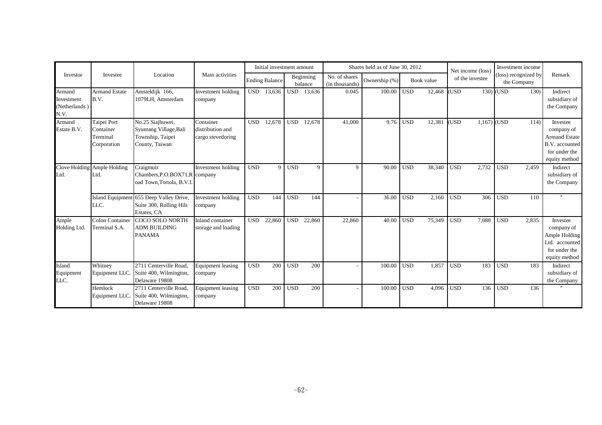|                                               |                                                     |                                                                                   |                                                    |            | Initial investment amount |            |                      |                                 | Shares held as of June 30, 2012 |            |            | Net income (loss)   |     | Investment income                   |      |                                                                                                    |
|-----------------------------------------------|-----------------------------------------------------|-----------------------------------------------------------------------------------|----------------------------------------------------|------------|---------------------------|------------|----------------------|---------------------------------|---------------------------------|------------|------------|---------------------|-----|-------------------------------------|------|----------------------------------------------------------------------------------------------------|
| Investor                                      | Investee                                            | Location                                                                          | Main activities                                    |            | <b>Ending Balance</b>     |            | Beginning<br>balance | No. of shares<br>(in thousands) | Ownership (%)                   |            | Book value | of the investee     |     | (loss) recognized by<br>the Company |      | Remark                                                                                             |
| Armand<br>Investment<br>(Netherlands)<br>N.V. | <b>Armand Estate</b><br>B.V.                        | Amsteldijk 166,<br>1079LH. Amsterdam                                              | Investment holding<br>company                      |            | USD 13,636                |            | USD 13,636           | 0.045                           | 100.00                          | <b>USD</b> | 12,468     | USD <sub>.</sub>    |     | $130)$ (USD)                        | 130) | Indirect<br>subsidiary of<br>the Company                                                           |
| Armand<br>Estate B.V.                         | Taipei Port<br>Container<br>Terminal<br>Corporation | No.25 Siajhuwei,<br>Syuntang Village, Bali<br>Township, Taipei<br>County, Taiwan  | Container<br>distribution and<br>cargo stevedoring | <b>USD</b> | 12,678                    | <b>USD</b> | 12,678               | 41,000                          | 9.76                            | <b>USD</b> | 12,381     | <b>USD</b><br>1,167 |     | (USD                                | 114) | Investee<br>company of<br><b>Armand Estate</b><br>B.V. accounted<br>for under the<br>equity method |
| Clove Holding<br>Ltd.                         | Ample Holding<br>Ltd.                               | Craigmuir<br>Chambers, P.O.BOX71, R company<br>oad Town, Tortola, B.V.I.          | Investment holding                                 | <b>USD</b> | $\mathbf{Q}$              | <b>USD</b> | $\mathbf Q$          | 9                               | 90.00                           | <b>USD</b> | 38,340     | <b>USD</b><br>2,732 |     | <b>USD</b><br>2,459                 |      | Indirect<br>subsidiary of<br>the Company                                                           |
|                                               | LLC.                                                | Island Equipment 655 Deep Valley Drive,<br>Suite 300, Rolling Hils<br>Estates, CA | Investment holding<br>company                      | <b>USD</b> | 144                       | <b>USD</b> | 144                  |                                 | 36.00                           | <b>USD</b> | 2,160      | <b>USD</b>          | 306 | <b>USD</b>                          | 110  |                                                                                                    |
| Ample<br>Holding Ltd.                         | <b>Colon Container</b><br>Terminal S.A.             | <b>COCO SOLO NORTH</b><br><b>ADM BUILDING</b><br><b>PANAMA</b>                    | Inland container<br>storage and loading            | <b>USD</b> | 22,860                    | <b>USD</b> | 22,860               | 22,860                          | 40.00                           | <b>USD</b> | 75,349     | <b>USD</b><br>7,088 |     | <b>USD</b><br>2,835                 |      | Investee<br>company of<br>Ample Holding<br>Ltd. accounted<br>for under the<br>equity method        |
| Island<br>Equipment<br>LLC.                   | Whitney<br>Equipment LLC.                           | 2711 Centerville Road,<br>Suite 400, Wilmington,<br>Delaware 19808                | <b>Equipment</b> leasing<br>company                | <b>USD</b> | 200                       | <b>USD</b> | 200                  |                                 | 100.00                          | <b>USD</b> | 1.857      | <b>USD</b>          | 183 | <b>USD</b>                          | 183  | Indirect<br>subsidiary of<br>the Company                                                           |
|                                               | Hemlock<br>Equipment LLC.                           | 2711 Centerville Road,<br>Suite 400, Wilmington,<br>Delaware 19808                | <b>Equipment</b> leasing<br>company                | <b>USD</b> | 200                       | <b>USD</b> | 200                  |                                 | 100.00                          | <b>USD</b> | 4,096      | <b>USD</b>          | 136 | <b>USD</b>                          | 136  |                                                                                                    |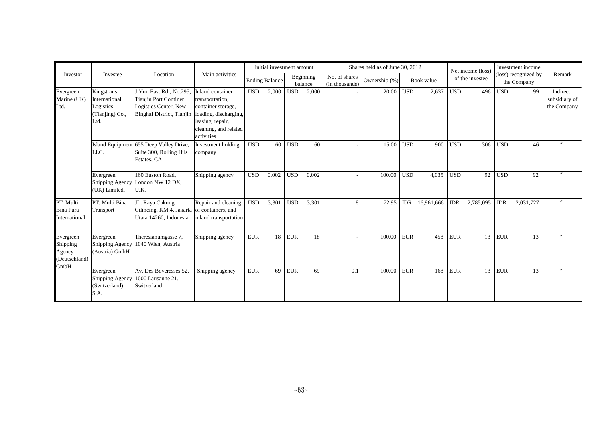|                                                          |                                                                     |                                                                                                                                     |                                                                                                                      |             | Initial investment amount |            |                      |                                 | Shares held as of June 30, 2012 |            |            |            | Net income (loss |            | Investment income                   |                                          |
|----------------------------------------------------------|---------------------------------------------------------------------|-------------------------------------------------------------------------------------------------------------------------------------|----------------------------------------------------------------------------------------------------------------------|-------------|---------------------------|------------|----------------------|---------------------------------|---------------------------------|------------|------------|------------|------------------|------------|-------------------------------------|------------------------------------------|
| Investor                                                 | Investee                                                            | Location                                                                                                                            | Main activities                                                                                                      |             | <b>Ending Balance</b>     |            | Beginning<br>balance | No. of shares<br>(in thousands) | Ownership (%)                   |            | Book value |            | of the investee  |            | (loss) recognized by<br>the Company | Remark                                   |
| Evergreen<br>Marine (UK)<br>Ltd.                         | Kingstrans<br>International<br>Logistics<br>(Tianjing) Co.,<br>Ltd. | JiYun East Rd., No.295.<br><b>Tianjin Port Continer</b><br>Logistics Center, New<br>Binghai District, Tianjin loading, discharging, | Inland container<br>transportation,<br>container storage,<br>leasing, repair,<br>cleaning, and related<br>activities | <b>USD</b>  | 2,000                     | <b>USD</b> | 2,000                |                                 | 20.00                           | <b>USD</b> | 2,637      | <b>USD</b> | 496              | <b>USD</b> | 99                                  | Indirect<br>subsidiary of<br>the Company |
|                                                          | <b>Island Equipment</b><br>LLC.                                     | 655 Deep Valley Drive,<br>Suite 300, Rolling Hils<br>Estates, CA                                                                    | Investment holding<br>company                                                                                        | <b>USD</b>  | 60                        | <b>USD</b> | 60                   |                                 | 15.00                           | <b>USD</b> | 900        | <b>USD</b> | 306              | <b>USD</b> | 46                                  |                                          |
|                                                          | Evergreen<br>Shipping Agency<br>(UK) Limited.                       | 160 Euston Road,<br>London NW 12 DX,<br>U.K.                                                                                        | Shipping agency                                                                                                      | <b>USD</b>  | 0.002                     | <b>USD</b> | 0.002                |                                 | 100.00                          | <b>USD</b> | 4,035      | <b>USD</b> | 92               | <b>USD</b> | 92                                  |                                          |
| PT. Multi<br><b>Bina Pura</b><br>International           | PT. Multi Bina<br>Transport                                         | JL. Raya Cakung<br>Cilincing, KM.4, Jakarta of containers, and<br>Utara 14260, Indonesia                                            | Repair and cleaning<br>inland transportation                                                                         | <b>USD</b>  | 3,301                     | <b>USD</b> | 3,301                | 8                               | 72.95                           | <b>IDR</b> | 16,961,666 | <b>IDR</b> | 2,785,095        | <b>IDR</b> | 2,031,727                           |                                          |
| Evergreen<br>Shipping<br>Agency<br>(Deutschland)<br>GmbH | Evergreen<br>Shipping Agency<br>(Austria) GmbH                      | Theresianumgasse 7,<br>1040 Wien, Austria                                                                                           | Shipping agency                                                                                                      | ${\rm EUR}$ | 18                        | <b>EUR</b> | 18                   |                                 | 100.00                          | <b>EUR</b> | 458        | <b>EUR</b> |                  | $13$ EUR   | 13                                  |                                          |
|                                                          | Evergreen<br>Shipping Agency<br>(Switzerland)<br>S.A.               | Av. Des Boveresses 52,<br>1000 Lausanne 21,<br>Switzerland                                                                          | Shipping agency                                                                                                      | <b>EUR</b>  | 69                        | <b>EUR</b> | 69                   | 0.1                             | 100.00                          | <b>EUR</b> | 168        | <b>EUR</b> |                  | $13$ EUR   | 13                                  |                                          |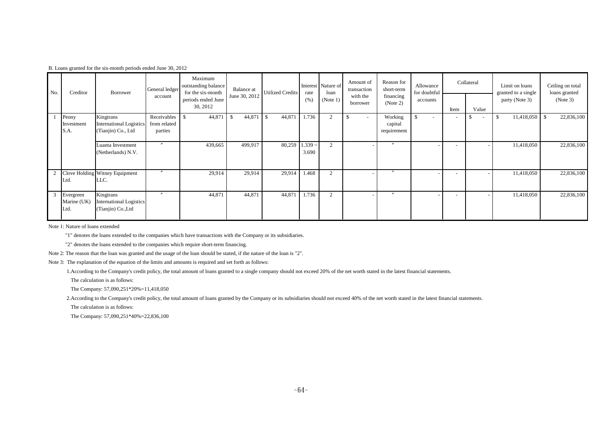|  |  |  |  |  |  |  | B. Loans granted for the six-month periods ended June 30, 2012 |  |
|--|--|--|--|--|--|--|----------------------------------------------------------------|--|
|--|--|--|--|--|--|--|----------------------------------------------------------------|--|

| No. | Creditor                         | Borrower                                                          | General ledger                         | Maximum<br>outstanding balance<br>for the six-month | Balance at    | Utilized Credits         | rate               | Interest Nature of<br>loan | Amount of<br>transaction       | Reason for<br>short-term          | Allowance<br>for doubtful      |      | Collateral                     | Limit on loans<br>granted to a single | Ceiling on total<br>loans granted |
|-----|----------------------------------|-------------------------------------------------------------------|----------------------------------------|-----------------------------------------------------|---------------|--------------------------|--------------------|----------------------------|--------------------------------|-----------------------------------|--------------------------------|------|--------------------------------|---------------------------------------|-----------------------------------|
|     |                                  |                                                                   | account                                | periods ended June<br>30, 2012                      | June 30, 2012 |                          | (% )               | (Note $1$ )                | with the<br>borrower           | financing<br>(Note 2)             | accounts                       | Item | Value                          | party (Note 3)                        | (Note 3)                          |
|     | Peony<br>Investment<br>S.A.      | Kingtrans<br><b>International Logistics</b><br>(Tianjin) Co., Ltd | Receivables<br>from related<br>parties | 44,871<br>-S                                        | 44,871<br>-S  | $\blacksquare$<br>44,871 | 1.736              | $\overline{2}$             | -S<br>$\overline{\phantom{a}}$ | Working<br>capital<br>requirement | \$<br>$\overline{\phantom{a}}$ |      | -S<br>$\overline{\phantom{a}}$ | 11,418,050<br>-S                      | 22,836,100<br>- \$                |
|     |                                  | Luanta Investment<br>(Netherlands) N.V.                           | $\prime\prime$                         | 439,665                                             | 499,917       | 80,259                   | $1.339 -$<br>3.690 | $\sim$                     |                                | $\prime\prime$                    |                                |      |                                | 11,418,050                            | 22,836,100                        |
|     | Ltd.                             | Clove Holding Witney Equipment<br>LLC.                            | $\mathbf{v}$                           | 29,914                                              | 29,914        | 29,914                   | 1.468              | 2                          |                                | $\mathbf{r}$                      |                                |      |                                | 11,418,050                            | 22,836,100                        |
| 3   | Evergreen<br>Marine (UK)<br>Ltd. | Kingtrans<br><b>International Logistics</b><br>(Tianjin) Co., Ltd | $\mathbf{r}$                           | 44,871                                              | 44,871        | 44,871                   | 1.736              | $\overline{2}$             |                                | $\boldsymbol{''}$                 |                                |      |                                | 11,418,050                            | 22,836,100                        |

Note 1: Nature of loans extended

"1" denotes the loans extended to the companies which have transactions with the Company or its subsidiaries.

"2" denotes the loans extended to the companies which require short-term financing.

Note 2: The reason that the loan was granted and the usage of the loan should be stated, if the nature of the loan is "2".

Note 3: The explanation of the equation of the limits and amounts is required and set forth as follows:

1.According to the Company's credit policy, the total amount of loans granted to a single company should not exceed 20% of the net worth stated in the latest financial statements.

The calculation is as follows:

The Company: 57,090,251\*20%=11,418,050

2.According to the Company's credit policy, the total amount of loans granted by the Company or its subsidiaries should not exceed 40% of the net worth stated in the latest financial statements.

The calculation is as follows:

The Company: 57,090,251\*40%=22,836,100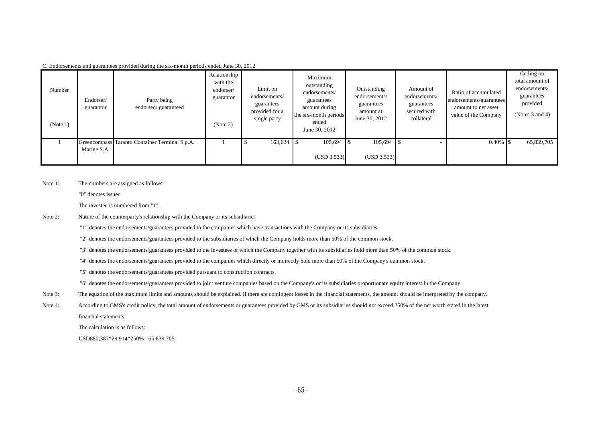| Number<br>(Note 1) | Endorser/<br>guarantor | Party being<br>endorsed/guaranteed             | Relationship<br>with the<br>endorser/<br>guarantor<br>(Note 2) | Limit on<br>endorsements/<br>guarantees<br>provided for a<br>single party | Maximum<br>outstanding<br>endorsements/<br>guarantees<br>amount during<br>the six-month periods<br>ended<br>June 30, 2012 | Outstanding<br>endorsements/<br>guarantees<br>amount at<br>June 30, 2012 | Amount of<br>endorsements/<br>guarantees<br>secured with<br>collateral | Ratio of accumulated<br>endorsements/guarantees<br>amount to net asset<br>value of the Company | Ceiling on<br>total amount of<br>endorsements/<br>guarantees<br>provided<br>(Notes $3$ and $4$ ) |
|--------------------|------------------------|------------------------------------------------|----------------------------------------------------------------|---------------------------------------------------------------------------|---------------------------------------------------------------------------------------------------------------------------|--------------------------------------------------------------------------|------------------------------------------------------------------------|------------------------------------------------------------------------------------------------|--------------------------------------------------------------------------------------------------|
|                    | Marine S.A.            | Greencompass Taranto Container Terminal S.p.A. |                                                                | $163,624$ \$                                                              | (USD 3,533)                                                                                                               | 105,694<br>(USD 3,533)                                                   |                                                                        |                                                                                                | 65,839,705                                                                                       |

C. Endorsements and guarantees provided during the six-month periods ended June 30, 2012

Note 1: The numbers are assigned as follows:

"0" denotes issuer

The investee is numbered from "1".

Note 2: Nature of the counterparty's relationship with the Company or its subsidiaries

"1" denotes the endorsements/guarantees provided to the companies which have transactions with the Company or its subsidiaries.

"2" denotes the endorsements/guarantees provided to the subsidiaries of which the Company holds more than 50% of the common stock.

"3" denotes the endorsements/guarantees provided to the investees of which the Company together with its subsidiaries hold more than 50% of the common stock.

"4" denotes the endorsements/guarantees provided to the companies which directly or indirectly hold more than 50% of the Company's common stock.

"5" denotes the endorsements/guarantees provided pursuant to construction contracts.

"6" denotes the endorsements/guarantees provided to joint venture companies based on the Company's or its subsidiaries proportionate equity interest in the Company.

- Note 3: The equation of the maximum limits and amounts should be explained. If there are contingent losses in the financial statements, the amount should be interpreted by the company.
- Note 4: According to GMS's credit policy, the total amount of endorsements or guarantees provided by GMS or its subsidiaries should not exceed 250% of the net worth stated in the latest financial statements.

The calculation is as follows:

USD880,387\*29.914\*250% =65,839,705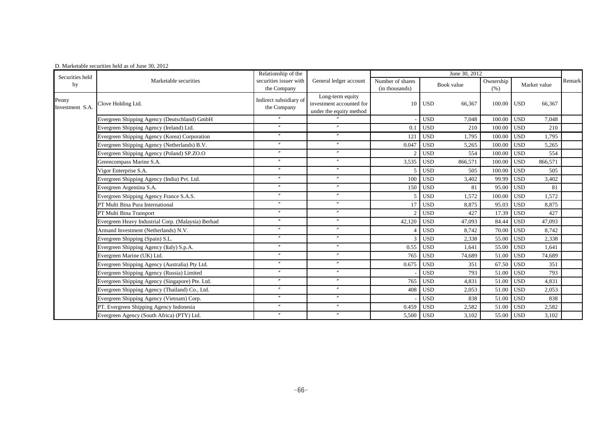| Securities held          |                                                    | Relationship of the                   |                                                                         | June 30, 2012                      |                       |                   |                       |        |  |  |
|--------------------------|----------------------------------------------------|---------------------------------------|-------------------------------------------------------------------------|------------------------------------|-----------------------|-------------------|-----------------------|--------|--|--|
| by                       | Marketable securities                              | securities issuer with<br>the Company | General ledger account                                                  | Number of shares<br>(in thousands) | Book value            | Ownership<br>(% ) | Market value          | Remark |  |  |
| Peony<br>Investment S.A. | Clove Holding Ltd.                                 | Indirect subsidiary of<br>the Company | Long-term equity<br>investment accounted for<br>under the equity method | 10                                 | <b>USD</b><br>66,367  | 100.00            | <b>USD</b><br>66,367  |        |  |  |
|                          | Evergreen Shipping Agency (Deutschland) GmbH       | $\overline{v}$                        |                                                                         |                                    | <b>USD</b><br>7,048   | 100.00            | <b>USD</b><br>7,048   |        |  |  |
|                          | Evergreen Shipping Agency (Ireland) Ltd.           | $^{\prime\prime}$                     | $^{\prime\prime}$                                                       | 0.1                                | <b>USD</b><br>210     | 100.00            | <b>USD</b><br>210     |        |  |  |
|                          | Evergreen Shipping Agency (Korea) Corporation      | $\prime\prime$                        | $\mathbf{v}$                                                            | 121                                | <b>USD</b><br>1,795   | 100.00            | <b>USD</b><br>1,795   |        |  |  |
|                          | Evergreen Shipping Agency (Netherlands) B.V.       | $\prime\prime$                        | $^{\prime\prime}$                                                       | 0.047                              | <b>USD</b><br>5,265   | 100.00            | <b>USD</b><br>5.265   |        |  |  |
|                          | Evergreen Shipping Agency (Poland) SP.ZO.O         | $^{\prime\prime}$                     | $^{\prime\prime}$                                                       |                                    | 554<br><b>USD</b>     | 100.00            | <b>USD</b><br>554     |        |  |  |
|                          | Greencompass Marine S.A.                           | $^{\prime\prime}$                     | $^{\prime\prime}$                                                       | 3.535                              | <b>USD</b><br>866,571 | 100.00            | <b>USD</b><br>866,571 |        |  |  |
|                          | Vigor Enterprise S.A.                              | $^{\prime\prime}$                     | $^{\prime\prime}$                                                       |                                    | <b>USD</b><br>505     | 100.00            | <b>USD</b><br>505     |        |  |  |
|                          | Evergreen Shipping Agency (India) Pvt. Ltd.        | $^{\prime\prime}$                     | $^{\prime\prime}$                                                       | 100                                | <b>USD</b><br>3,402   | 99.99             | <b>USD</b><br>3,402   |        |  |  |
|                          | Evergreen Argentina S.A.                           | $^{\prime\prime}$                     | $^{\prime\prime}$                                                       | 150                                | <b>USD</b><br>81      | 95.00             | <b>USD</b><br>81      |        |  |  |
|                          | Evergreen Shipping Agency France S.A.S.            | $\prime\prime$                        | $^{\prime\prime}$                                                       |                                    | <b>USD</b><br>1,572   | 100.00            | <b>USD</b><br>1,572   |        |  |  |
|                          | PT Multi Bina Pura International                   | $^{\prime\prime}$                     | $^{\prime\prime}$                                                       | 17                                 | <b>USD</b><br>8,875   | 95.03             | <b>USD</b><br>8,875   |        |  |  |
|                          | PT Multi Bina Transport                            | $\prime\prime$                        | $\prime\prime$                                                          |                                    | <b>USD</b><br>427     | 17.39             | <b>USD</b><br>427     |        |  |  |
|                          | Evergreen Heavy Industrial Corp. (Malaysia) Berhad | $^{\prime\prime}$                     | $^{\prime\prime}$                                                       | 42,120                             | <b>USD</b><br>47,093  | 84.44             | <b>USD</b><br>47,093  |        |  |  |
|                          | Armand Investment (Netherlands) N.V.               | $\prime\prime$                        | $^{\prime\prime}$                                                       |                                    | <b>USD</b><br>8,742   | 70.00             | <b>USD</b><br>8,742   |        |  |  |
|                          | Evergreen Shipping (Spain) S.L.                    | $\prime\prime$                        | $^{\prime\prime}$                                                       |                                    | <b>USD</b><br>2,338   | 55.00             | 2,338<br><b>USD</b>   |        |  |  |
|                          | Evergreen Shipping Agency (Italy) S.p.A.           | $\overline{''}$                       | $\mathbf{v}$                                                            | 0.55                               | <b>USD</b><br>1.641   | 55.00             | <b>USD</b><br>1,641   |        |  |  |
|                          | Evergreen Marine (UK) Ltd.                         | $^{\prime\prime}$                     | $^{\prime\prime}$                                                       | 765                                | <b>USD</b><br>74.689  | 51.00             | <b>USD</b><br>74,689  |        |  |  |
|                          | Evergreen Shipping Agency (Australia) Pty Ltd.     | $^{\prime\prime}$                     | $^{\prime\prime}$                                                       | 0.675                              | <b>USD</b><br>351     | 67.50             | 351<br><b>USD</b>     |        |  |  |
|                          | Evergreen Shipping Agency (Russia) Limited         | $^{\prime\prime}$                     | $^{\prime\prime}$                                                       |                                    | <b>USD</b><br>793     | 51.00             | 793<br><b>USD</b>     |        |  |  |
|                          | Evergreen Shipping Agency (Singapore) Pte. Ltd.    | $\prime$                              | $^{\prime\prime}$                                                       | 765                                | <b>USD</b><br>4,831   | 51.00             | <b>USD</b><br>4,831   |        |  |  |
|                          | Evergreen Shipping Agency (Thailand) Co., Ltd.     | $\prime$                              | $\prime$                                                                | 408                                | <b>USD</b><br>2,053   | 51.00             | <b>USD</b><br>2,053   |        |  |  |
|                          | Evergreen Shipping Agency (Vietnam) Corp.          | $^{\prime\prime}$                     | $^{\prime\prime}$                                                       |                                    | <b>USD</b><br>838     | 51.00             | <b>USD</b><br>838     |        |  |  |
|                          | PT. Evergreen Shipping Agency Indonesia            | $^{\prime\prime}$                     | $^{\prime\prime}$                                                       | 0.459                              | <b>USD</b><br>2,582   | 51.00             | <b>USD</b><br>2,582   |        |  |  |
|                          | Evergreen Agency (South Africa) (PTY) Ltd.         | $^{\prime\prime}$                     | $^{\prime\prime}$                                                       | 5,500                              | <b>USD</b><br>3,102   | 55.00             | <b>USD</b><br>3,102   |        |  |  |

#### D. Marketable securities held as of June 30, 2012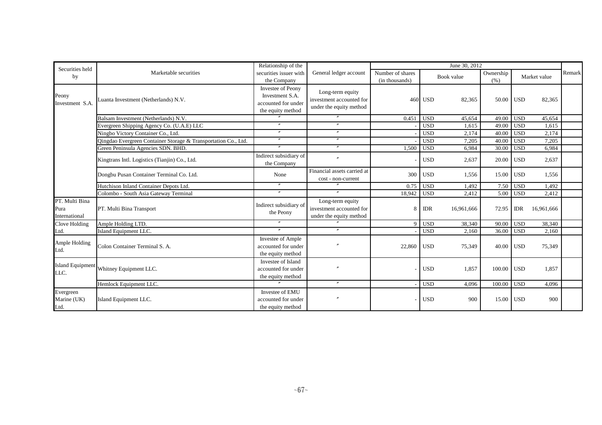| Securities held                         |                                                                | Relationship of the                                                                     |                                                                         | June 30, 2012                      |                          |                   |              |            |        |  |
|-----------------------------------------|----------------------------------------------------------------|-----------------------------------------------------------------------------------------|-------------------------------------------------------------------------|------------------------------------|--------------------------|-------------------|--------------|------------|--------|--|
| by                                      | Marketable securities                                          | securities issuer with<br>the Company                                                   | General ledger account                                                  | Number of shares<br>(in thousands) | Book value               | Ownership<br>(% ) | Market value |            | Remark |  |
| Peony<br>Investment S.A.                | Luanta Investment (Netherlands) N.V.                           | <b>Investee of Peony</b><br>Investment S.A.<br>accounted for under<br>the equity method | Long-term equity<br>investment accounted for<br>under the equity method |                                    | 460 USD<br>82,365        | 50.00             | <b>USD</b>   | 82,365     |        |  |
|                                         | Balsam Investment (Netherlands) N.V.                           |                                                                                         |                                                                         | 0.451                              | <b>USD</b><br>45,654     | 49.00             | <b>USD</b>   | 45,654     |        |  |
|                                         | Evergreen Shipping Agency Co. (U.A.E) LLC                      | $\prime\prime$                                                                          | $\prime\prime$                                                          |                                    | <b>USD</b><br>1,615      | 49.00             | <b>USD</b>   | 1,615      |        |  |
|                                         | Ningbo Victory Container Co., Ltd.                             | $\prime\prime$                                                                          | $\prime\prime$                                                          |                                    | <b>USD</b><br>2,174      | 40.00             | <b>USD</b>   | 2,174      |        |  |
|                                         | Qingdao Evergreen Container Storage & Transportation Co., Ltd. | $^{\prime\prime}$                                                                       | $\prime\prime$                                                          |                                    | <b>USD</b><br>7,205      | 40.00             | <b>USD</b>   | 7,205      |        |  |
|                                         | Green Peninsula Agencies SDN. BHD.                             |                                                                                         | $\prime$                                                                | 1,500                              | <b>USD</b><br>6,984      | 30.00             | <b>USD</b>   | 6,984      |        |  |
|                                         | Kingtrans Intl. Logistics (Tianjin) Co., Ltd.                  | Indirect subsidiary of<br>the Company                                                   |                                                                         |                                    | <b>USD</b><br>2,637      | 20.00             | <b>USD</b>   | 2,637      |        |  |
|                                         | Dongbu Pusan Container Terminal Co. Ltd.                       | None                                                                                    | Financial assets carried at<br>cost - non-current                       | 300                                | <b>USD</b><br>1.556      | 15.00 USD         |              | 1,556      |        |  |
|                                         | Hutchison Inland Container Depots Ltd.                         |                                                                                         |                                                                         | 0.75                               | <b>USD</b><br>1,492      | 7.50              | <b>USD</b>   | 1,492      |        |  |
|                                         | Colombo - South Asia Gateway Terminal                          | $^{\prime\prime}$                                                                       | $\overline{v}$                                                          | 18,942                             | <b>USD</b><br>2,412      | 5.00              | <b>USD</b>   | 2,412      |        |  |
| PT. Multi Bina<br>Pura<br>International | PT. Multi Bina Transport                                       | Indirect subsidiary of<br>the Peony                                                     | Long-term equity<br>investment accounted for<br>under the equity method | 8                                  | <b>IDR</b><br>16,961,666 | 72.95             | <b>IDR</b>   | 16,961,666 |        |  |
| Clove Holding                           | Ample Holding LTD.                                             |                                                                                         |                                                                         | $\Omega$                           | <b>USD</b><br>38,340     | 90.00             | <b>USD</b>   | 38,340     |        |  |
| Ltd.                                    | Island Equipment LLC.                                          | $\prime\prime$                                                                          | $\overline{''}$                                                         |                                    | <b>USD</b><br>2,160      | 36.00             | <b>USD</b>   | 2,160      |        |  |
| Ample Holding<br>Ltd.                   | Colon Container Terminal S. A.                                 | Investee of Ample<br>accounted for under<br>the equity method                           |                                                                         | 22,860                             | <b>USD</b><br>75,349     | 40.00 USD         |              | 75,349     |        |  |
| <b>Island Equipment</b><br>LLC.         | Whitney Equipment LLC.                                         | Investee of Island<br>accounted for under<br>the equity method                          |                                                                         |                                    | <b>USD</b><br>1,857      | $100.00$ USD      |              | 1,857      |        |  |
|                                         | Hemlock Equipment LLC.                                         |                                                                                         | $\prime\prime$                                                          |                                    | 4.096<br><b>USD</b>      | 100.00            | <b>USD</b>   | 4,096      |        |  |
| Evergreen<br>Marine (UK)<br>Ltd.        | Island Equipment LLC.                                          | Investee of EMU<br>accounted for under<br>the equity method                             |                                                                         |                                    | <b>USD</b><br>900        | 15.00 USD         |              | 900        |        |  |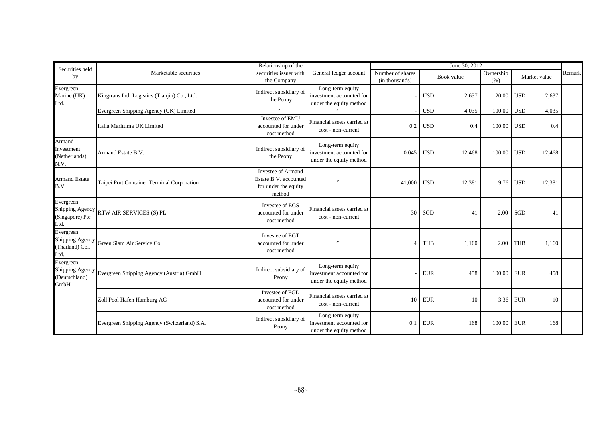| Securities held                                       |                                                                        | Relationship of the                                                           |                                                                         | June 30, 2012                      |                      |                   |                      |        |  |  |
|-------------------------------------------------------|------------------------------------------------------------------------|-------------------------------------------------------------------------------|-------------------------------------------------------------------------|------------------------------------|----------------------|-------------------|----------------------|--------|--|--|
| by                                                    | Marketable securities                                                  | securities issuer with<br>the Company                                         | General ledger account                                                  | Number of shares<br>(in thousands) | Book value           | Ownership<br>(% ) | Market value         | Remark |  |  |
| Evergreen<br>Marine (UK)<br>Ltd.                      | Kingtrans Intl. Logistics (Tianjin) Co., Ltd.                          | Indirect subsidiary of<br>the Peony                                           | Long-term equity<br>investment accounted for<br>under the equity method |                                    | <b>USD</b><br>2,637  | 20.00             | <b>USD</b><br>2,637  |        |  |  |
|                                                       | Evergreen Shipping Agency (UK) Limited                                 |                                                                               |                                                                         |                                    | <b>USD</b><br>4,035  | 100.00            | <b>USD</b><br>4,035  |        |  |  |
|                                                       | Italia Marittima UK Limited                                            | Investee of EMU<br>accounted for under<br>cost method                         | Financial assets carried at<br>cost - non-current                       | 0.2                                | <b>USD</b><br>0.4    | 100.00            | <b>USD</b><br>0.4    |        |  |  |
| Armand<br>Investment<br>(Netherlands)<br>N.V.         | Armand Estate B.V.                                                     | Indirect subsidiary of<br>the Peony                                           | Long-term equity<br>investment accounted for<br>under the equity method | 0.045                              | <b>USD</b><br>12,468 | 100.00            | <b>USD</b><br>12,468 |        |  |  |
| <b>Armand Estate</b><br>B.V.                          | Taipei Port Container Terminal Corporation                             | Investee of Armand<br>Estate B.V. accounted<br>for under the equity<br>method |                                                                         | 41,000                             | <b>USD</b><br>12,381 | 9.76              | <b>USD</b><br>12,381 |        |  |  |
| Evergreen<br>(Singapore) Pte<br>Ltd.                  | Shipping Agency RTW AIR SERVICES (S) PL                                | Investee of EGS<br>accounted for under<br>cost method                         | Financial assets carried at<br>cost - non-current                       | 30                                 | SGD<br>41            | 2.00              | SGD<br>41            |        |  |  |
| Evergreen<br>(Thailand) Co.,<br>Ltd.                  | Shipping Agency Green Siam Air Service Co.                             | Investee of EGT<br>accounted for under<br>cost method                         |                                                                         | $\Delta$                           | <b>THB</b><br>1,160  | 2.00              | <b>THB</b><br>1,160  |        |  |  |
| Evergreen<br>Shipping Agency<br>(Deutschland)<br>GmbH | Evergreen Shipping Agency (Austria) GmbH                               | Indirect subsidiary of<br>Peony                                               | Long-term equity<br>investment accounted for<br>under the equity method |                                    | <b>EUR</b><br>458    | 100.00            | <b>EUR</b><br>458    |        |  |  |
|                                                       | Zoll Pool Hafen Hamburg AG                                             | Investee of EGD<br>accounted for under<br>cost method                         | Financial assets carried at<br>cost - non-current                       | 10                                 | <b>EUR</b><br>10     | 3.36              | <b>EUR</b><br>10     |        |  |  |
|                                                       | Indirect subsidiary of<br>Evergreen Shipping Agency (Switzerland) S.A. |                                                                               | Long-term equity<br>investment accounted for<br>under the equity method | 0.1                                | <b>EUR</b><br>168    | 100.00            | <b>EUR</b><br>168    |        |  |  |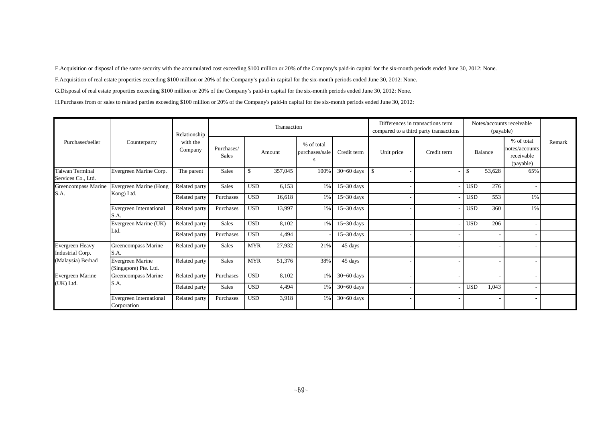E.Acquisition or disposal of the same security with the accumulated cost exceeding \$100 million or 20% of the Company's paid-in capital for the six-month periods ended June 30, 2012: None.

F.Acquisition of real estate properties exceeding \$100 million or 20% of the Company's paid-in capital for the six-month periods ended June 30, 2012: None.

G.Disposal of real estate properties exceeding \$100 million or 20% of the Company's paid-in capital for the six-month periods ended June 30, 2012: None.

H.Purchases from or sales to related parties exceeding \$100 million or 20% of the Company's paid-in capital for the six-month periods ended June 30, 2012:

|                                       |                                               | Relationship        |                            |            | Transaction |                                   |                | Differences in transactions term<br>compared to a third party transactions |             | Notes/accounts receivable<br>(payable) |         |                                                         |        |
|---------------------------------------|-----------------------------------------------|---------------------|----------------------------|------------|-------------|-----------------------------------|----------------|----------------------------------------------------------------------------|-------------|----------------------------------------|---------|---------------------------------------------------------|--------|
| Purchaser/seller                      | Counterparty                                  | with the<br>Company | Purchases/<br><b>Sales</b> |            | Amount      | % of total<br>purchases/sale<br>S | Credit term    | Unit price                                                                 | Credit term |                                        | Balance | % of total<br>notes/accounts<br>receivable<br>(payable) | Remark |
| Taiwan Terminal<br>Services Co., Ltd. | Evergreen Marine Corp.                        | The parent          | <b>Sales</b>               | \$         | 357,045     | 100%                              | $30 - 60$ days | - \$                                                                       |             | £.                                     | 53,628  | 65%                                                     |        |
| Greencompass Marine                   | Evergreen Marine (Hong                        | Related party       | <b>Sales</b>               | <b>USD</b> | 6,153       | $1\%$                             | $15 - 30$ days |                                                                            |             | <b>USD</b>                             | 276     |                                                         |        |
| S.A.                                  | Kong) Ltd.                                    | Related party       | Purchases                  | <b>USD</b> | 16,618      | 1%                                | $15 - 30$ days |                                                                            |             | <b>USD</b>                             | 553     | $1\%$                                                   |        |
|                                       | Evergreen International<br>S.A.               | Related party       | Purchases                  | <b>USD</b> | 13,997      | 1%                                | $15 - 30$ days |                                                                            |             | USD                                    | 360     | 1%                                                      |        |
|                                       | Evergreen Marine (UK)<br>Ltd.                 | Related party       | <b>Sales</b>               | <b>USD</b> | 8,102       | $1\%$                             | $15 - 30$ days |                                                                            |             | <b>USD</b>                             | 206     |                                                         |        |
|                                       |                                               | Related party       | Purchases                  | <b>USD</b> | 4,494       |                                   | $15 - 30$ days |                                                                            |             |                                        |         |                                                         |        |
| Evergreen Heavy<br>Industrial Corp.   | Greencompass Marine<br>S.A.                   | Related party       | <b>Sales</b>               | <b>MYR</b> | 27,932      | 21%                               | 45 days        |                                                                            |             |                                        |         |                                                         |        |
| Malaysia) Berhad                      | Evergreen Marine<br>(Singapore) Pte. Ltd.     | Related party       | <b>Sales</b>               | <b>MYR</b> | 51,376      | 38%                               | 45 days        |                                                                            |             |                                        |         |                                                         |        |
| Evergreen Marine                      | Greencompass Marine                           | Related party       | Purchases                  | <b>USD</b> | 8,102       | $1\%$                             | $30 - 60$ days |                                                                            |             |                                        |         |                                                         |        |
| (UK) Ltd.                             | S.A.                                          | Related party       | <b>Sales</b>               | <b>USD</b> | 4,494       | $1\%$                             | $30 - 60$ days |                                                                            |             | <b>USD</b>                             | 1,043   |                                                         |        |
|                                       | <b>Evergreen International</b><br>Corporation | Related party       | Purchases                  | <b>USD</b> | 3,918       | $1\%$                             | $30 - 60$ days |                                                                            |             |                                        |         |                                                         |        |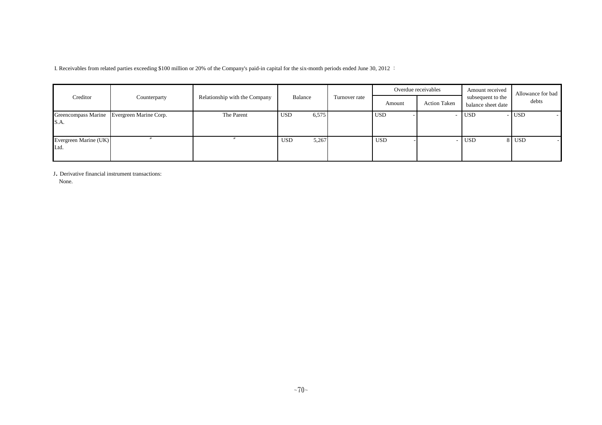I. Receivables from related parties exceeding \$100 million or 20% of the Company's paid-in capital for the six-month periods ended June 30, 2012 :

|                               |                                            |                               |                     |               |            | Overdue receivables | Amount received                         | Allowance for bad |  |
|-------------------------------|--------------------------------------------|-------------------------------|---------------------|---------------|------------|---------------------|-----------------------------------------|-------------------|--|
| Creditor                      | Counterparty                               | Relationship with the Company | Balance             | Turnover rate | Amount     | <b>Action Taken</b> | subsequent to the<br>balance sheet date | debts             |  |
| S.A.                          | Greencompass Marine Evergreen Marine Corp. | The Parent                    | 6,575<br><b>USD</b> |               | <b>USD</b> |                     | <b>USD</b>                              | $-$ USD           |  |
| Evergreen Marine (UK)<br>Ltd. |                                            |                               | <b>USD</b><br>5,267 |               | <b>USD</b> |                     | USD <sup>1</sup>                        | 8 USD             |  |

<sup>J</sup>. Derivative financial instrument transactions:

None.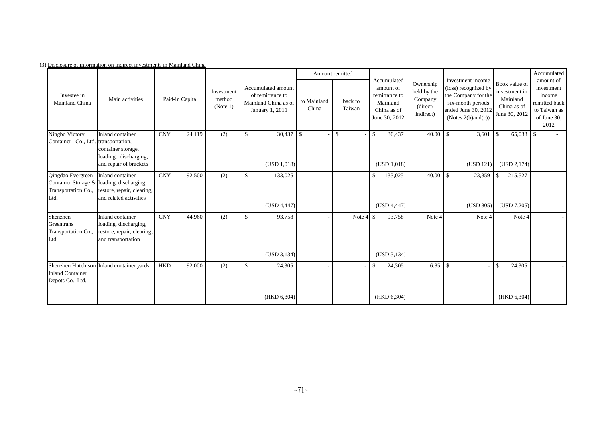|                                                       |                                                                                                                                           |                 |        |                                  |                                                                                   |                      | Amount remitted   |                                                                                       |                                                              |                                                                                                                                           |                                                                            | Accumulated                                                                               |
|-------------------------------------------------------|-------------------------------------------------------------------------------------------------------------------------------------------|-----------------|--------|----------------------------------|-----------------------------------------------------------------------------------|----------------------|-------------------|---------------------------------------------------------------------------------------|--------------------------------------------------------------|-------------------------------------------------------------------------------------------------------------------------------------------|----------------------------------------------------------------------------|-------------------------------------------------------------------------------------------|
| Investee in<br>Mainland China                         | Main activities                                                                                                                           | Paid-in Capital |        | Investment<br>method<br>(Note 1) | Accumulated amount<br>of remittance to<br>Mainland China as of<br>January 1, 2011 | to Mainland<br>China | back to<br>Taiwan | Accumulated<br>amount of<br>remittance to<br>Mainland<br>China as of<br>June 30, 2012 | Ownership<br>held by the<br>Company<br>(direct/<br>indirect) | Investment income<br>(loss) recognized by<br>the Company for the<br>six-month periods<br>ended June 30, 2012<br>(Notes $2(b)$ and $(c)$ ) | Book value of<br>investment in<br>Mainland<br>China as of<br>June 30, 2012 | amount of<br>investment<br>income<br>remitted back<br>to Taiwan as<br>of June 30,<br>2012 |
| Ningbo Victory                                        | Inland container                                                                                                                          | <b>CNY</b>      | 24,119 | (2)                              | $\mathbf{s}$                                                                      | $30,437$ \$          | $\mathbb{S}$      | 30,437<br>$\mathcal{S}$                                                               | 40.00                                                        | 3,601<br>-S                                                                                                                               | $65,033$ \$<br>$\mathcal{S}$                                               |                                                                                           |
| Container Co., Ltd. transportation,                   | container storage,<br>loading, discharging,                                                                                               |                 |        |                                  |                                                                                   |                      |                   |                                                                                       |                                                              |                                                                                                                                           |                                                                            |                                                                                           |
|                                                       | and repair of brackets                                                                                                                    |                 |        |                                  | (USD 1,018)                                                                       |                      |                   | (USD 1,018)                                                                           |                                                              | (USD 121)                                                                                                                                 | (USD 2, 174)                                                               |                                                                                           |
| Qingdao Evergreen<br>Ltd.                             | Inland container<br>Container Storage & loading, discharging,<br>Transportation Co., restore, repair, clearing,<br>and related activities | <b>CNY</b>      | 92,500 | (2)                              | \$<br>133,025                                                                     |                      |                   | 133,025<br>\$                                                                         |                                                              | 23,859                                                                                                                                    | 215,527<br>- \$                                                            |                                                                                           |
|                                                       |                                                                                                                                           |                 |        |                                  | (USD 4,447)                                                                       |                      |                   | (USD 4,447)                                                                           |                                                              | (USD 805)                                                                                                                                 | (USD 7,205)                                                                |                                                                                           |
| Shenzhen<br>Greentrans<br>Transportation Co.,<br>Ltd. | Inland container<br>loading, discharging,<br>restore, repair, clearing,<br>and transportation                                             | <b>CNY</b>      | 44,960 | (2)                              | $\mathbf{s}$<br>93,758                                                            |                      | Note 4            | 93,758<br>$\mathbf{s}$                                                                | Note 4                                                       | Note 4                                                                                                                                    | Note 4                                                                     |                                                                                           |
|                                                       |                                                                                                                                           |                 |        |                                  | (USD 3, 134)                                                                      |                      |                   | (USD 3, 134)                                                                          |                                                              |                                                                                                                                           |                                                                            |                                                                                           |
| <b>Inland Container</b><br>Depots Co., Ltd.           | Shenzhen Hutchison Inland container yards                                                                                                 | <b>HKD</b>      | 92,000 | (2)                              | $\mathbb{S}$<br>24,305                                                            |                      |                   | 24,305<br>\$.                                                                         | 6.85                                                         | -\$                                                                                                                                       | 24,305<br>-\$                                                              |                                                                                           |
|                                                       |                                                                                                                                           |                 |        |                                  | (HKD 6, 304)                                                                      |                      |                   | (HKD 6,304)                                                                           |                                                              |                                                                                                                                           | (HKD 6,304)                                                                |                                                                                           |

(3) Disclosure of information on indirect investments in Mainland China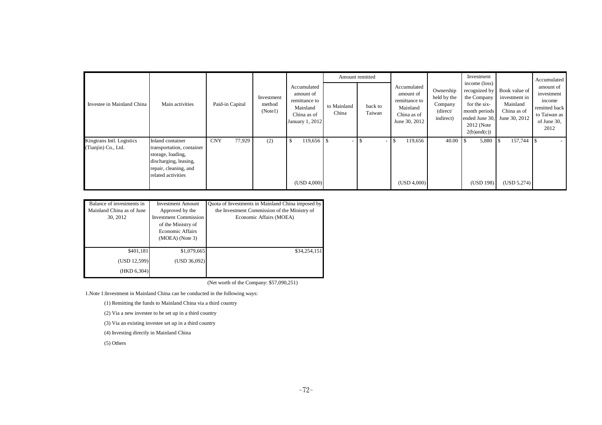| Investee in Mainland China                       | Main activities                                                                                                                            | Paid-in Capital      | Investment<br>method<br>(Note1) | Accumulated<br>amount of<br>remittance to<br>Mainland<br>China as of<br>January 1, 2012 | Amount remitted      |                   |                                                                                       |                                                              | Investment                                                                                                       |                                                                                           | Accumulated                                                                               |
|--------------------------------------------------|--------------------------------------------------------------------------------------------------------------------------------------------|----------------------|---------------------------------|-----------------------------------------------------------------------------------------|----------------------|-------------------|---------------------------------------------------------------------------------------|--------------------------------------------------------------|------------------------------------------------------------------------------------------------------------------|-------------------------------------------------------------------------------------------|-------------------------------------------------------------------------------------------|
|                                                  |                                                                                                                                            |                      |                                 |                                                                                         | to Mainland<br>China | back to<br>Taiwan | Accumulated<br>amount of<br>remittance to<br>Mainland<br>China as of<br>June 30, 2012 | Ownership<br>held by the<br>Company<br>(direct/<br>indirect) | income (loss)<br>recognized by<br>the Company<br>for the six-<br>month periods<br>2012 (Note<br>$2(b)$ and $(c)$ | Book value of<br>investment in<br>Mainland<br>China as of<br>ended June 30, June 30, 2012 | amount of<br>investment<br>income<br>remitted back<br>to Taiwan as<br>of June 30,<br>2012 |
| Kingtrans Intl. Logistics<br>(Tianjin) Co., Ltd. | Inland container<br>transportation, container<br>storage, loading,<br>discharging, leasing,<br>repair, cleaning, and<br>related activities | 77,929<br><b>CNY</b> | (2)                             | 119,656<br>-8<br>(USD 4,000)                                                            |                      |                   | 119,656<br>(USD 4,000)                                                                | 40.00                                                        | 5,880<br>(USD 198)                                                                                               | 157,744<br>(USD 5,274)                                                                    |                                                                                           |

| Balance of investments in | <b>Investment Amount</b>     | Quota of Investments in Mainland China imposed by |  |  |  |  |
|---------------------------|------------------------------|---------------------------------------------------|--|--|--|--|
| Mainland China as of June | Approved by the              | the Investment Commission of the Ministry of      |  |  |  |  |
| 30, 2012                  | <b>Investment Commission</b> | Economic Affairs (MOEA)                           |  |  |  |  |
|                           | of the Ministry of           |                                                   |  |  |  |  |
|                           | Economic Affairs             |                                                   |  |  |  |  |
|                           | $(MOEA)$ (Note 3)            |                                                   |  |  |  |  |
|                           |                              |                                                   |  |  |  |  |
| \$401,181                 | \$1,079,665                  | \$34,254,151                                      |  |  |  |  |
| (USD 12,599)              | (USD 36,092)                 |                                                   |  |  |  |  |
| (HKD 6,304)               |                              |                                                   |  |  |  |  |

(Net worth of the Company: \$57,090,251)

1.Note 1:Investment in Mainland China can be conducted in the following ways:

(1) Remitting the funds to Mainland China via a third country

(2) Via a new investee to be set up in a third country

(3) Via an existing investee set up in a third country

(4) Investing directly in Mainland China

(5) Others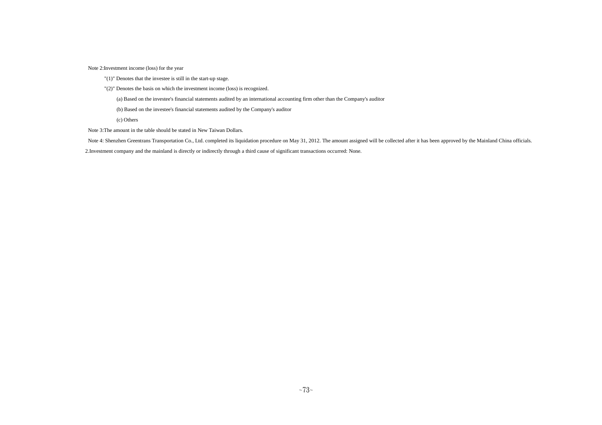Note 2:Investment income (loss) for the year

- "(1)" Denotes that the investee is still in the start-up stage.
- "(2)" Denotes the basis on which the investment income (loss) is recognized.

(a) Based on the investee's financial statements audited by an international accounting firm other than the Company's auditor

(b) Based on the investee's financial statements audited by the Company's auditor

(c) Others

Note 3:The amount in the table should be stated in New Taiwan Dollars.

Note 4: Shenzhen Greentrans Transportation Co., Ltd. completed its liquidation procedure on May 31, 2012. The amount assigned will be collected after it has been approved by the Mainland China officials.

2.Investment company and the mainland is directly or indirectly through a third cause of significant transactions occurred: None.